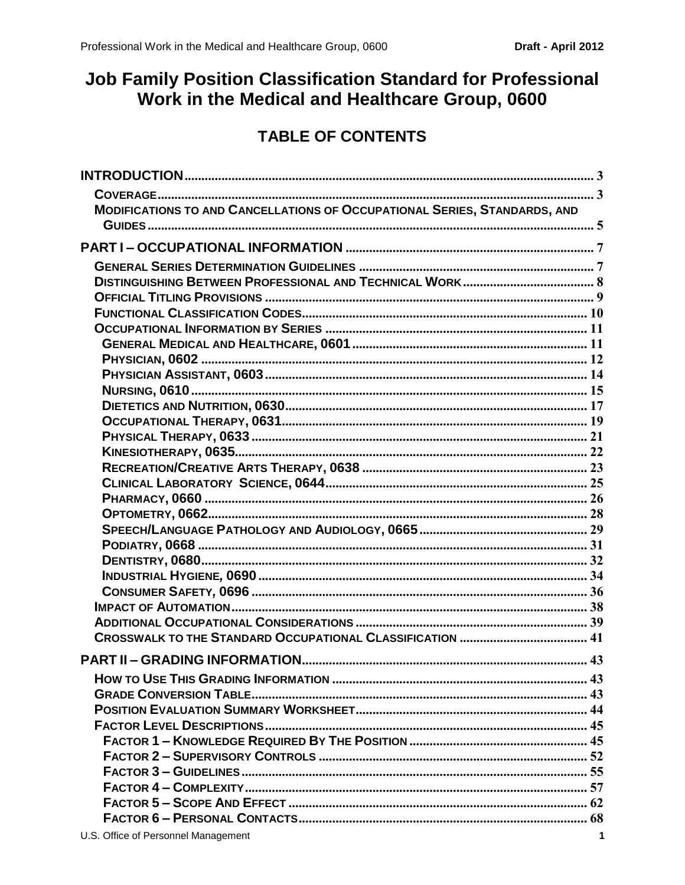# <span id="page-0-0"></span>Job Family Position Classification Standard for Professional Work in the Medical and Healthcare Group, 0600

# **TABLE OF CONTENTS**

| <b>MODIFICATIONS TO AND CANCELLATIONS OF OCCUPATIONAL SERIES, STANDARDS, AND</b> |  |
|----------------------------------------------------------------------------------|--|
|                                                                                  |  |
|                                                                                  |  |
|                                                                                  |  |
|                                                                                  |  |
|                                                                                  |  |
|                                                                                  |  |
|                                                                                  |  |
|                                                                                  |  |
|                                                                                  |  |
|                                                                                  |  |
|                                                                                  |  |
|                                                                                  |  |
|                                                                                  |  |
|                                                                                  |  |
|                                                                                  |  |
|                                                                                  |  |
|                                                                                  |  |
|                                                                                  |  |
|                                                                                  |  |
|                                                                                  |  |
|                                                                                  |  |
|                                                                                  |  |
|                                                                                  |  |
|                                                                                  |  |
|                                                                                  |  |
|                                                                                  |  |
|                                                                                  |  |
|                                                                                  |  |
|                                                                                  |  |
|                                                                                  |  |
|                                                                                  |  |
|                                                                                  |  |
|                                                                                  |  |
|                                                                                  |  |
|                                                                                  |  |
|                                                                                  |  |
|                                                                                  |  |
|                                                                                  |  |
| ILS Office of Personnal Management                                               |  |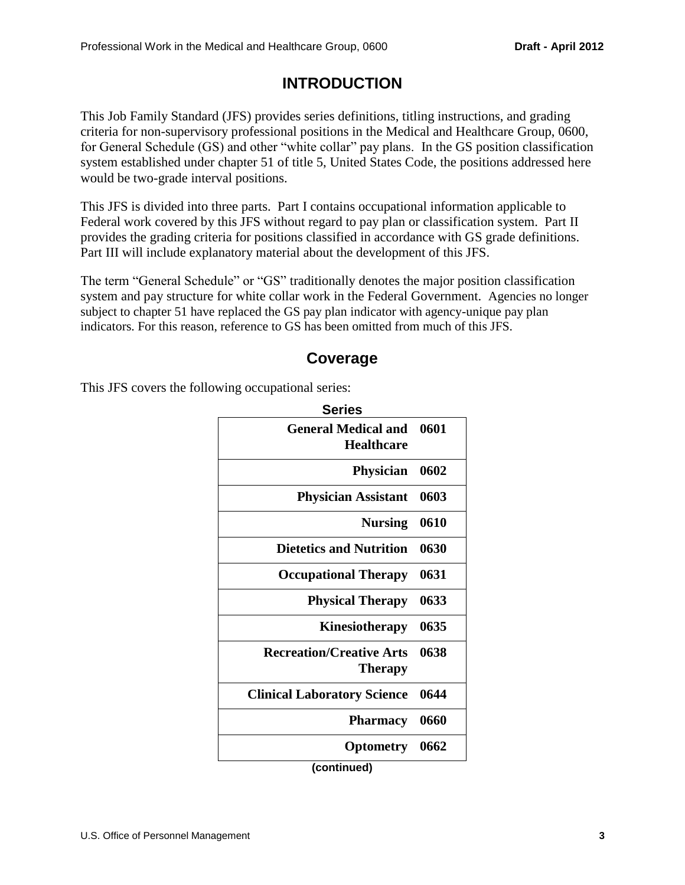## **INTRODUCTION**

<span id="page-2-0"></span>This Job Family Standard (JFS) provides series definitions, titling instructions, and grading criteria for non-supervisory professional positions in the Medical and Healthcare Group, 0600, for General Schedule (GS) and other "white collar" pay plans. In the GS position classification system established under chapter 51 of title 5, United States Code, the positions addressed here would be two-grade interval positions.

This JFS is divided into three parts. Part I contains occupational information applicable to Federal work covered by this JFS without regard to pay plan or classification system. Part II provides the grading criteria for positions classified in accordance with GS grade definitions. Part III will include explanatory material about the development of this JFS.

The term "General Schedule" or "GS" traditionally denotes the major position classification system and pay structure for white collar work in the Federal Government. Agencies no longer subject to chapter 51 have replaced the GS pay plan indicator with agency-unique pay plan indicators. For this reason, reference to GS has been omitted from much of this JFS.

## **Coverage**

<span id="page-2-1"></span>This JFS covers the following occupational series:

| <b>Series</b>                                     |      |
|---------------------------------------------------|------|
| <b>General Medical and</b><br><b>Healthcare</b>   | 0601 |
| <b>Physician</b>                                  | 0602 |
| <b>Physician Assistant</b>                        | 0603 |
| <b>Nursing</b>                                    | 0610 |
| <b>Dietetics and Nutrition</b>                    | 0630 |
| <b>Occupational Therapy</b>                       | 0631 |
| <b>Physical Therapy</b>                           | 0633 |
| Kinesiotherapy                                    | 0635 |
| <b>Recreation/Creative Arts</b><br><b>Therapy</b> | 0638 |
| <b>Clinical Laboratory Science</b>                | 0644 |
| <b>Pharmacy</b>                                   | 0660 |
| <b>Optometry</b>                                  | 0662 |
| (continued)                                       |      |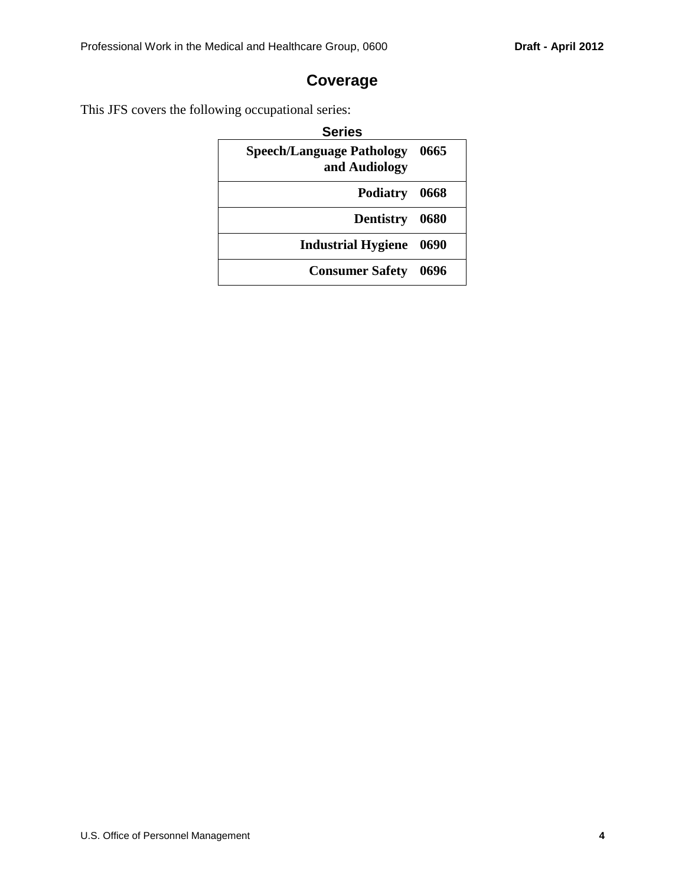## **Coverage**

This JFS covers the following occupational series:

| <b>Series</b>                                     |        |
|---------------------------------------------------|--------|
| <b>Speech/Language Pathology</b><br>and Audiology | - 0665 |
| Podiatry 0668                                     |        |
| Dentistry 0680                                    |        |
| <b>Industrial Hygiene</b>                         | - 0690 |
| <b>Consumer Safety</b>                            | 0696   |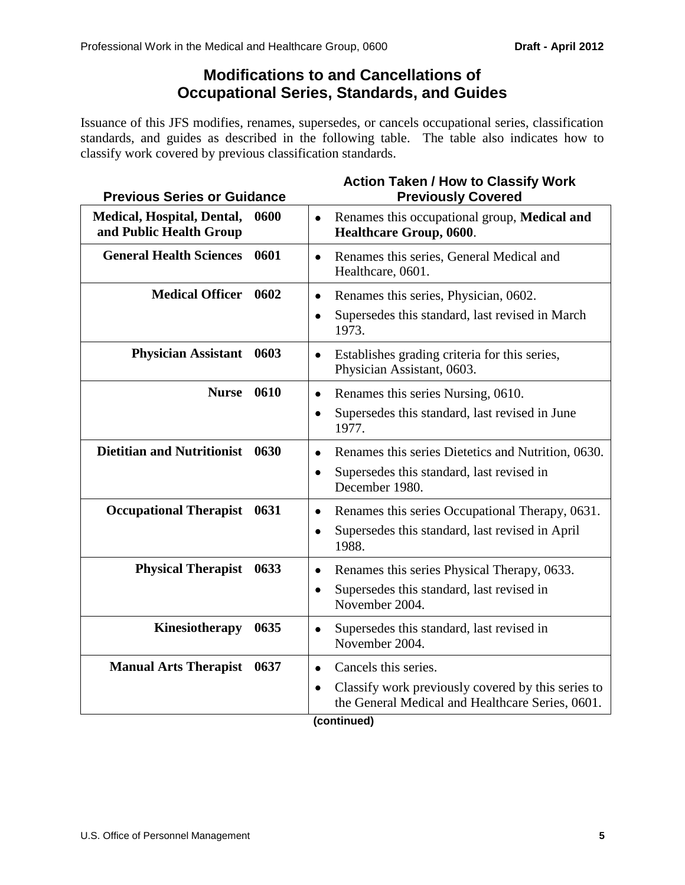## **Modifications to and Cancellations of Occupational Series, Standards, and Guides**

<span id="page-4-0"></span>Issuance of this JFS modifies, renames, supersedes, or cancels occupational series, classification standards, and guides as described in the following table. The table also indicates how to classify work covered by previous classification standards.

| <b>Previous Series or Guidance</b>                                   | <b>Action Taken / How to Classify Work</b><br><b>Previously Covered</b>                                                                                  |
|----------------------------------------------------------------------|----------------------------------------------------------------------------------------------------------------------------------------------------------|
| 0600<br><b>Medical, Hospital, Dental,</b><br>and Public Health Group | Renames this occupational group, Medical and<br>$\bullet$<br>Healthcare Group, 0600.                                                                     |
| <b>General Health Sciences</b><br>0601                               | Renames this series, General Medical and<br>$\bullet$<br>Healthcare, 0601.                                                                               |
| <b>Medical Officer</b><br>0602                                       | Renames this series, Physician, 0602.<br>$\bullet$<br>Supersedes this standard, last revised in March<br>$\bullet$<br>1973.                              |
| <b>Physician Assistant</b><br>0603                                   | Establishes grading criteria for this series,<br>$\bullet$<br>Physician Assistant, 0603.                                                                 |
| 0610<br><b>Nurse</b>                                                 | Renames this series Nursing, 0610.<br>$\bullet$<br>Supersedes this standard, last revised in June<br>$\bullet$<br>1977.                                  |
| <b>Dietitian and Nutritionist</b><br>0630                            | Renames this series Dietetics and Nutrition, 0630.<br>$\bullet$<br>Supersedes this standard, last revised in<br>$\bullet$<br>December 1980.              |
| <b>Occupational Therapist</b><br>0631                                | Renames this series Occupational Therapy, 0631.<br>$\bullet$<br>Supersedes this standard, last revised in April<br>$\bullet$<br>1988.                    |
| <b>Physical Therapist</b><br>0633                                    | Renames this series Physical Therapy, 0633.<br>$\bullet$<br>Supersedes this standard, last revised in<br>$\bullet$<br>November 2004.                     |
| Kinesiotherapy<br>0635                                               | Supersedes this standard, last revised in<br>$\bullet$<br>November 2004.                                                                                 |
| <b>Manual Arts Therapist</b><br>0637                                 | Cancels this series.<br>$\bullet$<br>Classify work previously covered by this series to<br>$\bullet$<br>the General Medical and Healthcare Series, 0601. |

#### **(continued)**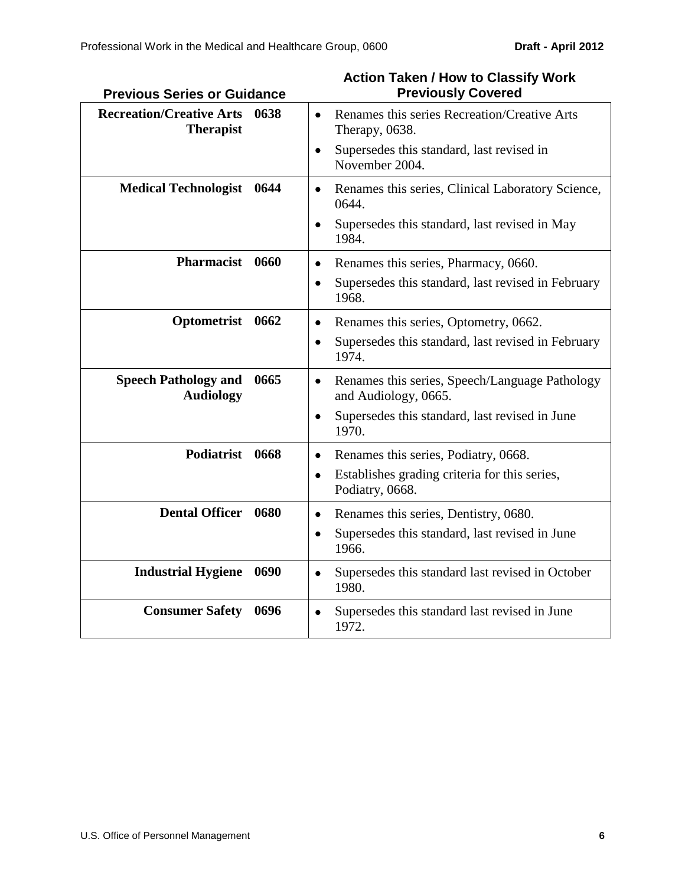| <b>Previous Series or Guidance</b>                          | <b>Previously Covered</b>                                                           |
|-------------------------------------------------------------|-------------------------------------------------------------------------------------|
| <b>Recreation/Creative Arts</b><br>0638<br><b>Therapist</b> | Renames this series Recreation/Creative Arts<br>Therapy, 0638.                      |
|                                                             | Supersedes this standard, last revised in<br>$\bullet$<br>November 2004.            |
| <b>Medical Technologist</b><br>0644                         | Renames this series, Clinical Laboratory Science,<br>$\bullet$<br>0644.             |
|                                                             | Supersedes this standard, last revised in May<br>1984.                              |
| Pharmacist 0660                                             | Renames this series, Pharmacy, 0660.<br>$\bullet$                                   |
|                                                             | Supersedes this standard, last revised in February<br>$\bullet$<br>1968.            |
| Optometrist 0662                                            | Renames this series, Optometry, 0662.<br>٠                                          |
|                                                             | Supersedes this standard, last revised in February<br>$\bullet$<br>1974.            |
| <b>Speech Pathology and</b><br>0665<br><b>Audiology</b>     | Renames this series, Speech/Language Pathology<br>$\bullet$<br>and Audiology, 0665. |
|                                                             | Supersedes this standard, last revised in June<br>$\bullet$<br>1970.                |
| Podiatrist 0668                                             | Renames this series, Podiatry, 0668.<br>$\bullet$                                   |
|                                                             | Establishes grading criteria for this series,<br>$\bullet$<br>Podiatry, 0668.       |
| <b>Dental Officer</b><br>0680                               | Renames this series, Dentistry, 0680.<br>$\bullet$                                  |
|                                                             | Supersedes this standard, last revised in June<br>$\bullet$<br>1966.                |
| <b>Industrial Hygiene</b><br>0690                           | Supersedes this standard last revised in October<br>$\bullet$<br>1980.              |
| <b>Consumer Safety</b><br>0696                              | Supersedes this standard last revised in June<br>1972.                              |

#### **Action Taken / How to Classify Work Previously Covered**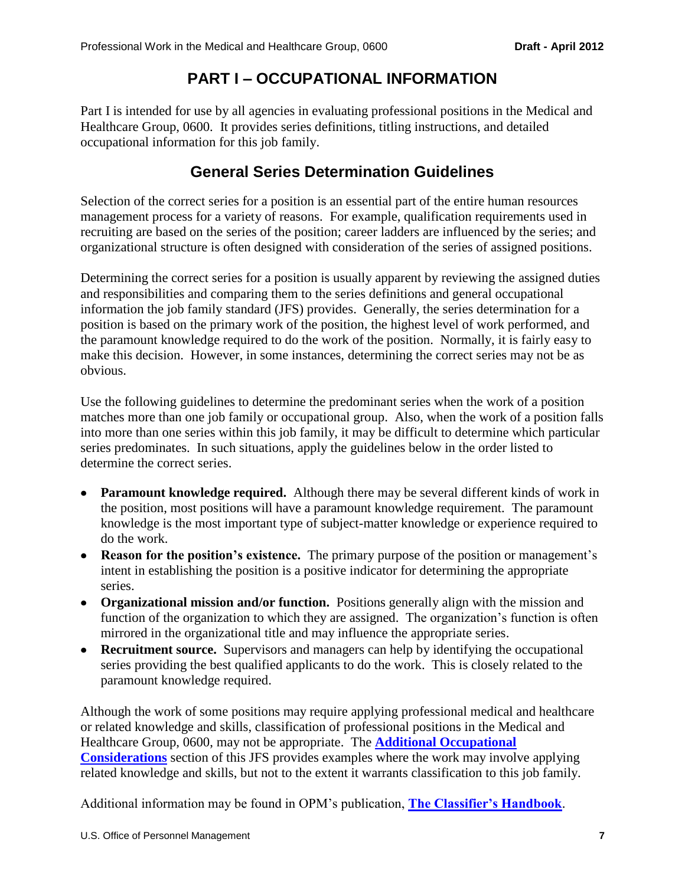# **PART I – OCCUPATIONAL INFORMATION**

<span id="page-6-0"></span>Part I is intended for use by all agencies in evaluating professional positions in the Medical and Healthcare Group, 0600. It provides series definitions, titling instructions, and detailed occupational information for this job family.

## **General Series Determination Guidelines**

<span id="page-6-1"></span>Selection of the correct series for a position is an essential part of the entire human resources management process for a variety of reasons. For example, qualification requirements used in recruiting are based on the series of the position; career ladders are influenced by the series; and organizational structure is often designed with consideration of the series of assigned positions.

Determining the correct series for a position is usually apparent by reviewing the assigned duties and responsibilities and comparing them to the series definitions and general occupational information the job family standard (JFS) provides. Generally, the series determination for a position is based on the primary work of the position, the highest level of work performed, and the paramount knowledge required to do the work of the position. Normally, it is fairly easy to make this decision. However, in some instances, determining the correct series may not be as obvious.

Use the following guidelines to determine the predominant series when the work of a position matches more than one job family or occupational group. Also, when the work of a position falls into more than one series within this job family, it may be difficult to determine which particular series predominates. In such situations, apply the guidelines below in the order listed to determine the correct series.

- **Paramount knowledge required.** Although there may be several different kinds of work in the position, most positions will have a paramount knowledge requirement. The paramount knowledge is the most important type of subject-matter knowledge or experience required to do the work.
- **Reason for the position's existence.** The primary purpose of the position or management's intent in establishing the position is a positive indicator for determining the appropriate series.
- **Organizational mission and/or function.** Positions generally align with the mission and function of the organization to which they are assigned. The organization's function is often mirrored in the organizational title and may influence the appropriate series.
- **Recruitment source.** Supervisors and managers can help by identifying the occupational series providing the best qualified applicants to do the work. This is closely related to the paramount knowledge required.

Although the work of some positions may require applying professional medical and healthcare or related knowledge and skills, classification of professional positions in the Medical and Healthcare Group, 0600, may not be appropriate. The **[Additional Occupational](#page-38-0)  [Considerations](#page-38-0)** section of this JFS provides examples where the work may involve applying related knowledge and skills, but not to the extent it warrants classification to this job family.

Additional information may be found in OPM's publication, **[The Classifier's Handbook](http://www.opm.gov/fedclass/clashnbk.pdf)**.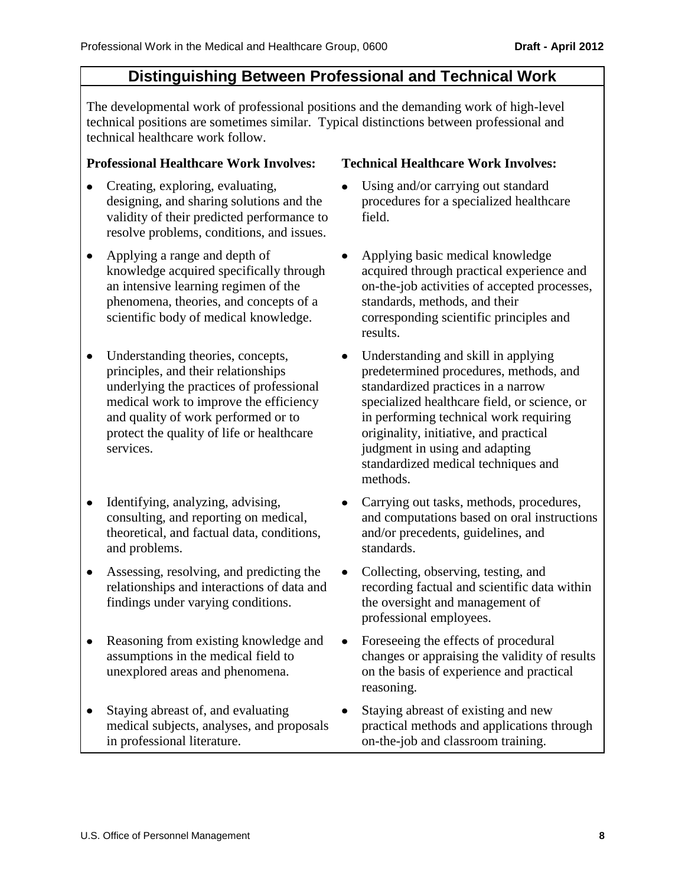## **Distinguishing Between Professional and Technical Work**

<span id="page-7-0"></span>The developmental work of professional positions and the demanding work of high-level technical positions are sometimes similar. Typical distinctions between professional and technical healthcare work follow.

#### **Professional Healthcare Work Involves: Technical Healthcare Work Involves:**

- Creating, exploring, evaluating, designing, and sharing solutions and the validity of their predicted performance to resolve problems, conditions, and issues.
- Applying a range and depth of knowledge acquired specifically through an intensive learning regimen of the phenomena, theories, and concepts of a scientific body of medical knowledge.
- Understanding theories, concepts, principles, and their relationships underlying the practices of professional medical work to improve the efficiency and quality of work performed or to protect the quality of life or healthcare services.
- $\bullet$ Identifying, analyzing, advising, consulting, and reporting on medical, theoretical, and factual data, conditions, and problems.
- Assessing, resolving, and predicting the relationships and interactions of data and findings under varying conditions.
- $\bullet$ Reasoning from existing knowledge and assumptions in the medical field to unexplored areas and phenomena.
- Staying abreast of, and evaluating  $\bullet$ medical subjects, analyses, and proposals in professional literature.

- Using and/or carrying out standard procedures for a specialized healthcare field.
- Applying basic medical knowledge  $\bullet$ acquired through practical experience and on-the-job activities of accepted processes, standards, methods, and their corresponding scientific principles and results.
- $\bullet$ Understanding and skill in applying predetermined procedures, methods, and standardized practices in a narrow specialized healthcare field, or science, or in performing technical work requiring originality, initiative, and practical judgment in using and adapting standardized medical techniques and methods.
- Carrying out tasks, methods, procedures,  $\bullet$ and computations based on oral instructions and/or precedents, guidelines, and standards.
- $\bullet$ Collecting, observing, testing, and recording factual and scientific data within the oversight and management of professional employees.
- Foreseeing the effects of procedural  $\bullet$ changes or appraising the validity of results on the basis of experience and practical reasoning.
- Staying abreast of existing and new  $\bullet$ practical methods and applications through on-the-job and classroom training.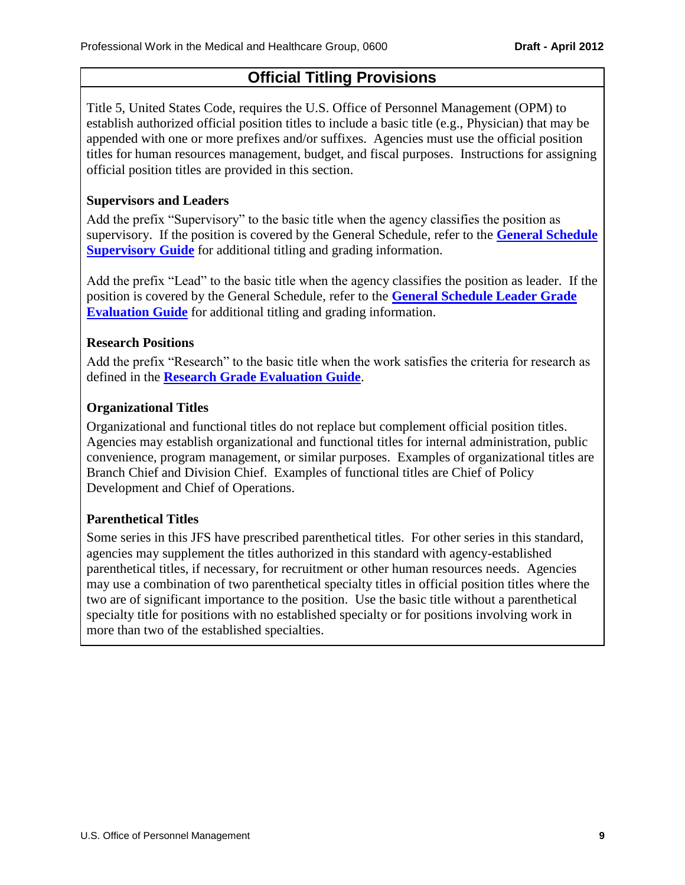## **Official Titling Provisions**

<span id="page-8-0"></span>Title 5, United States Code, requires the U.S. Office of Personnel Management (OPM) to establish authorized official position titles to include a basic title (e.g., Physician) that may be appended with one or more prefixes and/or suffixes. Agencies must use the official position titles for human resources management, budget, and fiscal purposes. Instructions for assigning official position titles are provided in this section.

#### **Supervisors and Leaders**

Add the prefix "Supervisory" to the basic title when the agency classifies the position as supervisory. If the position is covered by the General Schedule, refer to the **[General Schedule](http://www.opm.gov/fedclass/GSSG.pdf)  [Supervisory Guide](http://www.opm.gov/fedclass/GSSG.pdf)** for additional titling and grading information.

Add the prefix "Lead" to the basic title when the agency classifies the position as leader. If the position is covered by the General Schedule, refer to the **[General Schedule Leader Grade](http://www.opm.gov/fedclass/gslead.pdf)  [Evaluation Guide](http://www.opm.gov/fedclass/gslead.pdf)** for additional titling and grading information.

#### **Research Positions**

Add the prefix "Research" to the basic title when the work satisfies the criteria for research as defined in the **[Research Grade Evaluation Guide](http://www.opm.gov/fedclass/gsresch.pdf)**.

#### **Organizational Titles**

Organizational and functional titles do not replace but complement official position titles. Agencies may establish organizational and functional titles for internal administration, public convenience, program management, or similar purposes. Examples of organizational titles are Branch Chief and Division Chief. Examples of functional titles are Chief of Policy Development and Chief of Operations.

#### **Parenthetical Titles**

Some series in this JFS have prescribed parenthetical titles. For other series in this standard, agencies may supplement the titles authorized in this standard with agency-established parenthetical titles, if necessary, for recruitment or other human resources needs. Agencies may use a combination of two parenthetical specialty titles in official position titles where the two are of significant importance to the position. Use the basic title without a parenthetical specialty title for positions with no established specialty or for positions involving work in more than two of the established specialties.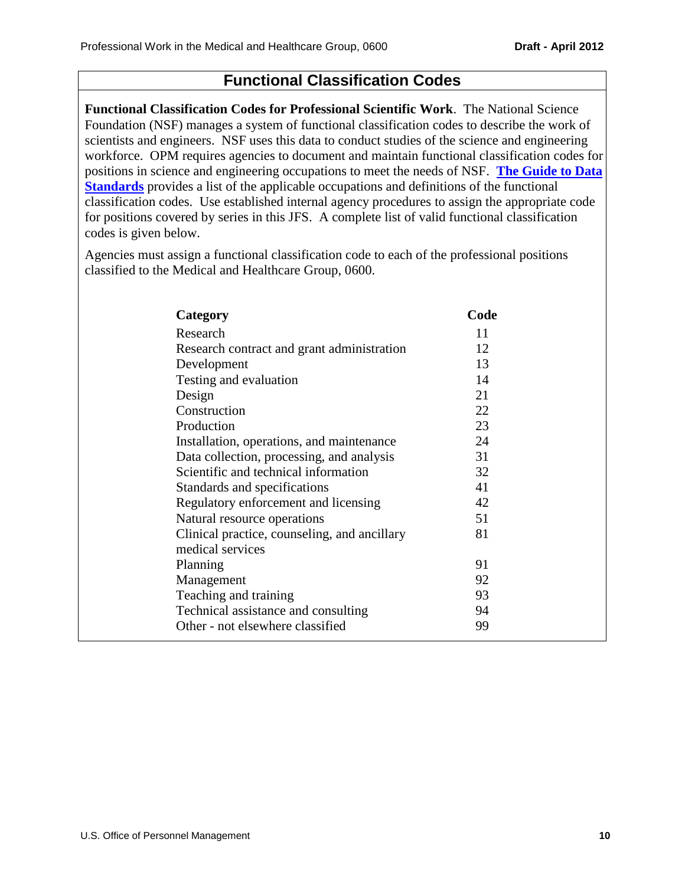## **Functional Classification Codes**

<span id="page-9-0"></span>**Functional Classification Codes for Professional Scientific Work**. The National Science Foundation (NSF) manages a system of functional classification codes to describe the work of scientists and engineers. NSF uses this data to conduct studies of the science and engineering workforce. OPM requires agencies to document and maintain functional classification codes for positions in science and engineering occupations to meet the needs of NSF. **[The Guide to Data](http://www.opm.gov/feddata/GDS/GDS_A04.pdf)  [Standards](http://www.opm.gov/feddata/GDS/GDS_A04.pdf)** provides a list of the applicable occupations and definitions of the functional classification codes. Use established internal agency procedures to assign the appropriate code for positions covered by series in this JFS. A complete list of valid functional classification codes is given below.

Agencies must assign a functional classification code to each of the professional positions classified to the Medical and Healthcare Group, 0600.

| Category                                     | Code |
|----------------------------------------------|------|
| Research                                     | 11   |
| Research contract and grant administration   | 12   |
| Development                                  | 13   |
| Testing and evaluation                       | 14   |
| Design                                       | 21   |
| Construction                                 | 22   |
| Production                                   | 23   |
| Installation, operations, and maintenance    | 24   |
| Data collection, processing, and analysis    | 31   |
| Scientific and technical information         | 32   |
| Standards and specifications                 | 41   |
| Regulatory enforcement and licensing         | 42   |
| Natural resource operations                  | 51   |
| Clinical practice, counseling, and ancillary | 81   |
| medical services                             |      |
| Planning                                     | 91   |
| Management                                   | 92   |
| Teaching and training                        | 93   |
| Technical assistance and consulting          | 94   |
| Other - not elsewhere classified             | 99   |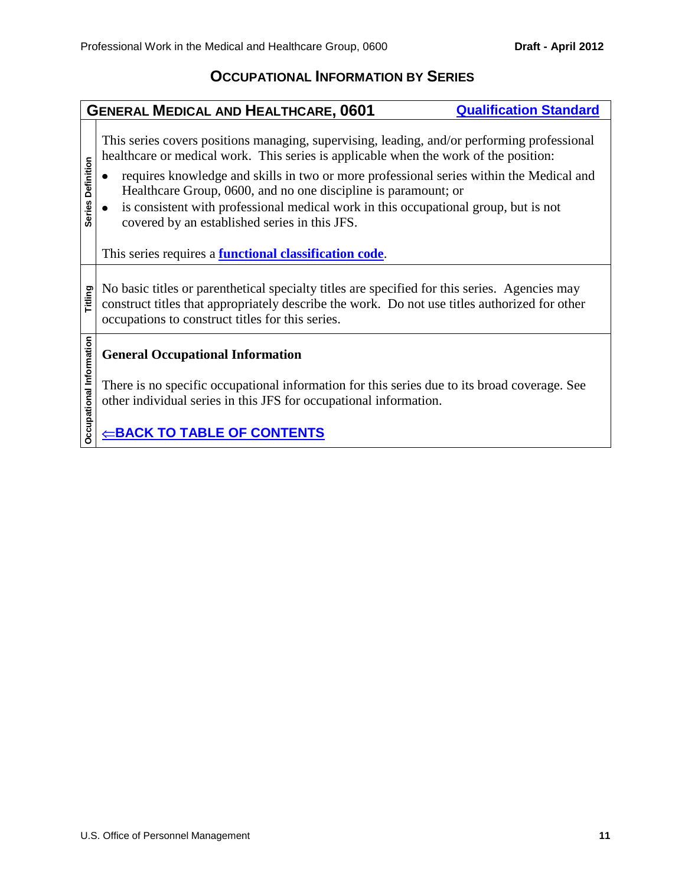#### **OCCUPATIONAL INFORMATION BY SERIES**

#### <span id="page-10-1"></span><span id="page-10-0"></span>**GENERAL MEDICAL AND HEALTHCARE, 0601 [Qualification Standard](http://www.opm.gov/qualifications/standards/indexes/0600-ndx.asp)** This series covers positions managing, supervising, leading, and/or performing professional healthcare or medical work. This series is applicable when the work of the position: **Series Definition Series Definition**  $\bullet$ requires knowledge and skills in two or more professional series within the Medical and Healthcare Group, 0600, and no one discipline is paramount; or is consistent with professional medical work in this occupational group, but is not  $\bullet$ covered by an established series in this JFS. This series requires a **[functional classification code](#page-9-0)**. **Titling** No basic titles or parenthetical specialty titles are specified for this series. Agencies may construct titles that appropriately describe the work. Do not use titles authorized for other occupations to construct titles for this series. **Decupational Information Occupational Information General Occupational Information** There is no specific occupational information for this series due to its broad coverage. See other individual series in this JFS for occupational information.  $⊑$ **[BACK TO TABLE OF CONTENTS](#page-0-0)**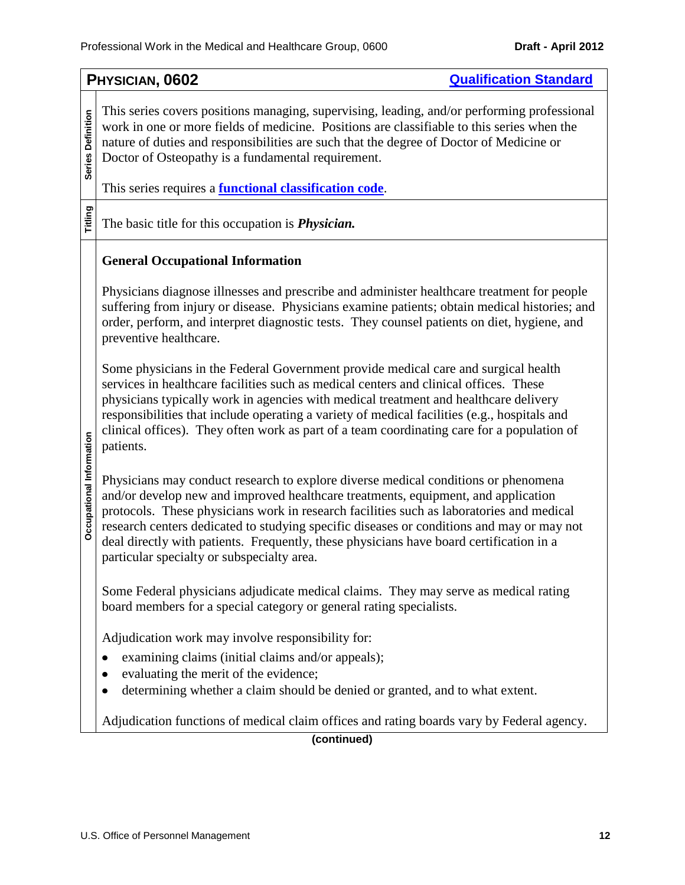<span id="page-11-0"></span>

|                          | PHYSICIAN, 0602<br><b>Qualification Standard</b>                                                                                                                                                                                                                                                                                                                                                                                                                                                          |  |
|--------------------------|-----------------------------------------------------------------------------------------------------------------------------------------------------------------------------------------------------------------------------------------------------------------------------------------------------------------------------------------------------------------------------------------------------------------------------------------------------------------------------------------------------------|--|
| Series Definition        | This series covers positions managing, supervising, leading, and/or performing professional<br>work in one or more fields of medicine. Positions are classifiable to this series when the<br>nature of duties and responsibilities are such that the degree of Doctor of Medicine or<br>Doctor of Osteopathy is a fundamental requirement.                                                                                                                                                                |  |
|                          | This series requires a <b>functional classification code</b> .                                                                                                                                                                                                                                                                                                                                                                                                                                            |  |
| Titling                  | The basic title for this occupation is <i>Physician</i> .                                                                                                                                                                                                                                                                                                                                                                                                                                                 |  |
|                          | <b>General Occupational Information</b>                                                                                                                                                                                                                                                                                                                                                                                                                                                                   |  |
|                          | Physicians diagnose illnesses and prescribe and administer healthcare treatment for people<br>suffering from injury or disease. Physicians examine patients; obtain medical histories; and<br>order, perform, and interpret diagnostic tests. They counsel patients on diet, hygiene, and<br>preventive healthcare.                                                                                                                                                                                       |  |
|                          | Some physicians in the Federal Government provide medical care and surgical health<br>services in healthcare facilities such as medical centers and clinical offices. These<br>physicians typically work in agencies with medical treatment and healthcare delivery<br>responsibilities that include operating a variety of medical facilities (e.g., hospitals and<br>clinical offices). They often work as part of a team coordinating care for a population of<br>patients.                            |  |
| Occupational Information | Physicians may conduct research to explore diverse medical conditions or phenomena<br>and/or develop new and improved healthcare treatments, equipment, and application<br>protocols. These physicians work in research facilities such as laboratories and medical<br>research centers dedicated to studying specific diseases or conditions and may or may not<br>deal directly with patients. Frequently, these physicians have board certification in a<br>particular specialty or subspecialty area. |  |
|                          | Some Federal physicians adjudicate medical claims. They may serve as medical rating<br>board members for a special category or general rating specialists.                                                                                                                                                                                                                                                                                                                                                |  |
|                          | Adjudication work may involve responsibility for:                                                                                                                                                                                                                                                                                                                                                                                                                                                         |  |
|                          | examining claims (initial claims and/or appeals);                                                                                                                                                                                                                                                                                                                                                                                                                                                         |  |
|                          | evaluating the merit of the evidence;                                                                                                                                                                                                                                                                                                                                                                                                                                                                     |  |
|                          | determining whether a claim should be denied or granted, and to what extent.                                                                                                                                                                                                                                                                                                                                                                                                                              |  |
|                          | Adjudication functions of medical claim offices and rating boards vary by Federal agency.                                                                                                                                                                                                                                                                                                                                                                                                                 |  |
|                          | (continued)                                                                                                                                                                                                                                                                                                                                                                                                                                                                                               |  |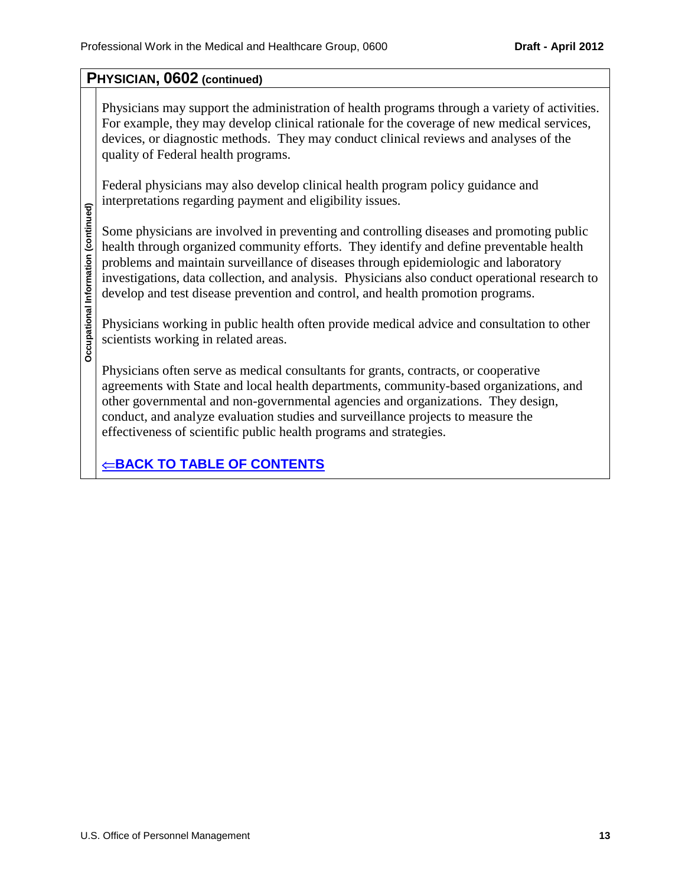## **PHYSICIAN, 0602 (continued)**

Physicians may support the administration of health programs through a variety of activities. For example, they may develop clinical rationale for the coverage of new medical services, devices, or diagnostic methods. They may conduct clinical reviews and analyses of the quality of Federal health programs.

Federal physicians may also develop clinical health program policy guidance and interpretations regarding payment and eligibility issues.

Some physicians are involved in preventing and controlling diseases and promoting public health through organized community efforts. They identify and define preventable health problems and maintain surveillance of diseases through epidemiologic and laboratory investigations, data collection, and analysis. Physicians also conduct operational research to develop and test disease prevention and control, and health promotion programs.

Physicians working in public health often provide medical advice and consultation to other scientists working in related areas.

Physicians often serve as medical consultants for grants, contracts, or cooperative agreements with State and local health departments, community-based organizations, and other governmental and non-governmental agencies and organizations. They design, conduct, and analyze evaluation studies and surveillance projects to measure the effectiveness of scientific public health programs and strategies.

 $⊑$ **[BACK TO TABLE OF CONTENTS](#page-0-0)**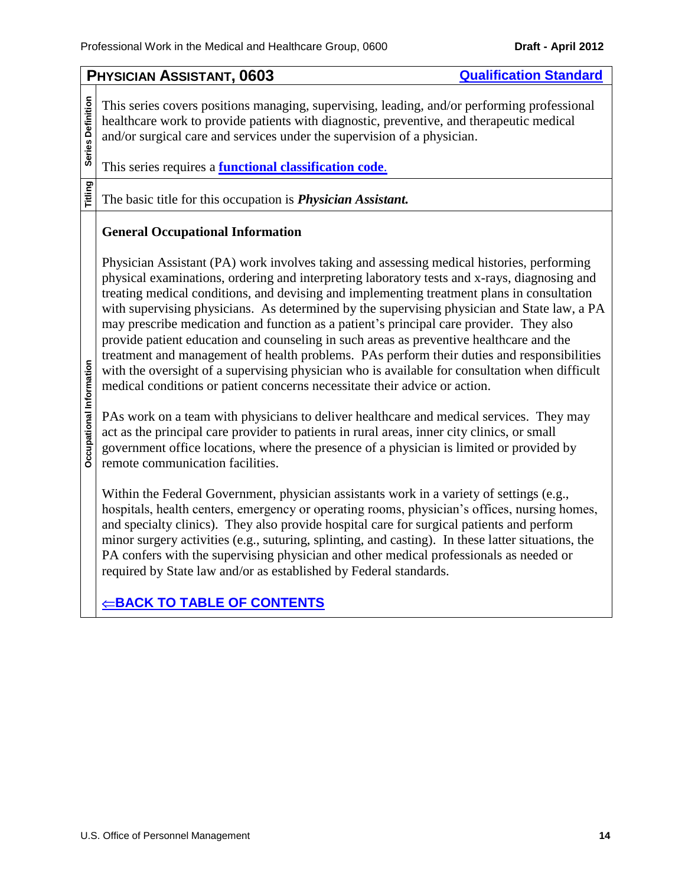<span id="page-13-0"></span>

|                                 | <b>Qualification Standard</b><br>PHYSICIAN ASSISTANT, 0603                                                                                                                                                                                                                                                                                                                                                                                                                                                                                                                                                                                                                                                                                                                                                                                                                                                                                                                                                                                                                                                                                                                           |  |  |
|---------------------------------|--------------------------------------------------------------------------------------------------------------------------------------------------------------------------------------------------------------------------------------------------------------------------------------------------------------------------------------------------------------------------------------------------------------------------------------------------------------------------------------------------------------------------------------------------------------------------------------------------------------------------------------------------------------------------------------------------------------------------------------------------------------------------------------------------------------------------------------------------------------------------------------------------------------------------------------------------------------------------------------------------------------------------------------------------------------------------------------------------------------------------------------------------------------------------------------|--|--|
| Series Definition               | This series covers positions managing, supervising, leading, and/or performing professional<br>healthcare work to provide patients with diagnostic, preventive, and therapeutic medical<br>and/or surgical care and services under the supervision of a physician.<br>This series requires a <b>functional classification code</b> .                                                                                                                                                                                                                                                                                                                                                                                                                                                                                                                                                                                                                                                                                                                                                                                                                                                 |  |  |
| <b>Titling</b>                  | The basic title for this occupation is <i>Physician Assistant</i> .                                                                                                                                                                                                                                                                                                                                                                                                                                                                                                                                                                                                                                                                                                                                                                                                                                                                                                                                                                                                                                                                                                                  |  |  |
|                                 | <b>General Occupational Information</b>                                                                                                                                                                                                                                                                                                                                                                                                                                                                                                                                                                                                                                                                                                                                                                                                                                                                                                                                                                                                                                                                                                                                              |  |  |
| <b>Occupational Information</b> | Physician Assistant (PA) work involves taking and assessing medical histories, performing<br>physical examinations, ordering and interpreting laboratory tests and x-rays, diagnosing and<br>treating medical conditions, and devising and implementing treatment plans in consultation<br>with supervising physicians. As determined by the supervising physician and State law, a PA<br>may prescribe medication and function as a patient's principal care provider. They also<br>provide patient education and counseling in such areas as preventive healthcare and the<br>treatment and management of health problems. PAs perform their duties and responsibilities<br>with the oversight of a supervising physician who is available for consultation when difficult<br>medical conditions or patient concerns necessitate their advice or action.<br>PAs work on a team with physicians to deliver healthcare and medical services. They may<br>act as the principal care provider to patients in rural areas, inner city clinics, or small<br>government office locations, where the presence of a physician is limited or provided by<br>remote communication facilities. |  |  |
|                                 | Within the Federal Government, physician assistants work in a variety of settings (e.g.,<br>hospitals, health centers, emergency or operating rooms, physician's offices, nursing homes,<br>and specialty clinics). They also provide hospital care for surgical patients and perform<br>minor surgery activities (e.g., suturing, splinting, and casting). In these latter situations, the<br>PA confers with the supervising physician and other medical professionals as needed or<br>required by State law and/or as established by Federal standards.                                                                                                                                                                                                                                                                                                                                                                                                                                                                                                                                                                                                                           |  |  |
|                                 | <u> ←BACK TO TABLE OF CONTENTS</u>                                                                                                                                                                                                                                                                                                                                                                                                                                                                                                                                                                                                                                                                                                                                                                                                                                                                                                                                                                                                                                                                                                                                                   |  |  |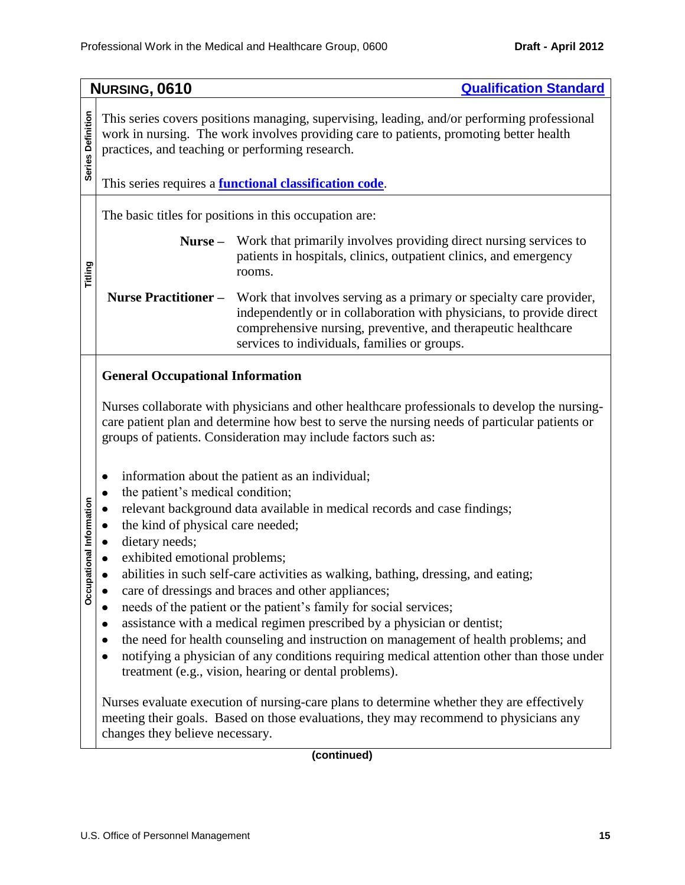<span id="page-14-0"></span>

|                     | NURSING, 0610<br><b>Qualification Standard</b>                                          |                                                                                                                                                                                                                                                                                                                                                                                                                                                                                                                                        |
|---------------------|-----------------------------------------------------------------------------------------|----------------------------------------------------------------------------------------------------------------------------------------------------------------------------------------------------------------------------------------------------------------------------------------------------------------------------------------------------------------------------------------------------------------------------------------------------------------------------------------------------------------------------------------|
| Series Definition   | practices, and teaching or performing research.                                         | This series covers positions managing, supervising, leading, and/or performing professional<br>work in nursing. The work involves providing care to patients, promoting better health<br>This series requires a <b>functional classification code</b> .                                                                                                                                                                                                                                                                                |
|                     |                                                                                         |                                                                                                                                                                                                                                                                                                                                                                                                                                                                                                                                        |
|                     |                                                                                         | The basic titles for positions in this occupation are:                                                                                                                                                                                                                                                                                                                                                                                                                                                                                 |
| Titling             | $Nurse -$                                                                               | Work that primarily involves providing direct nursing services to<br>patients in hospitals, clinics, outpatient clinics, and emergency<br>rooms.                                                                                                                                                                                                                                                                                                                                                                                       |
|                     | <b>Nurse Practitioner -</b>                                                             | Work that involves serving as a primary or specialty care provider,<br>independently or in collaboration with physicians, to provide direct<br>comprehensive nursing, preventive, and therapeutic healthcare<br>services to individuals, families or groups.                                                                                                                                                                                                                                                                           |
|                     | <b>General Occupational Information</b>                                                 |                                                                                                                                                                                                                                                                                                                                                                                                                                                                                                                                        |
|                     |                                                                                         | Nurses collaborate with physicians and other healthcare professionals to develop the nursing-<br>care patient plan and determine how best to serve the nursing needs of particular patients or<br>groups of patients. Consideration may include factors such as:                                                                                                                                                                                                                                                                       |
| ational Information | the patient's medical condition;<br>the kind of physical care needed;<br>dietary needs; | information about the patient as an individual;<br>relevant background data available in medical records and case findings;                                                                                                                                                                                                                                                                                                                                                                                                            |
| Occupa              | exhibited emotional problems;                                                           | abilities in such self-care activities as walking, bathing, dressing, and eating;<br>care of dressings and braces and other appliances;<br>needs of the patient or the patient's family for social services;<br>assistance with a medical regimen prescribed by a physician or dentist;<br>the need for health counseling and instruction on management of health problems; and<br>notifying a physician of any conditions requiring medical attention other than those under<br>treatment (e.g., vision, hearing or dental problems). |
|                     | changes they believe necessary.                                                         | Nurses evaluate execution of nursing-care plans to determine whether they are effectively<br>meeting their goals. Based on those evaluations, they may recommend to physicians any                                                                                                                                                                                                                                                                                                                                                     |
|                     |                                                                                         | (continued)                                                                                                                                                                                                                                                                                                                                                                                                                                                                                                                            |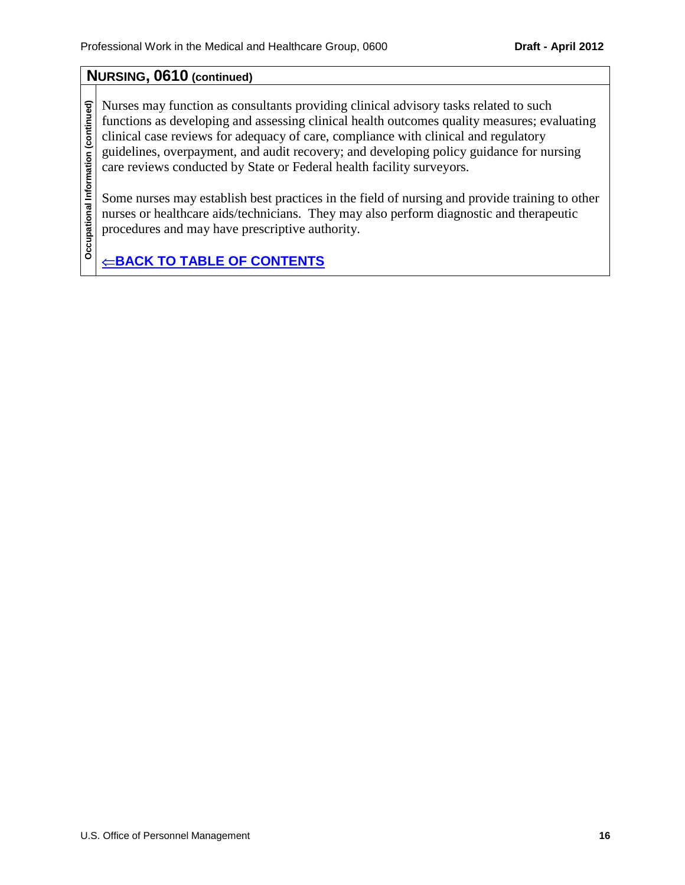## **NURSING, 0610 (continued)**

Nurses may function as consultants providing clinical advisory tasks related to such functions as developing and assessing clinical health outcomes quality measures; evaluating clinical case reviews for adequacy of care, compliance with clinical and regulatory guidelines, overpayment, and audit recovery; and developing policy guidance for nursing care reviews conducted by State or Federal health facility surveyors.

Some nurses may establish best practices in the field of nursing and provide training to other nurses or healthcare aids/technicians. They may also perform diagnostic and therapeutic procedures and may have prescriptive authority.

 $⊸$ **[BACK TO TABLE OF CONTENTS](#page-0-0)**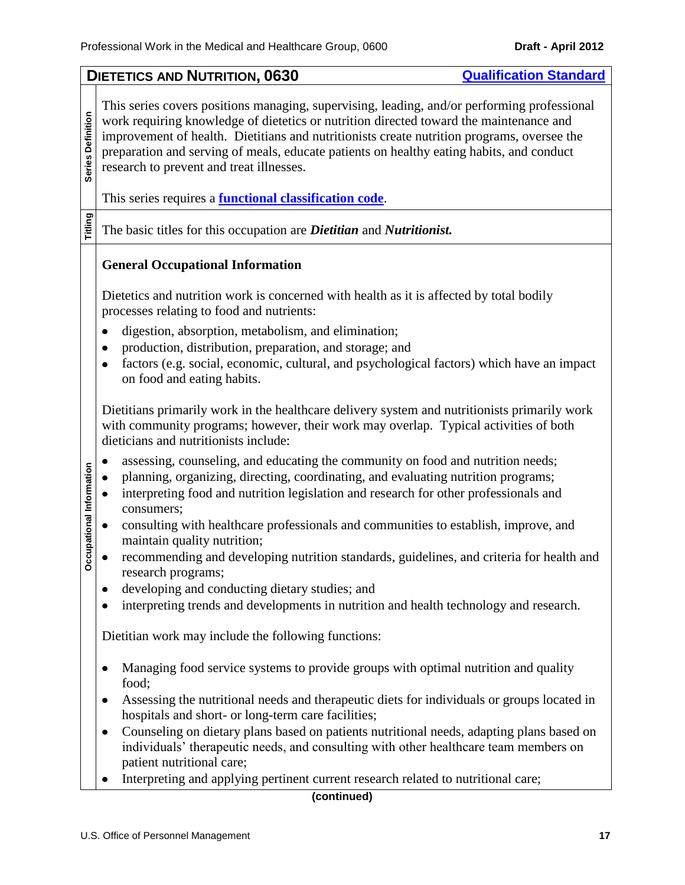<span id="page-16-0"></span>

|                          | <b>DIETETICS AND NUTRITION, 0630</b><br><b>Qualification Standard</b>                                                                                                                                                                                                                                                                                                                                                       |  |  |
|--------------------------|-----------------------------------------------------------------------------------------------------------------------------------------------------------------------------------------------------------------------------------------------------------------------------------------------------------------------------------------------------------------------------------------------------------------------------|--|--|
| Series Definition        | This series covers positions managing, supervising, leading, and/or performing professional<br>work requiring knowledge of dietetics or nutrition directed toward the maintenance and<br>improvement of health. Dietitians and nutritionists create nutrition programs, oversee the<br>preparation and serving of meals, educate patients on healthy eating habits, and conduct<br>research to prevent and treat illnesses. |  |  |
|                          | This series requires a <b>functional classification code</b> .                                                                                                                                                                                                                                                                                                                                                              |  |  |
| Titling                  | The basic titles for this occupation are <i>Dietitian</i> and <i>Nutritionist</i> .                                                                                                                                                                                                                                                                                                                                         |  |  |
|                          | <b>General Occupational Information</b>                                                                                                                                                                                                                                                                                                                                                                                     |  |  |
|                          | Dietetics and nutrition work is concerned with health as it is affected by total bodily<br>processes relating to food and nutrients:                                                                                                                                                                                                                                                                                        |  |  |
|                          | digestion, absorption, metabolism, and elimination;<br>٠                                                                                                                                                                                                                                                                                                                                                                    |  |  |
|                          | production, distribution, preparation, and storage; and<br>factors (e.g. social, economic, cultural, and psychological factors) which have an impact<br>٠<br>on food and eating habits.                                                                                                                                                                                                                                     |  |  |
|                          | Dietitians primarily work in the healthcare delivery system and nutritionists primarily work<br>with community programs; however, their work may overlap. Typical activities of both<br>dieticians and nutritionists include:                                                                                                                                                                                               |  |  |
| Occupational Information | assessing, counseling, and educating the community on food and nutrition needs;<br>planning, organizing, directing, coordinating, and evaluating nutrition programs;<br>interpreting food and nutrition legislation and research for other professionals and<br>consumers;                                                                                                                                                  |  |  |
|                          | consulting with healthcare professionals and communities to establish, improve, and<br>maintain quality nutrition;                                                                                                                                                                                                                                                                                                          |  |  |
|                          | recommending and developing nutrition standards, guidelines, and criteria for health and<br>research programs;                                                                                                                                                                                                                                                                                                              |  |  |
|                          | developing and conducting dietary studies; and                                                                                                                                                                                                                                                                                                                                                                              |  |  |
|                          | interpreting trends and developments in nutrition and health technology and research.                                                                                                                                                                                                                                                                                                                                       |  |  |
|                          | Dietitian work may include the following functions:                                                                                                                                                                                                                                                                                                                                                                         |  |  |
|                          | Managing food service systems to provide groups with optimal nutrition and quality<br>food;                                                                                                                                                                                                                                                                                                                                 |  |  |
|                          | Assessing the nutritional needs and therapeutic diets for individuals or groups located in<br>hospitals and short- or long-term care facilities;                                                                                                                                                                                                                                                                            |  |  |
|                          | Counseling on dietary plans based on patients nutritional needs, adapting plans based on<br>individuals' therapeutic needs, and consulting with other healthcare team members on<br>patient nutritional care;                                                                                                                                                                                                               |  |  |
|                          | Interpreting and applying pertinent current research related to nutritional care;                                                                                                                                                                                                                                                                                                                                           |  |  |
|                          | (continued)                                                                                                                                                                                                                                                                                                                                                                                                                 |  |  |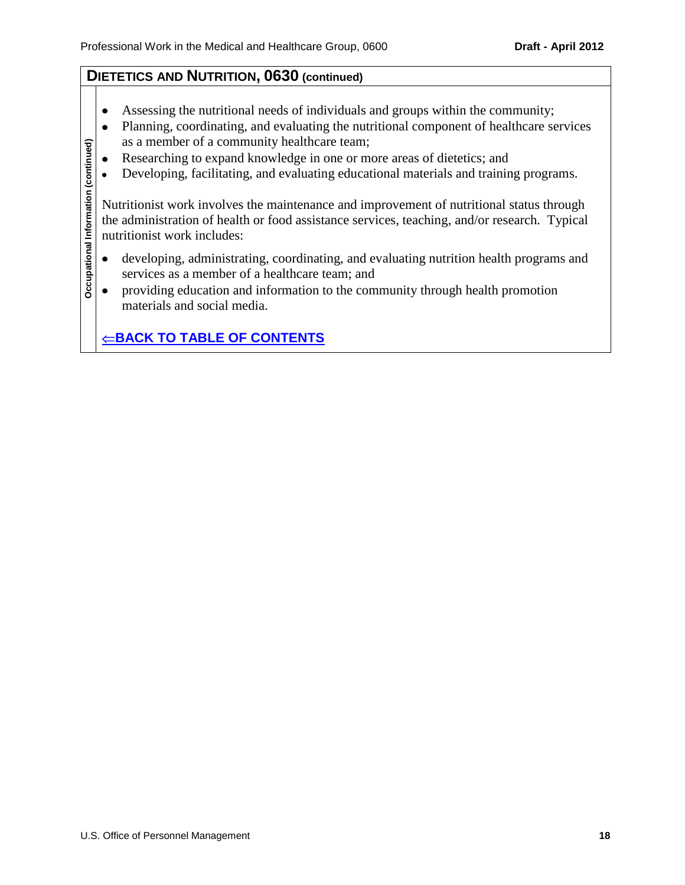## **DIETETICS AND NUTRITION, 0630 (continued)**

- $\bullet$ Assessing the nutritional needs of individuals and groups within the community;
- Planning, coordinating, and evaluating the nutritional component of healthcare services  $\bullet$ as a member of a community healthcare team;
- Researching to expand knowledge in one or more areas of dietetics; and  $\bullet$
- Developing, facilitating, and evaluating educational materials and training programs.  $\bullet$

**Occupational Information (continued)** Nutritionist work involves the maintenance and improvement of nutritional status through the administration of health or food assistance services, teaching, and/or research. Typical nutritionist work includes:

- developing, administrating, coordinating, and evaluating nutrition health programs and  $\bullet$ services as a member of a healthcare team; and
- providing education and information to the community through health promotion  $\bullet$ materials and social media.

 $⊸$ **[BACK TO TABLE OF CONTENTS](#page-0-0)** 

Occupational Information (continued)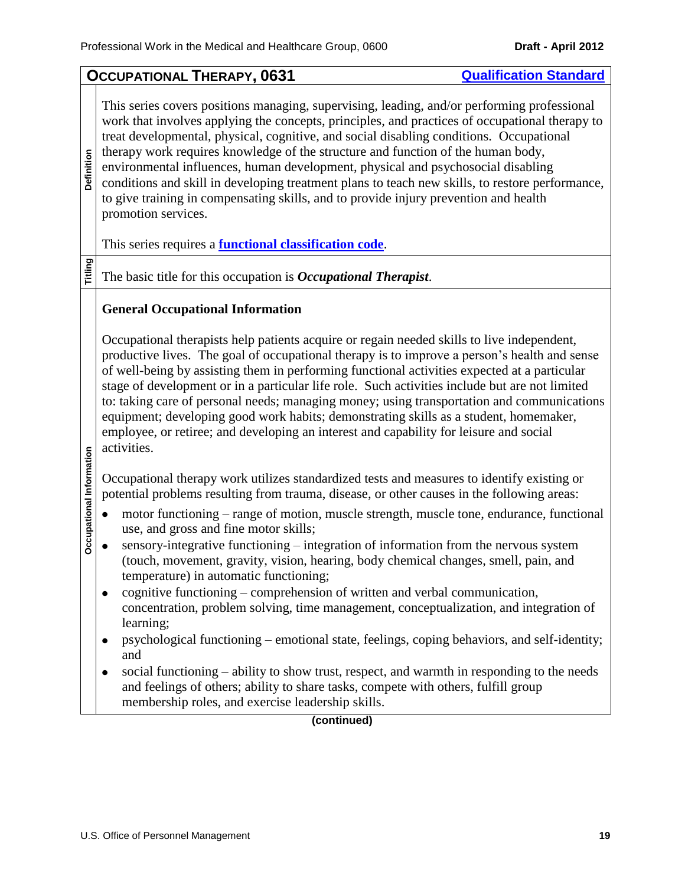<span id="page-18-0"></span>

|                          | <b>OCCUPATIONAL THERAPY, 0631</b><br><b>Qualification Standard</b>                                                                                                                                                                                                                                                                                                                                                                                                                                                                                                                                                                                                                           |
|--------------------------|----------------------------------------------------------------------------------------------------------------------------------------------------------------------------------------------------------------------------------------------------------------------------------------------------------------------------------------------------------------------------------------------------------------------------------------------------------------------------------------------------------------------------------------------------------------------------------------------------------------------------------------------------------------------------------------------|
| Definition               | This series covers positions managing, supervising, leading, and/or performing professional<br>work that involves applying the concepts, principles, and practices of occupational therapy to<br>treat developmental, physical, cognitive, and social disabling conditions. Occupational<br>therapy work requires knowledge of the structure and function of the human body,<br>environmental influences, human development, physical and psychosocial disabling<br>conditions and skill in developing treatment plans to teach new skills, to restore performance,<br>to give training in compensating skills, and to provide injury prevention and health<br>promotion services.           |
|                          | This series requires a <b>functional classification code</b> .                                                                                                                                                                                                                                                                                                                                                                                                                                                                                                                                                                                                                               |
| Titling                  | The basic title for this occupation is <i>Occupational Therapist</i> .                                                                                                                                                                                                                                                                                                                                                                                                                                                                                                                                                                                                                       |
|                          | <b>General Occupational Information</b>                                                                                                                                                                                                                                                                                                                                                                                                                                                                                                                                                                                                                                                      |
|                          | Occupational therapists help patients acquire or regain needed skills to live independent,<br>productive lives. The goal of occupational therapy is to improve a person's health and sense<br>of well-being by assisting them in performing functional activities expected at a particular<br>stage of development or in a particular life role. Such activities include but are not limited<br>to: taking care of personal needs; managing money; using transportation and communications<br>equipment; developing good work habits; demonstrating skills as a student, homemaker,<br>employee, or retiree; and developing an interest and capability for leisure and social<br>activities. |
|                          | Occupational therapy work utilizes standardized tests and measures to identify existing or<br>potential problems resulting from trauma, disease, or other causes in the following areas:                                                                                                                                                                                                                                                                                                                                                                                                                                                                                                     |
| Occupational Information | motor functioning – range of motion, muscle strength, muscle tone, endurance, functional<br>use, and gross and fine motor skills;<br>sensory-integrative functioning - integration of information from the nervous system<br>(touch, movement, gravity, vision, hearing, body chemical changes, smell, pain, and<br>temperature) in automatic functioning;                                                                                                                                                                                                                                                                                                                                   |
|                          | cognitive functioning – comprehension of written and verbal communication,<br>concentration, problem solving, time management, conceptualization, and integration of<br>learning;                                                                                                                                                                                                                                                                                                                                                                                                                                                                                                            |
|                          | psychological functioning - emotional state, feelings, coping behaviors, and self-identity;<br>and                                                                                                                                                                                                                                                                                                                                                                                                                                                                                                                                                                                           |
|                          | social functioning – ability to show trust, respect, and warmth in responding to the needs<br>and feelings of others; ability to share tasks, compete with others, fulfill group<br>membership roles, and exercise leadership skills.                                                                                                                                                                                                                                                                                                                                                                                                                                                        |
|                          | (continued)                                                                                                                                                                                                                                                                                                                                                                                                                                                                                                                                                                                                                                                                                  |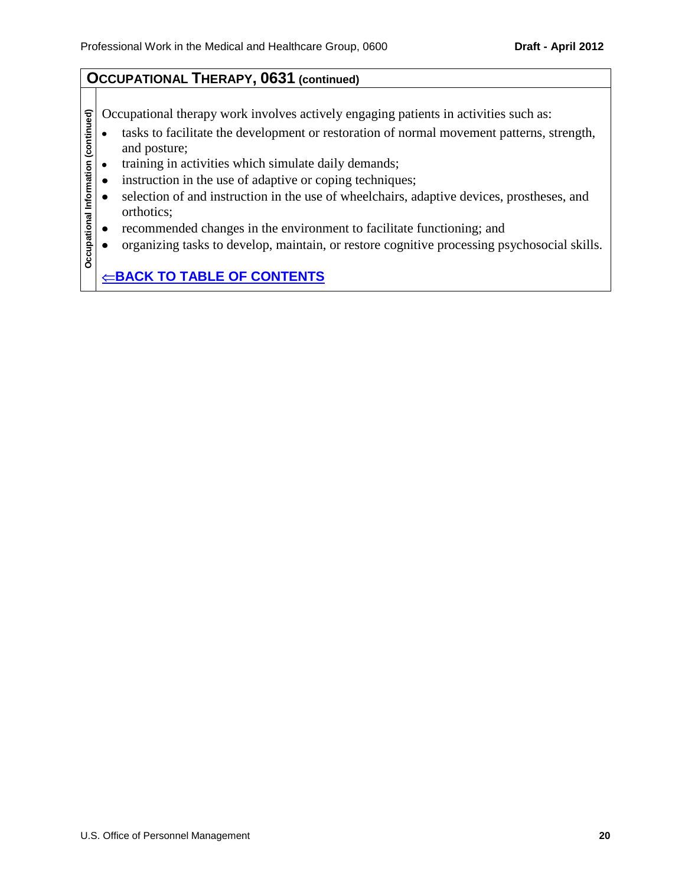### **OCCUPATIONAL THERAPY, 0631 (continued)**

Occupational therapy work involves actively engaging patients in activities such as:

- Occupational Information (continued) **Occupational Information (continued)** tasks to facilitate the development or restoration of normal movement patterns, strength,  $\bullet$ and posture;
	- training in activities which simulate daily demands;  $\bullet$
	- instruction in the use of adaptive or coping techniques;  $\bullet$
	- $\bullet$ selection of and instruction in the use of wheelchairs, adaptive devices, prostheses, and orthotics;
	- $\bullet$ recommended changes in the environment to facilitate functioning; and
	- organizing tasks to develop, maintain, or restore cognitive processing psychosocial skills.  $\bullet$

 $⊑$ **[BACK TO TABLE OF CONTENTS](#page-0-0)**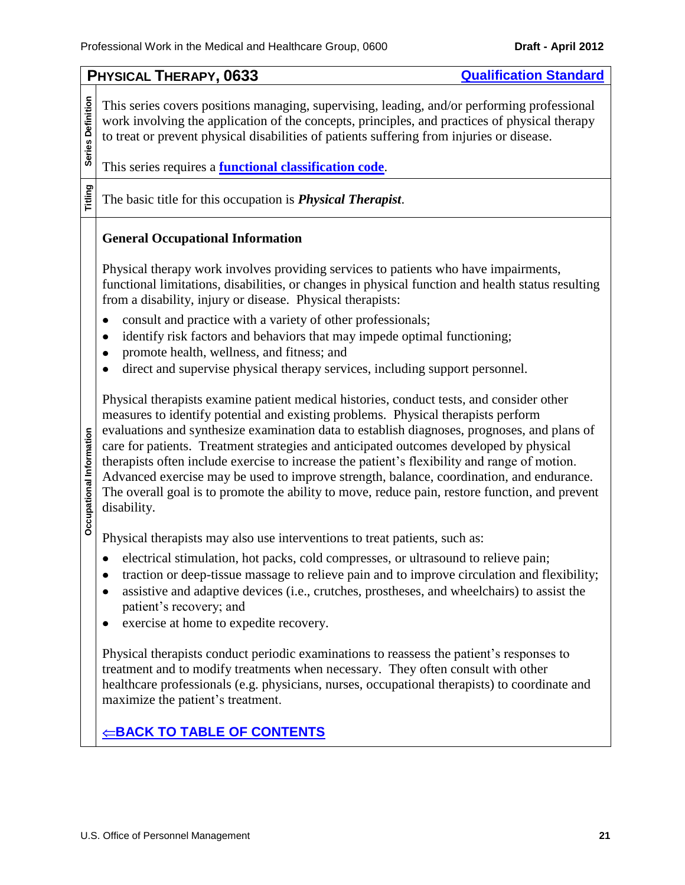<span id="page-20-0"></span>**PHYSICAL THERAPY, 0633 [Qualification Standard](http://www.opm.gov/qualifications/standards/indexes/0600-ndx.asp) Series Definition** Series Definition This series covers positions managing, supervising, leading, and/or performing professional work involving the application of the concepts, principles, and practices of physical therapy to treat or prevent physical disabilities of patients suffering from injuries or disease. This series requires a **[functional classification code](#page-9-0)**. **Titling** The basic title for this occupation is *Physical Therapist*. **General Occupational Information** Physical therapy work involves providing services to patients who have impairments, functional limitations, disabilities, or changes in physical function and health status resulting from a disability, injury or disease. Physical therapists: consult and practice with a variety of other professionals;  $\bullet$ identify risk factors and behaviors that may impede optimal functioning;  $\bullet$ promote health, wellness, and fitness; and  $\bullet$ direct and supervise physical therapy services, including support personnel.  $\bullet$ Physical therapists examine patient medical histories, conduct tests, and consider other measures to identify potential and existing problems. Physical therapists perform evaluations and synthesize examination data to establish diagnoses, prognoses, and plans of Occupational Information **Occupational Information** care for patients. Treatment strategies and anticipated outcomes developed by physical therapists often include exercise to increase the patient's flexibility and range of motion. Advanced exercise may be used to improve strength, balance, coordination, and endurance. The overall goal is to promote the ability to move, reduce pain, restore function, and prevent disability. Physical therapists may also use interventions to treat patients, such as: electrical stimulation, hot packs, cold compresses, or ultrasound to relieve pain;  $\bullet$ traction or deep-tissue massage to relieve pain and to improve circulation and flexibility;  $\bullet$ assistive and adaptive devices (i.e., crutches, prostheses, and wheelchairs) to assist the  $\bullet$ patient's recovery; and exercise at home to expedite recovery.  $\bullet$ Physical therapists conduct periodic examinations to reassess the patient's responses to treatment and to modify treatments when necessary. They often consult with other healthcare professionals (e.g. physicians, nurses, occupational therapists) to coordinate and maximize the patient's treatment.  $⊸$ **[BACK TO TABLE OF CONTENTS](#page-0-0)**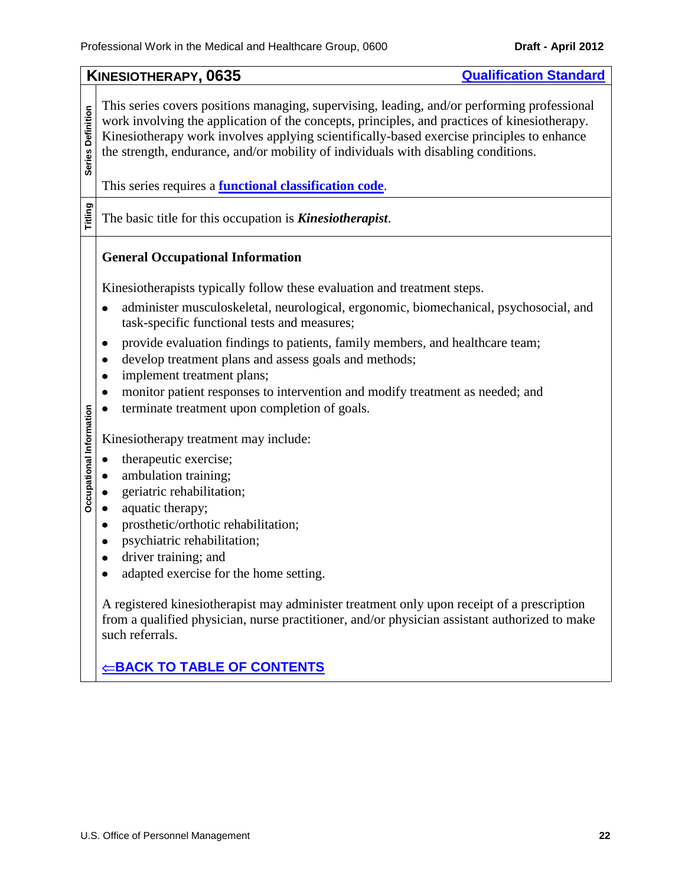<span id="page-21-0"></span>**KINESIOTHERAPY, 0635 CONSISTENT CONSISTENT CONSISTENT CONSISTENT CONSISTENT CONSISTENT CONSISTENT CONSISTENT CONSISTENT CONSISTENT CONSISTENT CONSISTENT CONSISTENT CONSISTENT CONSISTENT CONSISTENT CONSISTENT CONSISTENT** This series covers positions managing, supervising, leading, and/or performing professional **Series Definition Series Definition** work involving the application of the concepts, principles, and practices of kinesiotherapy. Kinesiotherapy work involves applying scientifically-based exercise principles to enhance the strength, endurance, and/or mobility of individuals with disabling conditions. This series requires a **[functional classification code](#page-9-0)**. **Titling** The basic title for this occupation is *Kinesiotherapist*. **General Occupational Information** Kinesiotherapists typically follow these evaluation and treatment steps. administer musculoskeletal, neurological, ergonomic, biomechanical, psychosocial, and  $\bullet$ task-specific functional tests and measures;  $\bullet$ provide evaluation findings to patients, family members, and healthcare team; develop treatment plans and assess goals and methods;  $\bullet$ implement treatment plans;  $\bullet$ monitor patient responses to intervention and modify treatment as needed; and  $\bullet$ terminate treatment upon completion of goals. Occupational Information  $\bullet$ **Occupational Information** Kinesiotherapy treatment may include:  $\bullet$ therapeutic exercise;  $\bullet$ ambulation training;  $\bullet$ geriatric rehabilitation; aquatic therapy;  $\bullet$ prosthetic/orthotic rehabilitation;  $\bullet$ psychiatric rehabilitation;  $\bullet$ driver training; and  $\bullet$ adapted exercise for the home setting.  $\bullet$ A registered kinesiotherapist may administer treatment only upon receipt of a prescription from a qualified physician, nurse practitioner, and/or physician assistant authorized to make such referrals.  $⊸$ **[BACK TO TABLE OF CONTENTS](#page-0-0)**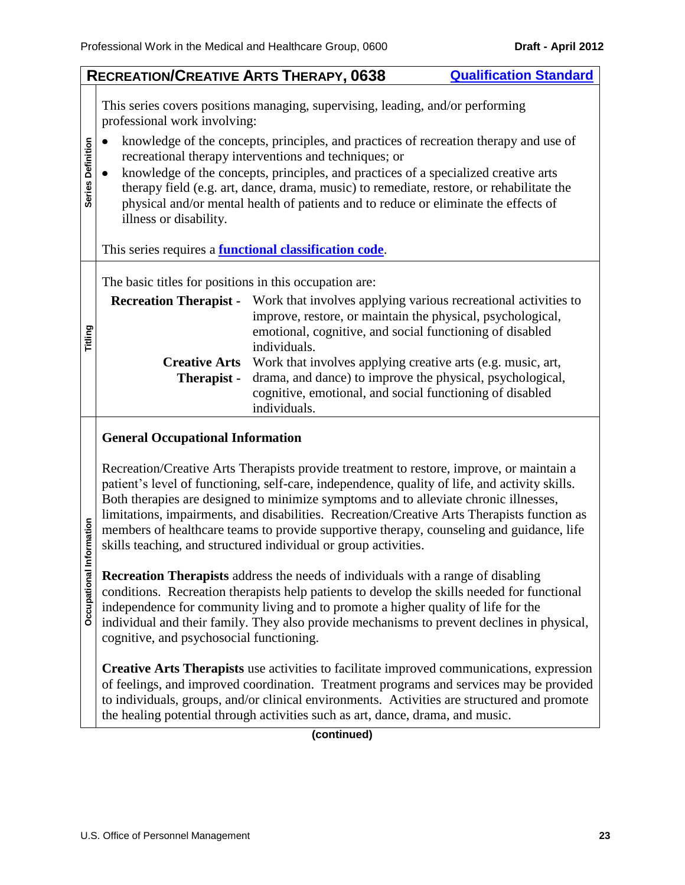<span id="page-22-0"></span>**RECREATION/CREATIVE ARTS THERAPY, 0638 [Qualification Standard](http://www.opm.gov/qualifications/standards/indexes/0600-ndx.asp)** This series covers positions managing, supervising, leading, and/or performing professional work involving: knowledge of the concepts, principles, and practices of recreation therapy and use of  $\bullet$ **Series Definition Series Definition** recreational therapy interventions and techniques; or  $\bullet$ knowledge of the concepts, principles, and practices of a specialized creative arts therapy field (e.g. art, dance, drama, music) to remediate, restore, or rehabilitate the physical and/or mental health of patients and to reduce or eliminate the effects of illness or disability. This series requires a **[functional classification code](#page-9-0)**. The basic titles for positions in this occupation are: **Recreation Therapist -** Work that involves applying various recreational activities to improve, restore, or maintain the physical, psychological, **Titling** emotional, cognitive, and social functioning of disabled individuals. **Creative Arts**  Work that involves applying creative arts (e.g. music, art, drama, and dance) to improve the physical, psychological, **Therapist**  cognitive, emotional, and social functioning of disabled individuals. **General Occupational Information**

Recreation/Creative Arts Therapists provide treatment to restore, improve, or maintain a patient's level of functioning, self-care, independence, quality of life, and activity skills. Both therapies are designed to minimize symptoms and to alleviate chronic illnesses, limitations, impairments, and disabilities. Recreation/Creative Arts Therapists function as members of healthcare teams to provide supportive therapy, counseling and guidance, life skills teaching, and structured individual or group activities.

**Occupational Information Occupational Information Recreation Therapists** address the needs of individuals with a range of disabling conditions. Recreation therapists help patients to develop the skills needed for functional independence for community living and to promote a higher quality of life for the individual and their family. They also provide mechanisms to prevent declines in physical, cognitive, and psychosocial functioning.

**Creative Arts Therapists** use activities to facilitate improved communications, expression of feelings, and improved coordination. Treatment programs and services may be provided to individuals, groups, and/or clinical environments. Activities are structured and promote the healing potential through activities such as art, dance, drama, and music.

**(continued)**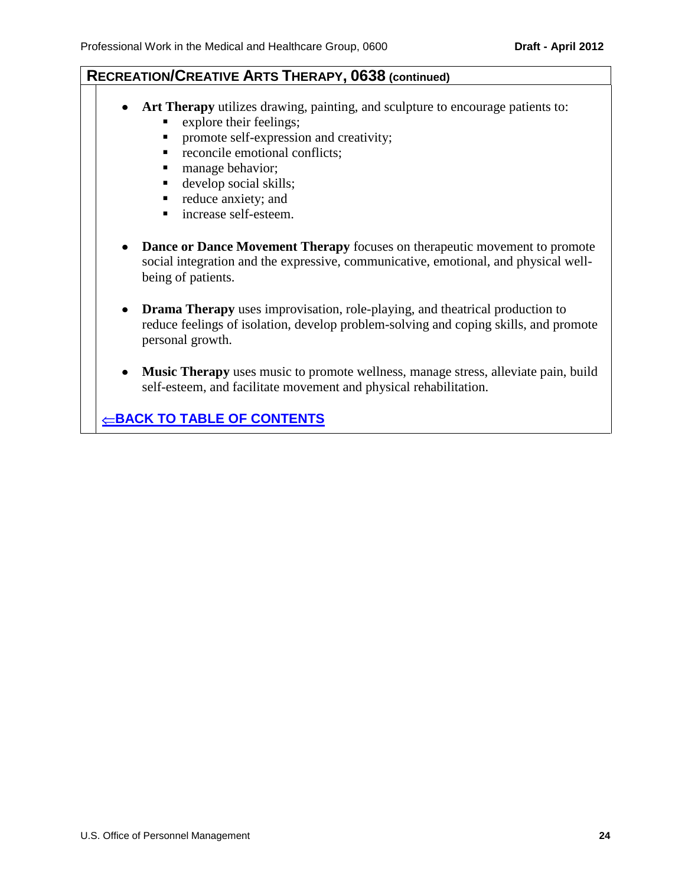## **RECREATION/CREATIVE ARTS THERAPY, 0638 (continued)**

- **Art Therapy** utilizes drawing, painting, and sculpture to encourage patients to: **Explore their feelings;** 
	- **PEDITE:** promote self-expression and creativity;
	- **reconcile emotional conflicts;**
	- manage behavior;
	- develop social skills;
	- reduce anxiety; and
	- increase self-esteem.
- **Dance or Dance Movement Therapy** focuses on the rapeutic movement to promote social integration and the expressive, communicative, emotional, and physical wellbeing of patients.
- **Drama Therapy** uses improvisation, role-playing, and theatrical production to reduce feelings of isolation, develop problem-solving and coping skills, and promote personal growth.
- **Music Therapy** uses music to promote wellness, manage stress, alleviate pain, build  $\bullet$ self-esteem, and facilitate movement and physical rehabilitation.

 $⊸$ **[BACK TO TABLE OF CONTENTS](#page-0-0)**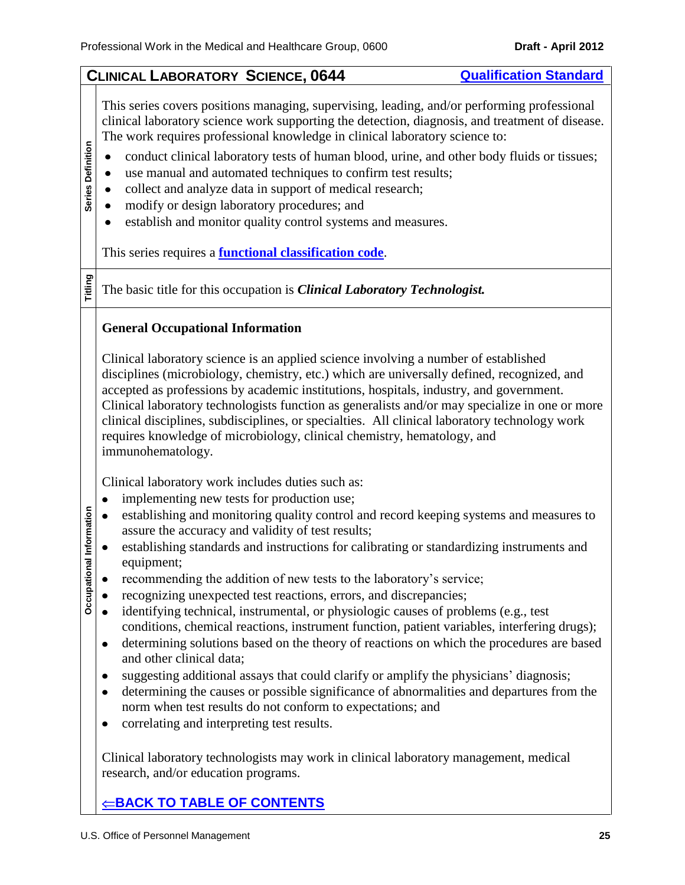#### <span id="page-24-0"></span>**CLINICAL LABORATORY SCIENCE, 0644 [Qualification Standard](http://www.opm.gov/qualifications/standards/indexes/0600-ndx.asp)**

This series covers positions managing, supervising, leading, and/or performing professional clinical laboratory science work supporting the detection, diagnosis, and treatment of disease. The work requires professional knowledge in clinical laboratory science to:

- conduct clinical laboratory tests of human blood, urine, and other body fluids or tissues;  $\bullet$
- use manual and automated techniques to confirm test results;  $\bullet$
- collect and analyze data in support of medical research;  $\bullet$
- modify or design laboratory procedures; and  $\bullet$
- establish and monitor quality control systems and measures.  $\bullet$

This series requires a **[functional classification code](#page-9-0)**.

**Titling**

Occupational Information

**Series Definition**

Series Definition

The basic title for this occupation is *Clinical Laboratory Technologist.*

#### **General Occupational Information**

Clinical laboratory science is an applied science involving a number of established disciplines (microbiology, chemistry, etc.) which are universally defined, recognized, and accepted as professions by academic institutions, hospitals, industry, and government. Clinical laboratory technologists function as generalists and/or may specialize in one or more clinical disciplines, subdisciplines, or specialties. All clinical laboratory technology work requires knowledge of microbiology, clinical chemistry, hematology, and immunohematology.

Clinical laboratory work includes duties such as:

- implementing new tests for production use;  $\bullet$
- $\bullet$ establishing and monitoring quality control and record keeping systems and measures to assure the accuracy and validity of test results;
- **Occupational Information**  $\bullet$ establishing standards and instructions for calibrating or standardizing instruments and equipment;
	- recommending the addition of new tests to the laboratory's service;  $\bullet$
	- recognizing unexpected test reactions, errors, and discrepancies;  $\bullet$
	- identifying technical, instrumental, or physiologic causes of problems (e.g., test  $\bullet$ conditions, chemical reactions, instrument function, patient variables, interfering drugs);
	- determining solutions based on the theory of reactions on which the procedures are based  $\bullet$ and other clinical data;
	- suggesting additional assays that could clarify or amplify the physicians' diagnosis;  $\bullet$
	- determining the causes or possible significance of abnormalities and departures from the  $\bullet$ norm when test results do not conform to expectations; and
	- correlating and interpreting test results.  $\bullet$

Clinical laboratory technologists may work in clinical laboratory management, medical research, and/or education programs.

## $⊕$ **[BACK TO TABLE OF CONTENTS](#page-0-0)**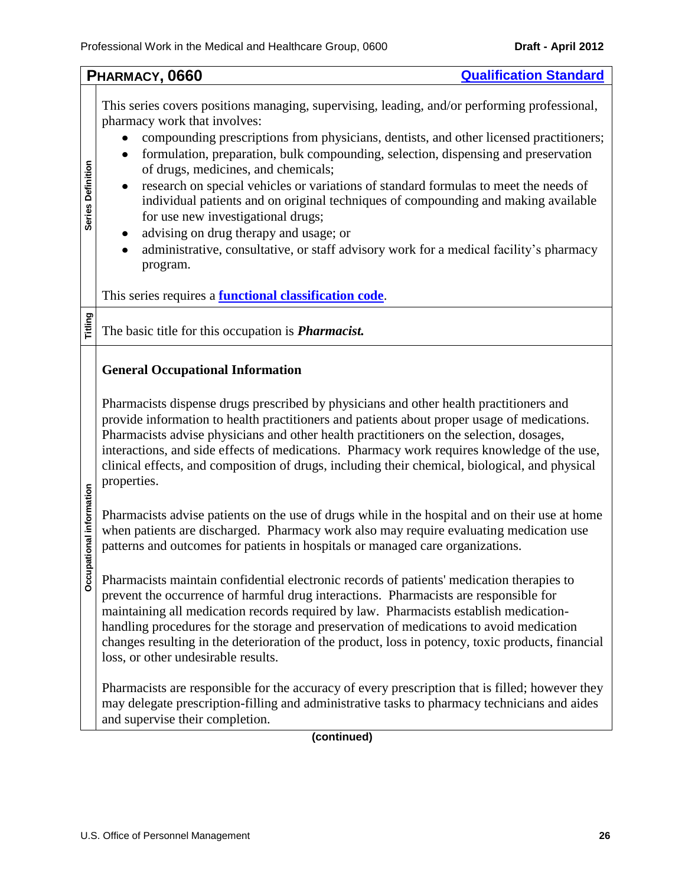<span id="page-25-0"></span>

| This series covers positions managing, supervising, leading, and/or performing professional,<br>pharmacy work that involves:<br>compounding prescriptions from physicians, dentists, and other licensed practitioners;<br>formulation, preparation, bulk compounding, selection, dispensing and preservation<br>$\bullet$<br>Series Definition<br>of drugs, medicines, and chemicals;<br>research on special vehicles or variations of standard formulas to meet the needs of<br>$\bullet$<br>individual patients and on original techniques of compounding and making available<br>for use new investigational drugs;<br>advising on drug therapy and usage; or<br>$\bullet$<br>administrative, consultative, or staff advisory work for a medical facility's pharmacy<br>$\bullet$<br>program.<br>This series requires a <b>functional classification code</b> .<br>Titling<br>The basic title for this occupation is <i>Pharmacist</i> .<br><b>General Occupational Information</b><br>Pharmacists dispense drugs prescribed by physicians and other health practitioners and<br>provide information to health practitioners and patients about proper usage of medications.<br>Pharmacists advise physicians and other health practitioners on the selection, dosages,<br>interactions, and side effects of medications. Pharmacy work requires knowledge of the use,<br>clinical effects, and composition of drugs, including their chemical, biological, and physical<br>properties.<br>Occupational information<br>Pharmacists advise patients on the use of drugs while in the hospital and on their use at home<br>when patients are discharged. Pharmacy work also may require evaluating medication use<br>patterns and outcomes for patients in hospitals or managed care organizations.<br>Pharmacists maintain confidential electronic records of patients' medication therapies to<br>prevent the occurrence of harmful drug interactions. Pharmacists are responsible for<br>maintaining all medication records required by law. Pharmacists establish medication-<br>handling procedures for the storage and preservation of medications to avoid medication<br>changes resulting in the deterioration of the product, loss in potency, toxic products, financial<br>loss, or other undesirable results.<br>Pharmacists are responsible for the accuracy of every prescription that is filled; however they |  | <b>Qualification Standard</b><br>PHARMACY, 0660 |  |  |  |
|------------------------------------------------------------------------------------------------------------------------------------------------------------------------------------------------------------------------------------------------------------------------------------------------------------------------------------------------------------------------------------------------------------------------------------------------------------------------------------------------------------------------------------------------------------------------------------------------------------------------------------------------------------------------------------------------------------------------------------------------------------------------------------------------------------------------------------------------------------------------------------------------------------------------------------------------------------------------------------------------------------------------------------------------------------------------------------------------------------------------------------------------------------------------------------------------------------------------------------------------------------------------------------------------------------------------------------------------------------------------------------------------------------------------------------------------------------------------------------------------------------------------------------------------------------------------------------------------------------------------------------------------------------------------------------------------------------------------------------------------------------------------------------------------------------------------------------------------------------------------------------------------------------------------------------------------------------------------------------------------------------------------------------------------------------------------------------------------------------------------------------------------------------------------------------------------------------------------------------------------------------------------------------------------------------------------------------------------------------------------------------------------------------------------------|--|-------------------------------------------------|--|--|--|
|                                                                                                                                                                                                                                                                                                                                                                                                                                                                                                                                                                                                                                                                                                                                                                                                                                                                                                                                                                                                                                                                                                                                                                                                                                                                                                                                                                                                                                                                                                                                                                                                                                                                                                                                                                                                                                                                                                                                                                                                                                                                                                                                                                                                                                                                                                                                                                                                                              |  |                                                 |  |  |  |
|                                                                                                                                                                                                                                                                                                                                                                                                                                                                                                                                                                                                                                                                                                                                                                                                                                                                                                                                                                                                                                                                                                                                                                                                                                                                                                                                                                                                                                                                                                                                                                                                                                                                                                                                                                                                                                                                                                                                                                                                                                                                                                                                                                                                                                                                                                                                                                                                                              |  |                                                 |  |  |  |
|                                                                                                                                                                                                                                                                                                                                                                                                                                                                                                                                                                                                                                                                                                                                                                                                                                                                                                                                                                                                                                                                                                                                                                                                                                                                                                                                                                                                                                                                                                                                                                                                                                                                                                                                                                                                                                                                                                                                                                                                                                                                                                                                                                                                                                                                                                                                                                                                                              |  |                                                 |  |  |  |
| may delegate prescription-filling and administrative tasks to pharmacy technicians and aides<br>and supervise their completion.                                                                                                                                                                                                                                                                                                                                                                                                                                                                                                                                                                                                                                                                                                                                                                                                                                                                                                                                                                                                                                                                                                                                                                                                                                                                                                                                                                                                                                                                                                                                                                                                                                                                                                                                                                                                                                                                                                                                                                                                                                                                                                                                                                                                                                                                                              |  |                                                 |  |  |  |

**(continued)**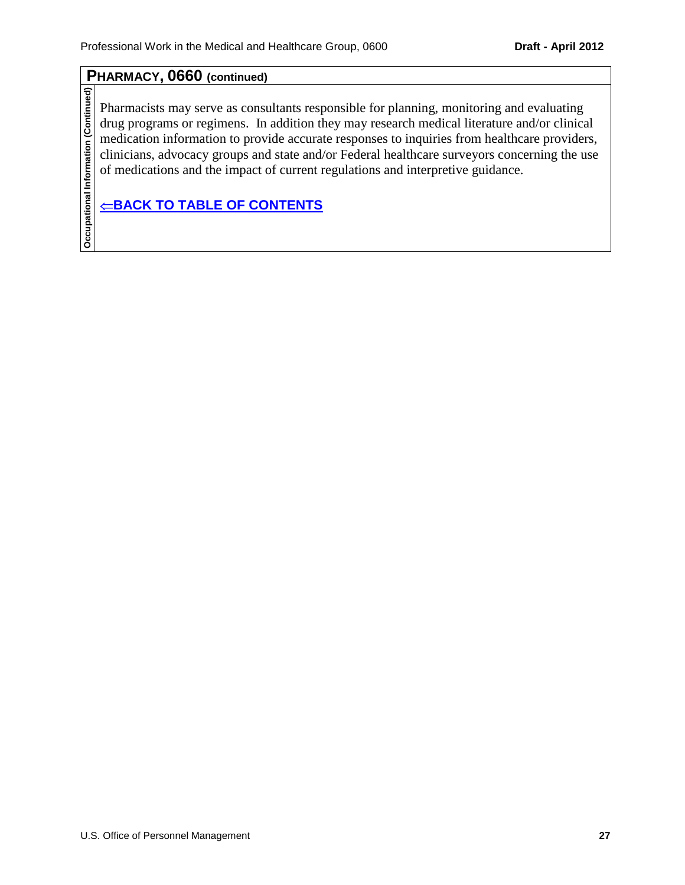## **PHARMACY, 0660 (continued)**

**Occupational Information (Continued)**

Occupational Information (Continued)

Pharmacists may serve as consultants responsible for planning, monitoring and evaluating drug programs or regimens. In addition they may research medical literature and/or clinical medication information to provide accurate responses to inquiries from healthcare providers, clinicians, advocacy groups and state and/or Federal healthcare surveyors concerning the use of medications and the impact of current regulations and interpretive guidance.

## $⊕$ **[BACK TO TABLE OF CONTENTS](#page-0-0)**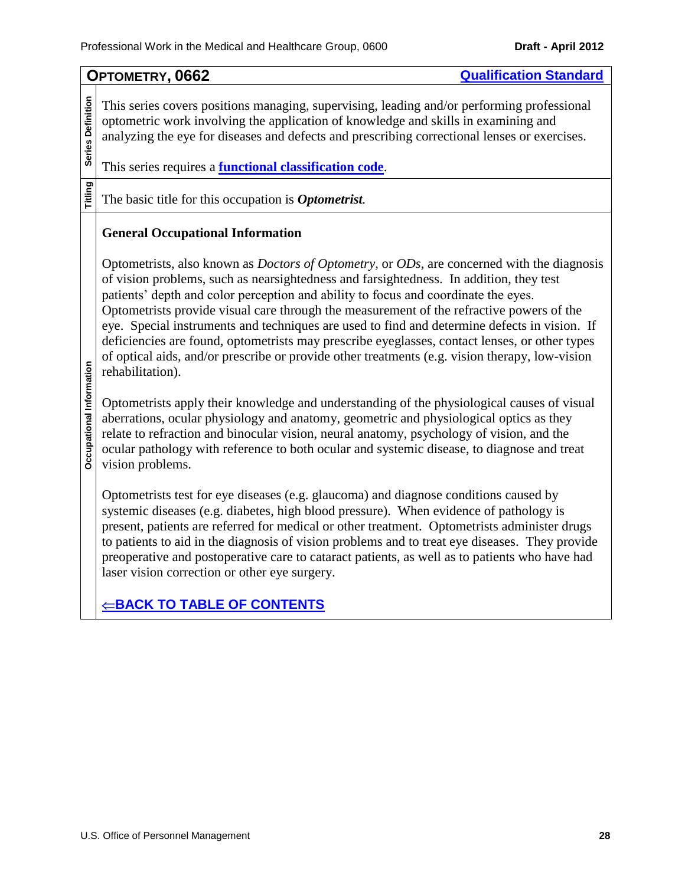<span id="page-27-0"></span>**OPTOMETRY, 0662 [Qualification Standard](http://www.opm.gov/qualifications/standards/indexes/0600-ndx.asp) Series Definition Series Definition** This series covers positions managing, supervising, leading and/or performing professional optometric work involving the application of knowledge and skills in examining and analyzing the eye for diseases and defects and prescribing correctional lenses or exercises. This series requires a **[functional classification code](#page-9-0)**. **Titling** The basic title for this occupation is *Optometrist.* **General Occupational Information** Optometrists, also known as *Doctors of Optometry*, or *ODs*, are concerned with the diagnosis of vision problems, such as nearsightedness and farsightedness. In addition, they test patients' depth and color perception and ability to focus and coordinate the eyes. Optometrists provide visual care through the measurement of the refractive powers of the eye. Special instruments and techniques are used to find and determine defects in vision. If deficiencies are found, optometrists may prescribe eyeglasses, contact lenses, or other types of optical aids, and/or prescribe or provide other treatments (e.g. vision therapy, low-vision Occupational Information **Occupational Information** rehabilitation). Optometrists apply their knowledge and understanding of the physiological causes of visual aberrations, ocular physiology and anatomy, geometric and physiological optics as they relate to refraction and binocular vision, neural anatomy, psychology of vision, and the ocular pathology with reference to both ocular and systemic disease, to diagnose and treat vision problems. Optometrists test for eye diseases (e.g. glaucoma) and diagnose conditions caused by systemic diseases (e.g. diabetes, high blood pressure). When evidence of pathology is present, patients are referred for medical or other treatment. Optometrists administer drugs to patients to aid in the diagnosis of vision problems and to treat eye diseases. They provide preoperative and postoperative care to cataract patients, as well as to patients who have had laser vision correction or other eye surgery.  $⊸$ **[BACK TO TABLE OF CONTENTS](#page-0-0)**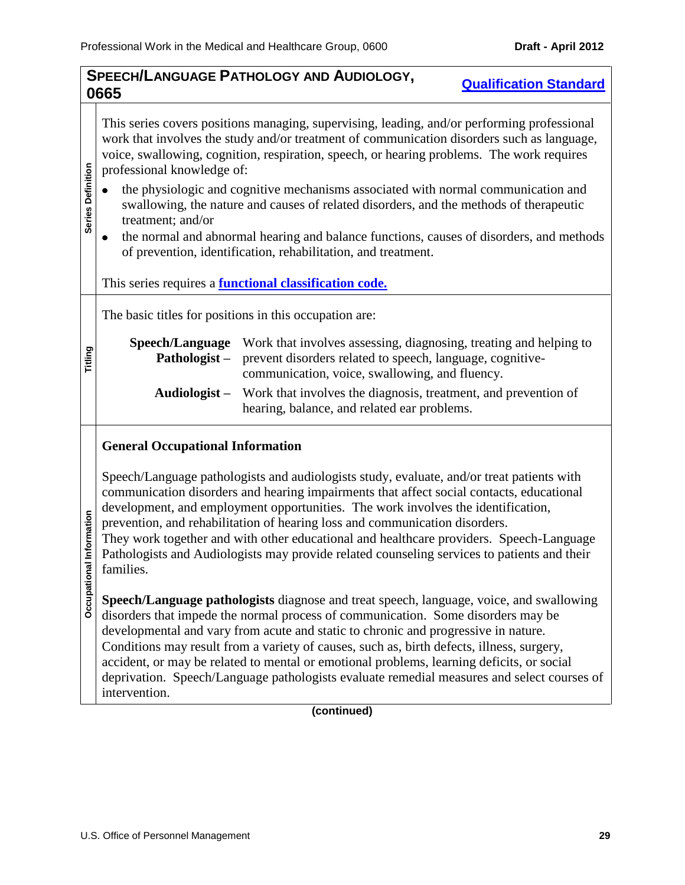<span id="page-28-0"></span>

| SPEECH/LANGUAGE PATHOLOGY AND AUDIOLOGY,<br><b>Qualification Standard</b> |                                                                                                                                                                                                                                                                                                                                                                                                                                                                                                                                                                                                                                                                                                                                                                    |                                                                                                                                                                                                                                                                                                                                                                                                                                                                                                                                                           |  |  |  |  |  |
|---------------------------------------------------------------------------|--------------------------------------------------------------------------------------------------------------------------------------------------------------------------------------------------------------------------------------------------------------------------------------------------------------------------------------------------------------------------------------------------------------------------------------------------------------------------------------------------------------------------------------------------------------------------------------------------------------------------------------------------------------------------------------------------------------------------------------------------------------------|-----------------------------------------------------------------------------------------------------------------------------------------------------------------------------------------------------------------------------------------------------------------------------------------------------------------------------------------------------------------------------------------------------------------------------------------------------------------------------------------------------------------------------------------------------------|--|--|--|--|--|
|                                                                           | 0665                                                                                                                                                                                                                                                                                                                                                                                                                                                                                                                                                                                                                                                                                                                                                               |                                                                                                                                                                                                                                                                                                                                                                                                                                                                                                                                                           |  |  |  |  |  |
| Series Definition                                                         | This series covers positions managing, supervising, leading, and/or performing professional<br>work that involves the study and/or treatment of communication disorders such as language,<br>voice, swallowing, cognition, respiration, speech, or hearing problems. The work requires<br>professional knowledge of:<br>the physiologic and cognitive mechanisms associated with normal communication and<br>swallowing, the nature and causes of related disorders, and the methods of therapeutic<br>treatment; and/or<br>the normal and abnormal hearing and balance functions, causes of disorders, and methods<br>$\bullet$<br>of prevention, identification, rehabilitation, and treatment.<br>This series requires a <b>functional classification code.</b> |                                                                                                                                                                                                                                                                                                                                                                                                                                                                                                                                                           |  |  |  |  |  |
|                                                                           |                                                                                                                                                                                                                                                                                                                                                                                                                                                                                                                                                                                                                                                                                                                                                                    | The basic titles for positions in this occupation are:                                                                                                                                                                                                                                                                                                                                                                                                                                                                                                    |  |  |  |  |  |
| Titling                                                                   | Speech/Language<br>Pathologist-<br>Audiologist-                                                                                                                                                                                                                                                                                                                                                                                                                                                                                                                                                                                                                                                                                                                    | Work that involves assessing, diagnosing, treating and helping to<br>prevent disorders related to speech, language, cognitive-<br>communication, voice, swallowing, and fluency.<br>Work that involves the diagnosis, treatment, and prevention of                                                                                                                                                                                                                                                                                                        |  |  |  |  |  |
|                                                                           |                                                                                                                                                                                                                                                                                                                                                                                                                                                                                                                                                                                                                                                                                                                                                                    | hearing, balance, and related ear problems.                                                                                                                                                                                                                                                                                                                                                                                                                                                                                                               |  |  |  |  |  |
|                                                                           | <b>General Occupational Information</b>                                                                                                                                                                                                                                                                                                                                                                                                                                                                                                                                                                                                                                                                                                                            |                                                                                                                                                                                                                                                                                                                                                                                                                                                                                                                                                           |  |  |  |  |  |
| Occupational Information                                                  | families.                                                                                                                                                                                                                                                                                                                                                                                                                                                                                                                                                                                                                                                                                                                                                          | Speech/Language pathologists and audiologists study, evaluate, and/or treat patients with<br>communication disorders and hearing impairments that affect social contacts, educational<br>development, and employment opportunities. The work involves the identification,<br>prevention, and rehabilitation of hearing loss and communication disorders.<br>They work together and with other educational and healthcare providers. Speech-Language<br>Pathologists and Audiologists may provide related counseling services to patients and their        |  |  |  |  |  |
|                                                                           | intervention.                                                                                                                                                                                                                                                                                                                                                                                                                                                                                                                                                                                                                                                                                                                                                      | Speech/Language pathologists diagnose and treat speech, language, voice, and swallowing<br>disorders that impede the normal process of communication. Some disorders may be<br>developmental and vary from acute and static to chronic and progressive in nature.<br>Conditions may result from a variety of causes, such as, birth defects, illness, surgery,<br>accident, or may be related to mental or emotional problems, learning deficits, or social<br>deprivation. Speech/Language pathologists evaluate remedial measures and select courses of |  |  |  |  |  |

**(continued)**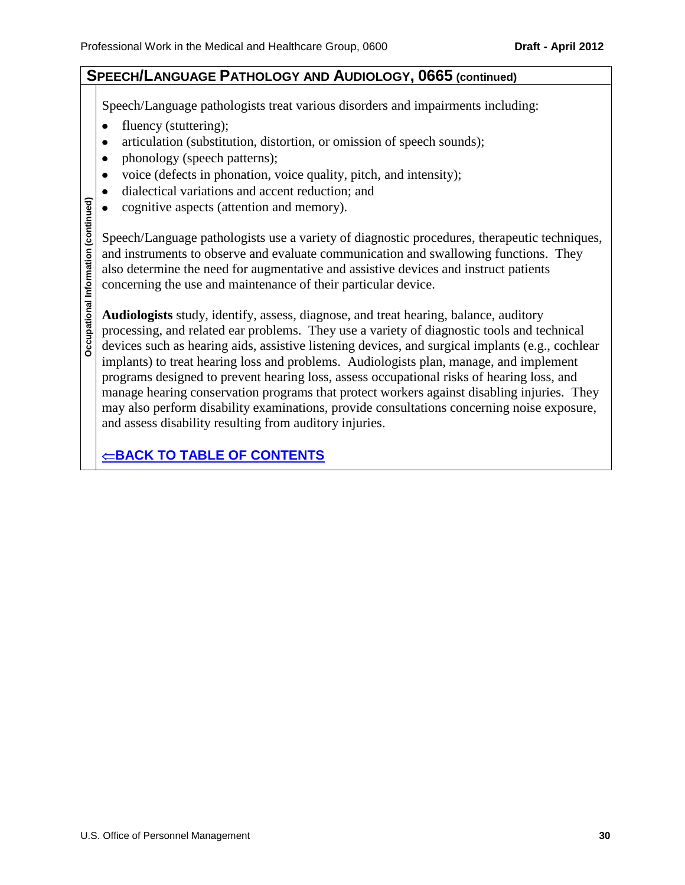## **SPEECH/LANGUAGE PATHOLOGY AND AUDIOLOGY, 0665 (continued)**

Speech/Language pathologists treat various disorders and impairments including:

- fluency (stuttering);  $\bullet$
- articulation (substitution, distortion, or omission of speech sounds);  $\bullet$
- phonology (speech patterns);  $\bullet$
- voice (defects in phonation, voice quality, pitch, and intensity);  $\bullet$
- dialectical variations and accent reduction; and  $\bullet$
- cognitive aspects (attention and memory).  $\bullet$

Speech/Language pathologists use a variety of diagnostic procedures, therapeutic techniques, and instruments to observe and evaluate communication and swallowing functions. They also determine the need for augmentative and assistive devices and instruct patients concerning the use and maintenance of their particular device.

**Audiologists** study, identify, assess, diagnose, and treat hearing, balance, auditory processing, and related ear problems. They use a variety of diagnostic tools and technical devices such as hearing aids, assistive listening devices, and surgical implants (e.g., cochlear implants) to treat hearing loss and problems. Audiologists plan, manage, and implement programs designed to prevent hearing loss, assess occupational risks of hearing loss, and manage hearing conservation programs that protect workers against disabling injuries. They may also perform disability examinations, provide consultations concerning noise exposure, and assess disability resulting from auditory injuries.

 $⊸$ **[BACK TO TABLE OF CONTENTS](#page-0-0)**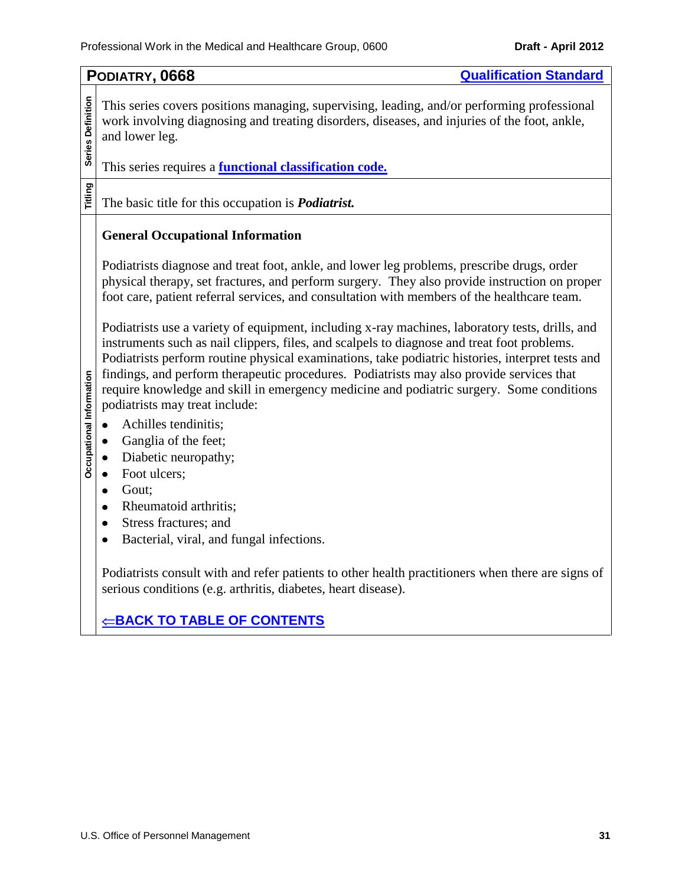<span id="page-30-0"></span>

|                          | <b>Qualification Standard</b><br>PODIATRY, 0668                                                                                                                                                                                                                                                                                                                                                                                                                                                                              |  |  |  |
|--------------------------|------------------------------------------------------------------------------------------------------------------------------------------------------------------------------------------------------------------------------------------------------------------------------------------------------------------------------------------------------------------------------------------------------------------------------------------------------------------------------------------------------------------------------|--|--|--|
| Series Definition        | This series covers positions managing, supervising, leading, and/or performing professional<br>work involving diagnosing and treating disorders, diseases, and injuries of the foot, ankle,<br>and lower leg.<br>This series requires a <b>functional classification code.</b>                                                                                                                                                                                                                                               |  |  |  |
|                          |                                                                                                                                                                                                                                                                                                                                                                                                                                                                                                                              |  |  |  |
| Titling                  | The basic title for this occupation is <i>Podiatrist</i> .                                                                                                                                                                                                                                                                                                                                                                                                                                                                   |  |  |  |
|                          | <b>General Occupational Information</b>                                                                                                                                                                                                                                                                                                                                                                                                                                                                                      |  |  |  |
|                          | Podiatrists diagnose and treat foot, ankle, and lower leg problems, prescribe drugs, order<br>physical therapy, set fractures, and perform surgery. They also provide instruction on proper<br>foot care, patient referral services, and consultation with members of the healthcare team.                                                                                                                                                                                                                                   |  |  |  |
| Occupational Information | Podiatrists use a variety of equipment, including x-ray machines, laboratory tests, drills, and<br>instruments such as nail clippers, files, and scalpels to diagnose and treat foot problems.<br>Podiatrists perform routine physical examinations, take podiatric histories, interpret tests and<br>findings, and perform therapeutic procedures. Podiatrists may also provide services that<br>require knowledge and skill in emergency medicine and podiatric surgery. Some conditions<br>podiatrists may treat include: |  |  |  |
|                          | Achilles tendinitis;<br>Ganglia of the feet;                                                                                                                                                                                                                                                                                                                                                                                                                                                                                 |  |  |  |
|                          | Diabetic neuropathy;                                                                                                                                                                                                                                                                                                                                                                                                                                                                                                         |  |  |  |
|                          | Foot ulcers;                                                                                                                                                                                                                                                                                                                                                                                                                                                                                                                 |  |  |  |
|                          | Gout;<br>٠<br>Rheumatoid arthritis;                                                                                                                                                                                                                                                                                                                                                                                                                                                                                          |  |  |  |
|                          | Stress fractures; and                                                                                                                                                                                                                                                                                                                                                                                                                                                                                                        |  |  |  |
|                          | Bacterial, viral, and fungal infections.                                                                                                                                                                                                                                                                                                                                                                                                                                                                                     |  |  |  |
|                          | Podiatrists consult with and refer patients to other health practitioners when there are signs of<br>serious conditions (e.g. arthritis, diabetes, heart disease).                                                                                                                                                                                                                                                                                                                                                           |  |  |  |
|                          | <u> BACK TO TABLE OF CONTENTS</u>                                                                                                                                                                                                                                                                                                                                                                                                                                                                                            |  |  |  |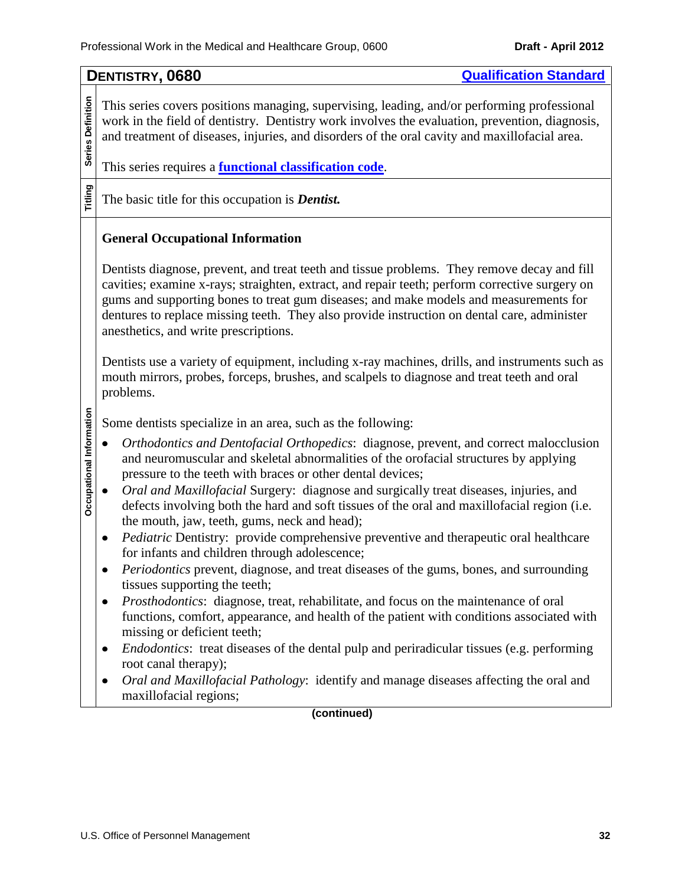<span id="page-31-0"></span>

| Series Definition<br>This series covers positions managing, supervising, leading, and/or performing professional<br>work in the field of dentistry. Dentistry work involves the evaluation, prevention, diagnosis,<br>and treatment of diseases, injuries, and disorders of the oral cavity and maxillofacial area.<br>This series requires a <b>functional classification code</b> .<br>Titling<br>The basic title for this occupation is <b>Dentist</b> .<br><b>General Occupational Information</b><br>Dentists diagnose, prevent, and treat teeth and tissue problems. They remove decay and fill<br>cavities; examine x-rays; straighten, extract, and repair teeth; perform corrective surgery on                                                                                                                                                                                                                                                                                                                                                                                                                                                                                                                                     |
|---------------------------------------------------------------------------------------------------------------------------------------------------------------------------------------------------------------------------------------------------------------------------------------------------------------------------------------------------------------------------------------------------------------------------------------------------------------------------------------------------------------------------------------------------------------------------------------------------------------------------------------------------------------------------------------------------------------------------------------------------------------------------------------------------------------------------------------------------------------------------------------------------------------------------------------------------------------------------------------------------------------------------------------------------------------------------------------------------------------------------------------------------------------------------------------------------------------------------------------------|
|                                                                                                                                                                                                                                                                                                                                                                                                                                                                                                                                                                                                                                                                                                                                                                                                                                                                                                                                                                                                                                                                                                                                                                                                                                             |
|                                                                                                                                                                                                                                                                                                                                                                                                                                                                                                                                                                                                                                                                                                                                                                                                                                                                                                                                                                                                                                                                                                                                                                                                                                             |
|                                                                                                                                                                                                                                                                                                                                                                                                                                                                                                                                                                                                                                                                                                                                                                                                                                                                                                                                                                                                                                                                                                                                                                                                                                             |
| gums and supporting bones to treat gum diseases; and make models and measurements for<br>dentures to replace missing teeth. They also provide instruction on dental care, administer<br>anesthetics, and write prescriptions.                                                                                                                                                                                                                                                                                                                                                                                                                                                                                                                                                                                                                                                                                                                                                                                                                                                                                                                                                                                                               |
| Dentists use a variety of equipment, including x-ray machines, drills, and instruments such as<br>mouth mirrors, probes, forceps, brushes, and scalpels to diagnose and treat teeth and oral<br>problems.                                                                                                                                                                                                                                                                                                                                                                                                                                                                                                                                                                                                                                                                                                                                                                                                                                                                                                                                                                                                                                   |
| Some dentists specialize in an area, such as the following:                                                                                                                                                                                                                                                                                                                                                                                                                                                                                                                                                                                                                                                                                                                                                                                                                                                                                                                                                                                                                                                                                                                                                                                 |
| Occupational Information<br>Orthodontics and Dentofacial Orthopedics: diagnose, prevent, and correct malocclusion<br>and neuromuscular and skeletal abnormalities of the orofacial structures by applying<br>pressure to the teeth with braces or other dental devices;<br>Oral and Maxillofacial Surgery: diagnose and surgically treat diseases, injuries, and<br>defects involving both the hard and soft tissues of the oral and maxillofacial region (i.e.<br>the mouth, jaw, teeth, gums, neck and head);<br><i>Pediatric</i> Dentistry: provide comprehensive preventive and therapeutic oral healthcare<br>for infants and children through adolescence;<br><i>Periodontics</i> prevent, diagnose, and treat diseases of the gums, bones, and surrounding<br>tissues supporting the teeth;<br>Prosthodontics: diagnose, treat, rehabilitate, and focus on the maintenance of oral<br>functions, comfort, appearance, and health of the patient with conditions associated with<br>missing or deficient teeth;<br><i>Endodontics</i> : treat diseases of the dental pulp and periradicular tissues (e.g. performing<br>root canal therapy);<br>Oral and Maxillofacial Pathology: identify and manage diseases affecting the oral and |
| maxillofacial regions;<br>(continued)                                                                                                                                                                                                                                                                                                                                                                                                                                                                                                                                                                                                                                                                                                                                                                                                                                                                                                                                                                                                                                                                                                                                                                                                       |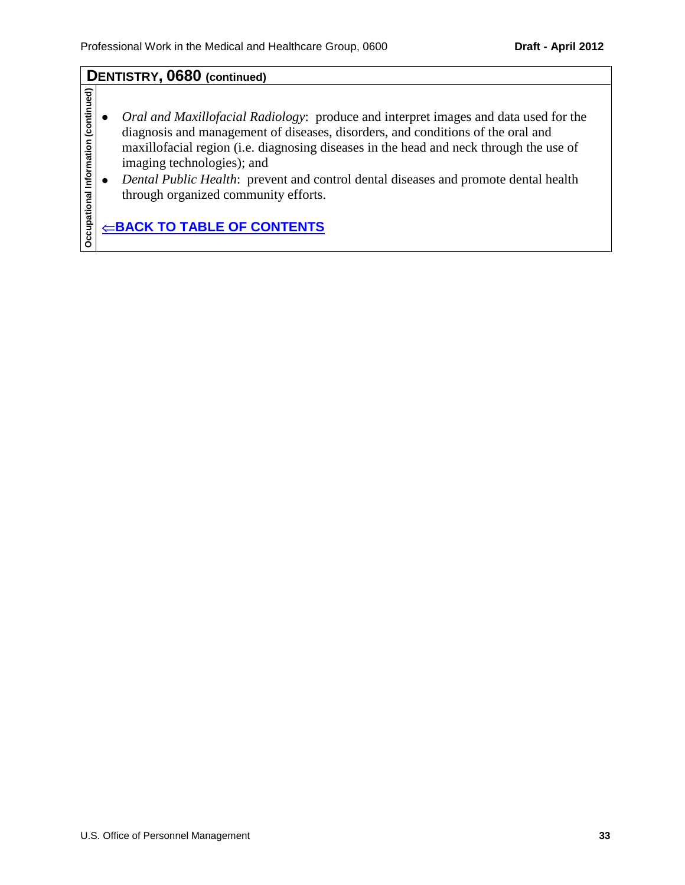## **DENTISTRY, 0680 (continued)**

- Occupational Information (continued) **Occupational Information (continued)**  $\bullet$ *Oral and Maxillofacial Radiology*: produce and interpret images and data used for the diagnosis and management of diseases, disorders, and conditions of the oral and maxillofacial region (i.e. diagnosing diseases in the head and neck through the use of imaging technologies); and
	- *Dental Public Health*: prevent and control dental diseases and promote dental health  $\bullet$ through organized community efforts.

**E[BACK TO TABLE OF CONTENTS](#page-0-0)**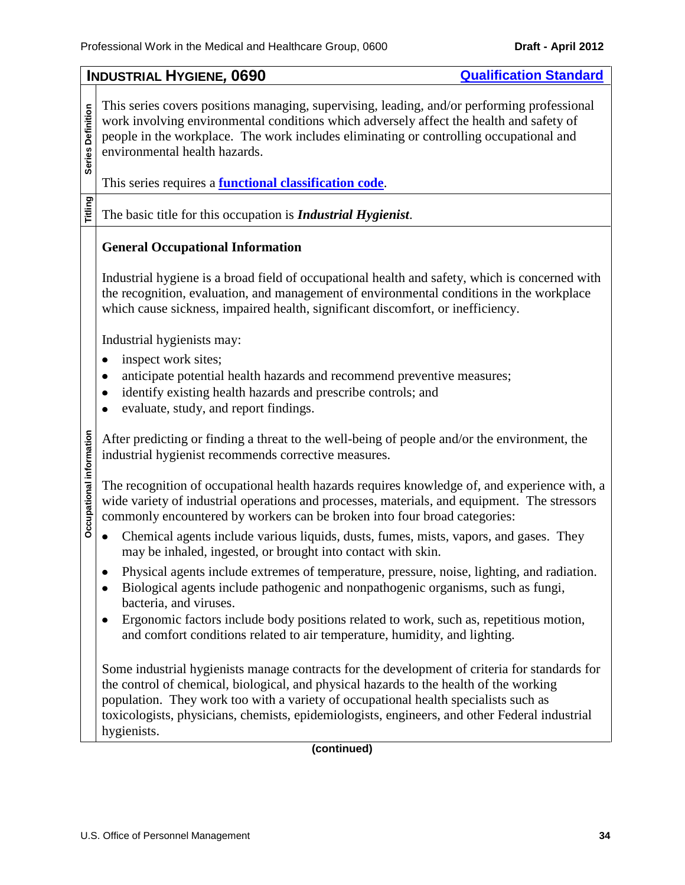<span id="page-33-0"></span>

| This series covers positions managing, supervising, leading, and/or performing professional<br>work involving environmental conditions which adversely affect the health and safety of<br>people in the workplace. The work includes eliminating or controlling occupational and<br>environmental health hazards.<br>This series requires a <b>functional classification code</b> .<br>The basic title for this occupation is <i>Industrial Hygienist</i> .<br><b>General Occupational Information</b><br>Industrial hygiene is a broad field of occupational health and safety, which is concerned with<br>the recognition, evaluation, and management of environmental conditions in the workplace<br>which cause sickness, impaired health, significant discomfort, or inefficiency.<br>Industrial hygienists may:<br>inspect work sites;<br>anticipate potential health hazards and recommend preventive measures;<br>identify existing health hazards and prescribe controls; and<br>evaluate, study, and report findings.<br>Occupational information<br>After predicting or finding a threat to the well-being of people and/or the environment, the<br>industrial hygienist recommends corrective measures.<br>The recognition of occupational health hazards requires knowledge of, and experience with, a<br>wide variety of industrial operations and processes, materials, and equipment. The stressors<br>commonly encountered by workers can be broken into four broad categories:<br>Chemical agents include various liquids, dusts, fumes, mists, vapors, and gases. They<br>may be inhaled, ingested, or brought into contact with skin.<br>Physical agents include extremes of temperature, pressure, noise, lighting, and radiation.<br>Biological agents include pathogenic and nonpathogenic organisms, such as fungi,<br>bacteria, and viruses.<br>Ergonomic factors include body positions related to work, such as, repetitious motion,<br>and comfort conditions related to air temperature, humidity, and lighting.<br>Some industrial hygienists manage contracts for the development of criteria for standards for<br>the control of chemical, biological, and physical hazards to the health of the working<br>population. They work too with a variety of occupational health specialists such as<br>toxicologists, physicians, chemists, epidemiologists, engineers, and other Federal industrial<br>hygienists.<br>(continued) |                   | <b>INDUSTRIAL HYGIENE, 0690</b><br><b>Qualification Standard</b> |  |  |  |
|----------------------------------------------------------------------------------------------------------------------------------------------------------------------------------------------------------------------------------------------------------------------------------------------------------------------------------------------------------------------------------------------------------------------------------------------------------------------------------------------------------------------------------------------------------------------------------------------------------------------------------------------------------------------------------------------------------------------------------------------------------------------------------------------------------------------------------------------------------------------------------------------------------------------------------------------------------------------------------------------------------------------------------------------------------------------------------------------------------------------------------------------------------------------------------------------------------------------------------------------------------------------------------------------------------------------------------------------------------------------------------------------------------------------------------------------------------------------------------------------------------------------------------------------------------------------------------------------------------------------------------------------------------------------------------------------------------------------------------------------------------------------------------------------------------------------------------------------------------------------------------------------------------------------------------------------------------------------------------------------------------------------------------------------------------------------------------------------------------------------------------------------------------------------------------------------------------------------------------------------------------------------------------------------------------------------------------------------------------------------------------------------------------------------------------------------------------------|-------------------|------------------------------------------------------------------|--|--|--|
|                                                                                                                                                                                                                                                                                                                                                                                                                                                                                                                                                                                                                                                                                                                                                                                                                                                                                                                                                                                                                                                                                                                                                                                                                                                                                                                                                                                                                                                                                                                                                                                                                                                                                                                                                                                                                                                                                                                                                                                                                                                                                                                                                                                                                                                                                                                                                                                                                                                                | Series Definition |                                                                  |  |  |  |
|                                                                                                                                                                                                                                                                                                                                                                                                                                                                                                                                                                                                                                                                                                                                                                                                                                                                                                                                                                                                                                                                                                                                                                                                                                                                                                                                                                                                                                                                                                                                                                                                                                                                                                                                                                                                                                                                                                                                                                                                                                                                                                                                                                                                                                                                                                                                                                                                                                                                | Titling           |                                                                  |  |  |  |
|                                                                                                                                                                                                                                                                                                                                                                                                                                                                                                                                                                                                                                                                                                                                                                                                                                                                                                                                                                                                                                                                                                                                                                                                                                                                                                                                                                                                                                                                                                                                                                                                                                                                                                                                                                                                                                                                                                                                                                                                                                                                                                                                                                                                                                                                                                                                                                                                                                                                |                   |                                                                  |  |  |  |
|                                                                                                                                                                                                                                                                                                                                                                                                                                                                                                                                                                                                                                                                                                                                                                                                                                                                                                                                                                                                                                                                                                                                                                                                                                                                                                                                                                                                                                                                                                                                                                                                                                                                                                                                                                                                                                                                                                                                                                                                                                                                                                                                                                                                                                                                                                                                                                                                                                                                |                   |                                                                  |  |  |  |
|                                                                                                                                                                                                                                                                                                                                                                                                                                                                                                                                                                                                                                                                                                                                                                                                                                                                                                                                                                                                                                                                                                                                                                                                                                                                                                                                                                                                                                                                                                                                                                                                                                                                                                                                                                                                                                                                                                                                                                                                                                                                                                                                                                                                                                                                                                                                                                                                                                                                |                   |                                                                  |  |  |  |
|                                                                                                                                                                                                                                                                                                                                                                                                                                                                                                                                                                                                                                                                                                                                                                                                                                                                                                                                                                                                                                                                                                                                                                                                                                                                                                                                                                                                                                                                                                                                                                                                                                                                                                                                                                                                                                                                                                                                                                                                                                                                                                                                                                                                                                                                                                                                                                                                                                                                |                   |                                                                  |  |  |  |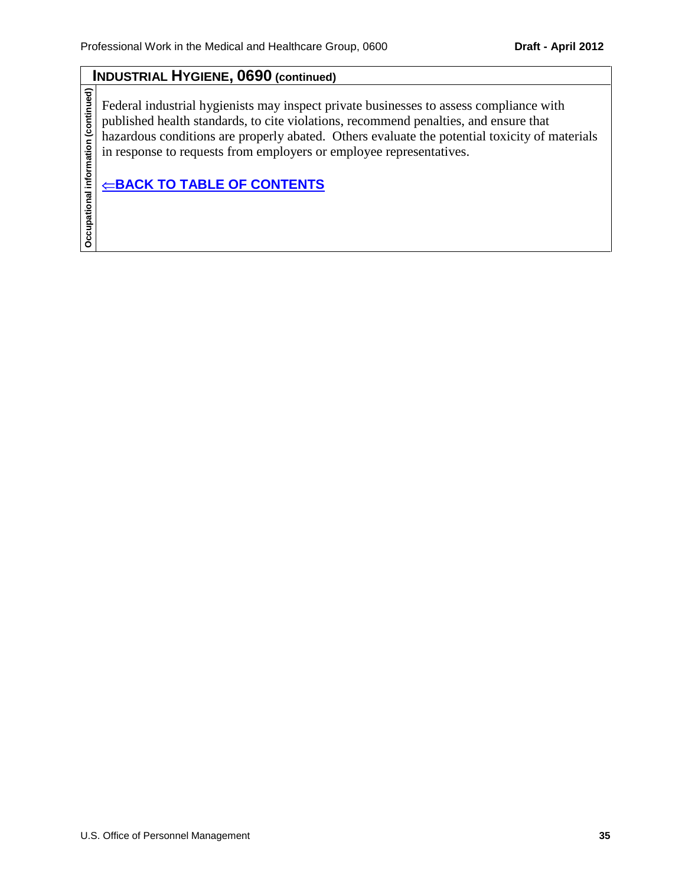## **INDUSTRIAL HYGIENE, 0690 (continued)**

Federal industrial hygienists may inspect private businesses to assess compliance with published health standards, to cite violations, recommend penalties, and ensure that hazardous conditions are properly abated. Others evaluate the potential toxicity of materials in response to requests from employers or employee representatives.

**Occupational information (continued)**  $⊕$ **[BACK TO TABLE OF CONTENTS](#page-0-0)** 

Occupational information (continued)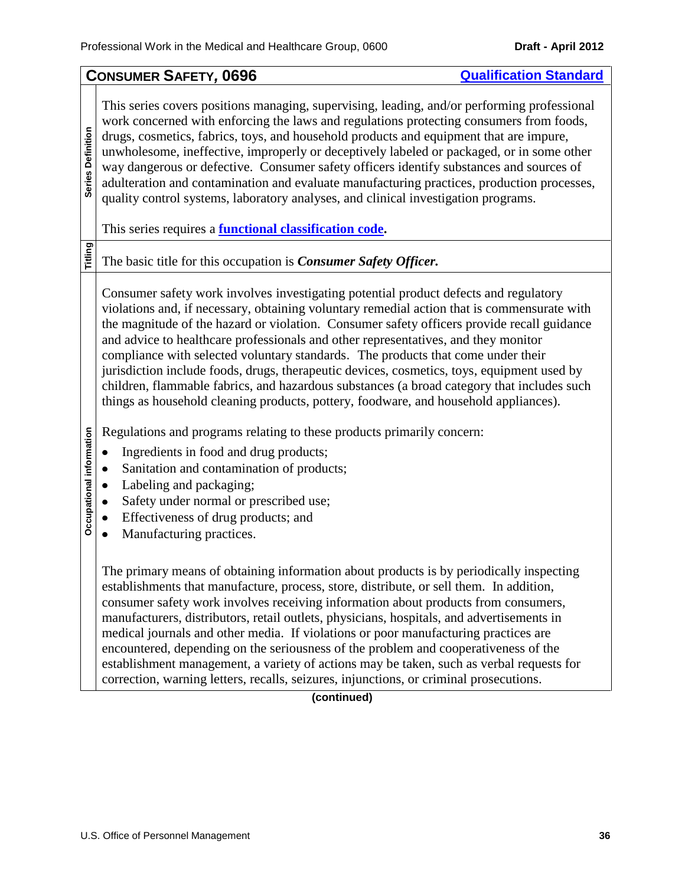<span id="page-35-0"></span>

|                                                                                                                                                                                                                                                                                                                                                                                                                                                                                                                                                                                                                                                                                   | <b>CONSUMER SAFETY, 0696</b><br><b>Qualification Standard</b>                                                                                                                                                                                                                                                                                                                                                                                                                                                                                                                                                                                                                                                                                                                                                                                                                                                                                                                                                                                                                                                                                                                                                                                                                                                                        |  |  |  |
|-----------------------------------------------------------------------------------------------------------------------------------------------------------------------------------------------------------------------------------------------------------------------------------------------------------------------------------------------------------------------------------------------------------------------------------------------------------------------------------------------------------------------------------------------------------------------------------------------------------------------------------------------------------------------------------|--------------------------------------------------------------------------------------------------------------------------------------------------------------------------------------------------------------------------------------------------------------------------------------------------------------------------------------------------------------------------------------------------------------------------------------------------------------------------------------------------------------------------------------------------------------------------------------------------------------------------------------------------------------------------------------------------------------------------------------------------------------------------------------------------------------------------------------------------------------------------------------------------------------------------------------------------------------------------------------------------------------------------------------------------------------------------------------------------------------------------------------------------------------------------------------------------------------------------------------------------------------------------------------------------------------------------------------|--|--|--|
| This series covers positions managing, supervising, leading, and/or performing professional<br>work concerned with enforcing the laws and regulations protecting consumers from foods,<br>Series Definition<br>drugs, cosmetics, fabrics, toys, and household products and equipment that are impure,<br>unwholesome, ineffective, improperly or deceptively labeled or packaged, or in some other<br>way dangerous or defective. Consumer safety officers identify substances and sources of<br>adulteration and contamination and evaluate manufacturing practices, production processes,<br>quality control systems, laboratory analyses, and clinical investigation programs. |                                                                                                                                                                                                                                                                                                                                                                                                                                                                                                                                                                                                                                                                                                                                                                                                                                                                                                                                                                                                                                                                                                                                                                                                                                                                                                                                      |  |  |  |
|                                                                                                                                                                                                                                                                                                                                                                                                                                                                                                                                                                                                                                                                                   | This series requires a <b>functional classification code</b> .                                                                                                                                                                                                                                                                                                                                                                                                                                                                                                                                                                                                                                                                                                                                                                                                                                                                                                                                                                                                                                                                                                                                                                                                                                                                       |  |  |  |
| Titling                                                                                                                                                                                                                                                                                                                                                                                                                                                                                                                                                                                                                                                                           | The basic title for this occupation is <i>Consumer Safety Officer</i> .                                                                                                                                                                                                                                                                                                                                                                                                                                                                                                                                                                                                                                                                                                                                                                                                                                                                                                                                                                                                                                                                                                                                                                                                                                                              |  |  |  |
| Occupational information                                                                                                                                                                                                                                                                                                                                                                                                                                                                                                                                                                                                                                                          | Consumer safety work involves investigating potential product defects and regulatory<br>violations and, if necessary, obtaining voluntary remedial action that is commensurate with<br>the magnitude of the hazard or violation. Consumer safety officers provide recall guidance<br>and advice to healthcare professionals and other representatives, and they monitor<br>compliance with selected voluntary standards. The products that come under their<br>jurisdiction include foods, drugs, therapeutic devices, cosmetics, toys, equipment used by<br>children, flammable fabrics, and hazardous substances (a broad category that includes such<br>things as household cleaning products, pottery, foodware, and household appliances).<br>Regulations and programs relating to these products primarily concern:<br>Ingredients in food and drug products;<br>Sanitation and contamination of products;<br>Labeling and packaging;<br>Safety under normal or prescribed use;<br>Effectiveness of drug products; and<br>Manufacturing practices.<br>The primary means of obtaining information about products is by periodically inspecting<br>establishments that manufacture, process, store, distribute, or sell them. In addition,<br>consumer safety work involves receiving information about products from consumers, |  |  |  |
|                                                                                                                                                                                                                                                                                                                                                                                                                                                                                                                                                                                                                                                                                   | manufacturers, distributors, retail outlets, physicians, hospitals, and advertisements in<br>medical journals and other media. If violations or poor manufacturing practices are<br>encountered, depending on the seriousness of the problem and cooperativeness of the<br>establishment management, a variety of actions may be taken, such as verbal requests for<br>correction, warning letters, recalls, seizures, injunctions, or criminal prosecutions.                                                                                                                                                                                                                                                                                                                                                                                                                                                                                                                                                                                                                                                                                                                                                                                                                                                                        |  |  |  |

## **(continued)**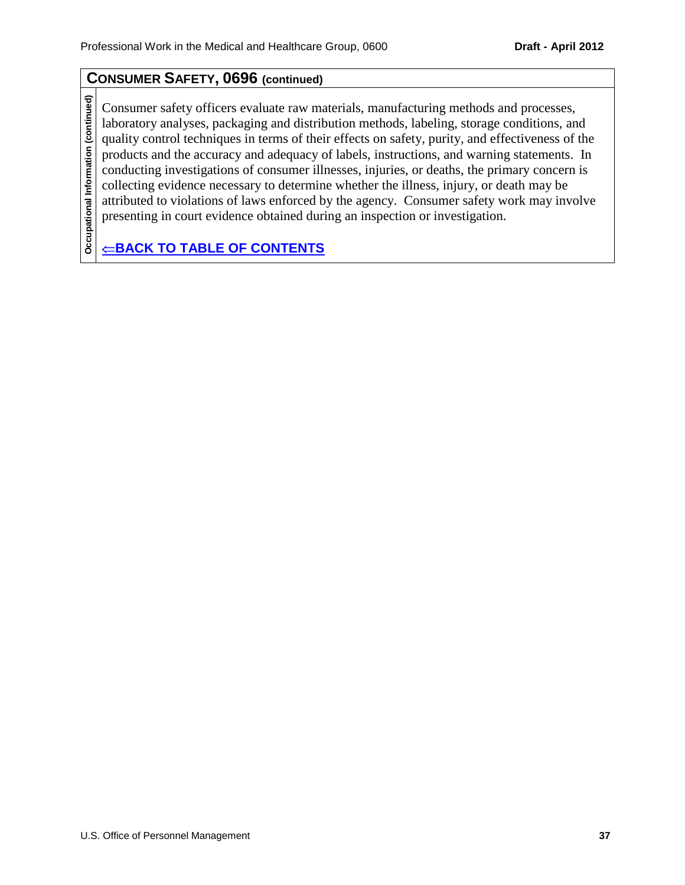# **CONSUMER SAFETY, 0696 (continued)**

Occupational Information (continued) **Occupational Information (continued)** Consumer safety officers evaluate raw materials, manufacturing methods and processes, laboratory analyses, packaging and distribution methods, labeling, storage conditions, and quality control techniques in terms of their effects on safety, purity, and effectiveness of the products and the accuracy and adequacy of labels, instructions, and warning statements. In conducting investigations of consumer illnesses, injuries, or deaths, the primary concern is collecting evidence necessary to determine whether the illness, injury, or death may be attributed to violations of laws enforced by the agency. Consumer safety work may involve presenting in court evidence obtained during an inspection or investigation.

**E[BACK TO TABLE OF CONTENTS](#page-0-0)**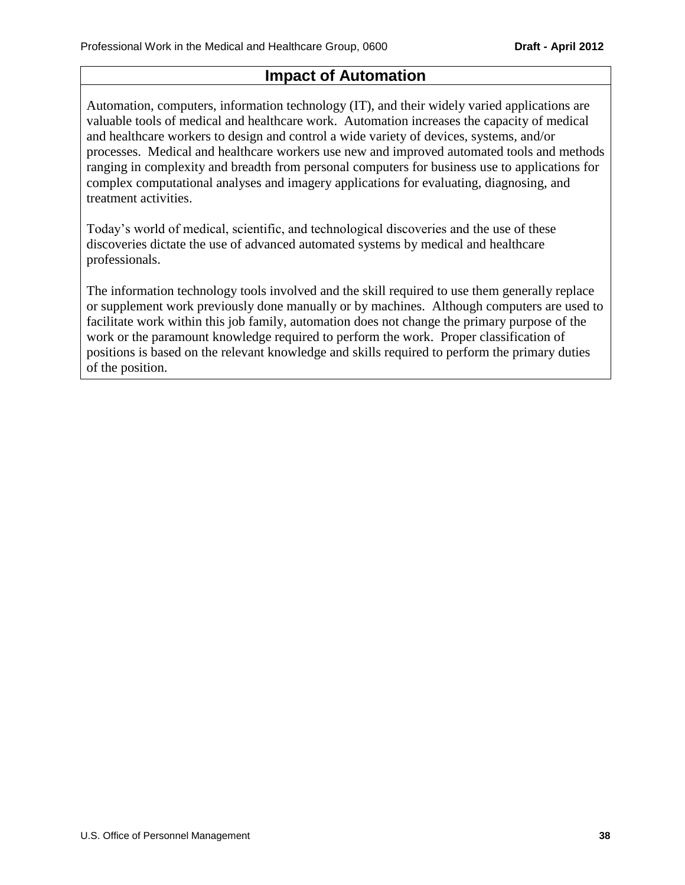# **Impact of Automation**

Automation, computers, information technology (IT), and their widely varied applications are valuable tools of medical and healthcare work. Automation increases the capacity of medical and healthcare workers to design and control a wide variety of devices, systems, and/or processes. Medical and healthcare workers use new and improved automated tools and methods ranging in complexity and breadth from personal computers for business use to applications for complex computational analyses and imagery applications for evaluating, diagnosing, and treatment activities.

Today's world of medical, scientific, and technological discoveries and the use of these discoveries dictate the use of advanced automated systems by medical and healthcare professionals.

The information technology tools involved and the skill required to use them generally replace or supplement work previously done manually or by machines. Although computers are used to facilitate work within this job family, automation does not change the primary purpose of the work or the paramount knowledge required to perform the work. Proper classification of positions is based on the relevant knowledge and skills required to perform the primary duties of the position.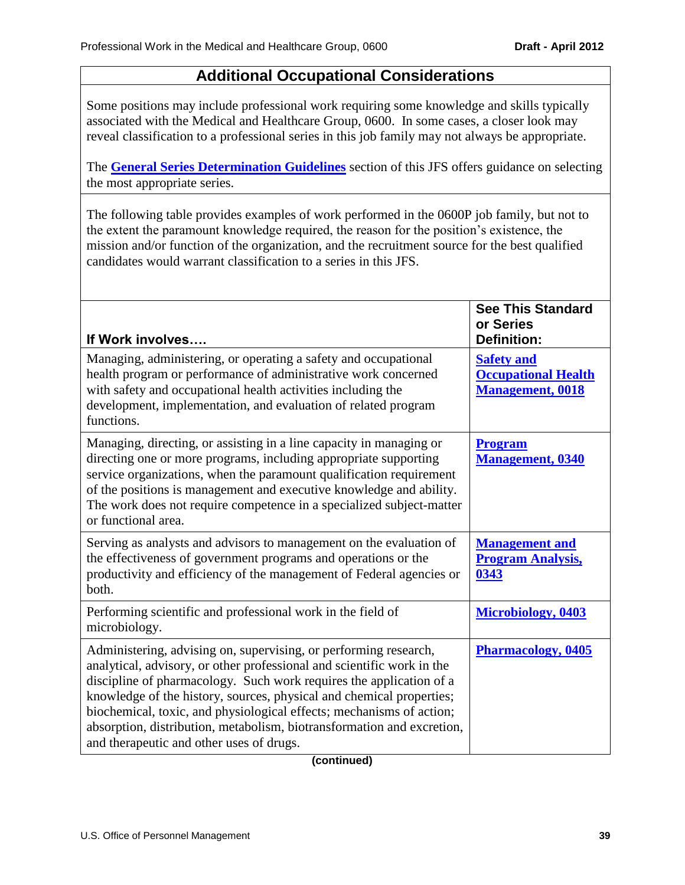# **Additional Occupational Considerations**

Some positions may include professional work requiring some knowledge and skills typically associated with the Medical and Healthcare Group, 0600. In some cases, a closer look may reveal classification to a professional series in this job family may not always be appropriate.

The **[General Series Determination Guidelines](#page-6-0)** section of this JFS offers guidance on selecting the most appropriate series.

The following table provides examples of work performed in the 0600P job family, but not to the extent the paramount knowledge required, the reason for the position's existence, the mission and/or function of the organization, and the recruitment source for the best qualified candidates would warrant classification to a series in this JFS.

| If Work involves                                                                                                                                                                                                                                                                                                                                                                                                                                                                        | <b>See This Standard</b><br>or Series<br><b>Definition:</b>                |
|-----------------------------------------------------------------------------------------------------------------------------------------------------------------------------------------------------------------------------------------------------------------------------------------------------------------------------------------------------------------------------------------------------------------------------------------------------------------------------------------|----------------------------------------------------------------------------|
| Managing, administering, or operating a safety and occupational<br>health program or performance of administrative work concerned<br>with safety and occupational health activities including the<br>development, implementation, and evaluation of related program<br>functions.                                                                                                                                                                                                       | <b>Safety and</b><br><b>Occupational Health</b><br><b>Management, 0018</b> |
| Managing, directing, or assisting in a line capacity in managing or<br>directing one or more programs, including appropriate supporting<br>service organizations, when the paramount qualification requirement<br>of the positions is management and executive knowledge and ability.<br>The work does not require competence in a specialized subject-matter<br>or functional area.                                                                                                    | <b>Program</b><br><b>Management</b> , 0340                                 |
| Serving as analysts and advisors to management on the evaluation of<br>the effectiveness of government programs and operations or the<br>productivity and efficiency of the management of Federal agencies or<br>both.                                                                                                                                                                                                                                                                  | <b>Management and</b><br><b>Program Analysis,</b><br>0343                  |
| Performing scientific and professional work in the field of<br>microbiology.                                                                                                                                                                                                                                                                                                                                                                                                            | <b>Microbiology, 0403</b>                                                  |
| Administering, advising on, supervising, or performing research,<br>analytical, advisory, or other professional and scientific work in the<br>discipline of pharmacology. Such work requires the application of a<br>knowledge of the history, sources, physical and chemical properties;<br>biochemical, toxic, and physiological effects; mechanisms of action;<br>absorption, distribution, metabolism, biotransformation and excretion,<br>and therapeutic and other uses of drugs. | <b>Pharmacology, 0405</b>                                                  |

**(continued)**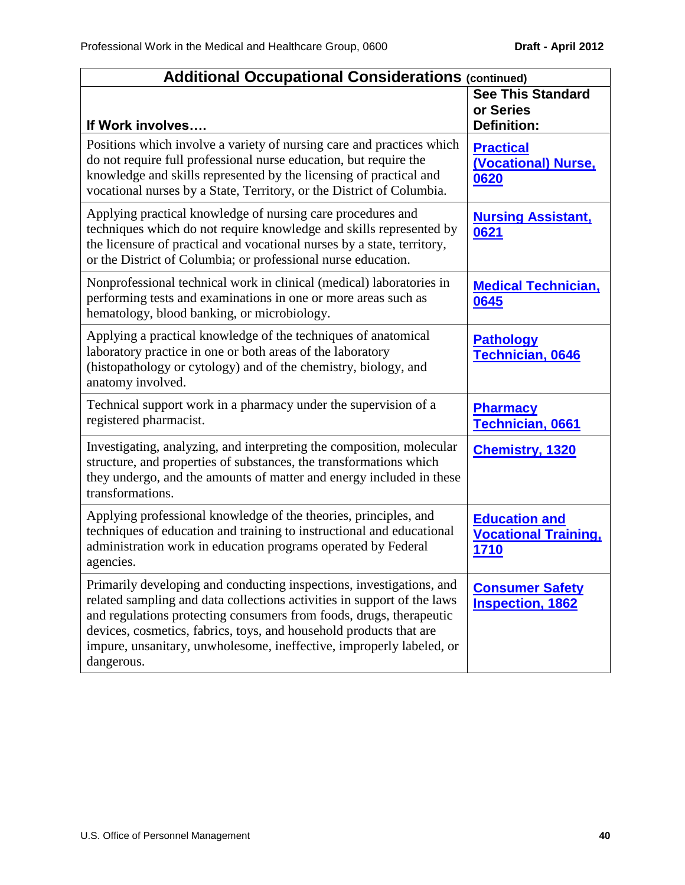| <b>Additional Occupational Considerations (continued)</b>                                                                                                                                                                                                                                                                                                                          |                                                             |
|------------------------------------------------------------------------------------------------------------------------------------------------------------------------------------------------------------------------------------------------------------------------------------------------------------------------------------------------------------------------------------|-------------------------------------------------------------|
| If Work involves                                                                                                                                                                                                                                                                                                                                                                   | <b>See This Standard</b><br>or Series<br><b>Definition:</b> |
| Positions which involve a variety of nursing care and practices which<br>do not require full professional nurse education, but require the<br>knowledge and skills represented by the licensing of practical and<br>vocational nurses by a State, Territory, or the District of Columbia.                                                                                          | <b>Practical</b><br>(Vocational) Nurse,<br>0620             |
| Applying practical knowledge of nursing care procedures and<br>techniques which do not require knowledge and skills represented by<br>the licensure of practical and vocational nurses by a state, territory,<br>or the District of Columbia; or professional nurse education.                                                                                                     | <b>Nursing Assistant,</b><br>0621                           |
| Nonprofessional technical work in clinical (medical) laboratories in<br>performing tests and examinations in one or more areas such as<br>hematology, blood banking, or microbiology.                                                                                                                                                                                              | <b>Medical Technician,</b><br>0645                          |
| Applying a practical knowledge of the techniques of anatomical<br>laboratory practice in one or both areas of the laboratory<br>(histopathology or cytology) and of the chemistry, biology, and<br>anatomy involved.                                                                                                                                                               | <b>Pathology</b><br><b>Technician, 0646</b>                 |
| Technical support work in a pharmacy under the supervision of a<br>registered pharmacist.                                                                                                                                                                                                                                                                                          | <b>Pharmacy</b><br>Technician, 0661                         |
| Investigating, analyzing, and interpreting the composition, molecular<br>structure, and properties of substances, the transformations which<br>they undergo, and the amounts of matter and energy included in these<br>transformations.                                                                                                                                            | <b>Chemistry, 1320</b>                                      |
| Applying professional knowledge of the theories, principles, and<br>techniques of education and training to instructional and educational<br>administration work in education programs operated by Federal<br>agencies.                                                                                                                                                            | <b>Education and</b><br><b>Vocational Training,</b><br>1710 |
| Primarily developing and conducting inspections, investigations, and<br>related sampling and data collections activities in support of the laws<br>and regulations protecting consumers from foods, drugs, therapeutic<br>devices, cosmetics, fabrics, toys, and household products that are<br>impure, unsanitary, unwholesome, ineffective, improperly labeled, or<br>dangerous. | <b>Consumer Safety</b><br><b>Inspection, 1862</b>           |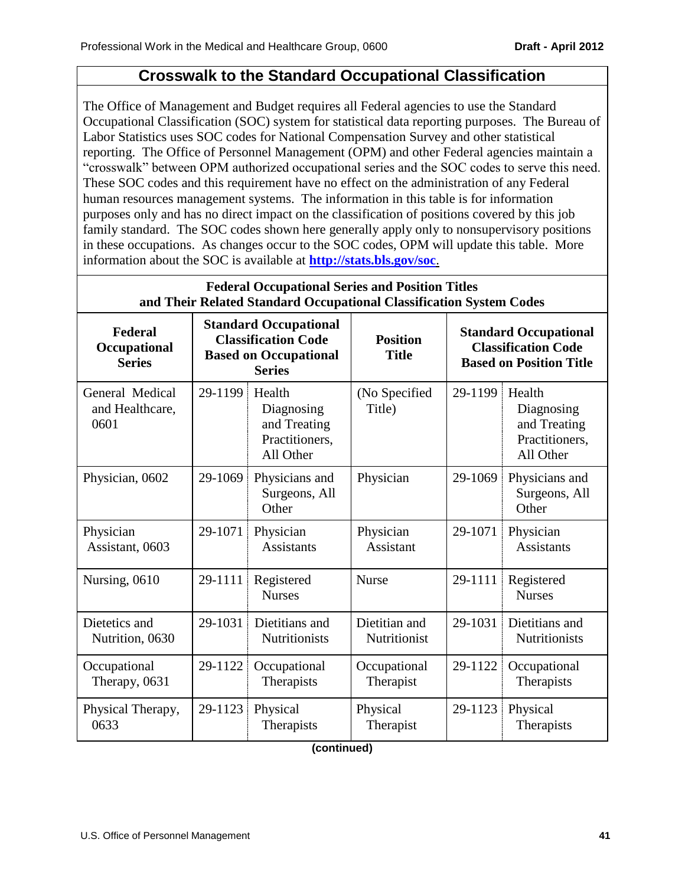# **Crosswalk to the Standard Occupational Classification**

The Office of Management and Budget requires all Federal agencies to use the Standard Occupational Classification (SOC) system for statistical data reporting purposes. The Bureau of Labor Statistics uses SOC codes for National Compensation Survey and other statistical reporting. The Office of Personnel Management (OPM) and other Federal agencies maintain a "crosswalk" between OPM authorized occupational series and the SOC codes to serve this need. These SOC codes and this requirement have no effect on the administration of any Federal human resources management systems. The information in this table is for information purposes only and has no direct impact on the classification of positions covered by this job family standard. The SOC codes shown here generally apply only to nonsupervisory positions in these occupations. As changes occur to the SOC codes, OPM will update this table. More information about the SOC is available at **<http://stats.bls.gov/soc>**.

| <b>Federal Occupational Series and Position Titles</b><br>and Their Related Standard Occupational Classification System Codes |         |                                                                                                             |                                 |                                                                                              |                                                                     |
|-------------------------------------------------------------------------------------------------------------------------------|---------|-------------------------------------------------------------------------------------------------------------|---------------------------------|----------------------------------------------------------------------------------------------|---------------------------------------------------------------------|
| Federal<br>Occupational<br><b>Series</b>                                                                                      |         | <b>Standard Occupational</b><br><b>Classification Code</b><br><b>Based on Occupational</b><br><b>Series</b> | <b>Position</b><br><b>Title</b> | <b>Standard Occupational</b><br><b>Classification Code</b><br><b>Based on Position Title</b> |                                                                     |
| General Medical<br>and Healthcare,<br>0601                                                                                    | 29-1199 | Health<br>Diagnosing<br>and Treating<br>Practitioners,<br>All Other                                         | (No Specified<br>Title)         | 29-1199                                                                                      | Health<br>Diagnosing<br>and Treating<br>Practitioners,<br>All Other |
| Physician, 0602                                                                                                               | 29-1069 | Physicians and<br>Surgeons, All<br>Other                                                                    | Physician                       | 29-1069                                                                                      | Physicians and<br>Surgeons, All<br>Other                            |
| Physician<br>Assistant, 0603                                                                                                  | 29-1071 | Physician<br><b>Assistants</b>                                                                              | Physician<br><b>Assistant</b>   | 29-1071                                                                                      | Physician<br><b>Assistants</b>                                      |
| Nursing, 0610                                                                                                                 | 29-1111 | Registered<br><b>Nurses</b>                                                                                 | <b>Nurse</b>                    | 29-1111                                                                                      | Registered<br><b>Nurses</b>                                         |
| Dietetics and<br>Nutrition, 0630                                                                                              | 29-1031 | Dietitians and<br><b>Nutritionists</b>                                                                      | Dietitian and<br>Nutritionist   | 29-1031                                                                                      | Dietitians and<br><b>Nutritionists</b>                              |
| Occupational<br>Therapy, 0631                                                                                                 | 29-1122 | Occupational<br>Therapists                                                                                  | Occupational<br>Therapist       | 29-1122                                                                                      | Occupational<br>Therapists                                          |
| Physical Therapy,<br>0633                                                                                                     | 29-1123 | Physical<br>Therapists                                                                                      | Physical<br>Therapist           | 29-1123                                                                                      | Physical<br>Therapists                                              |

**(continued)**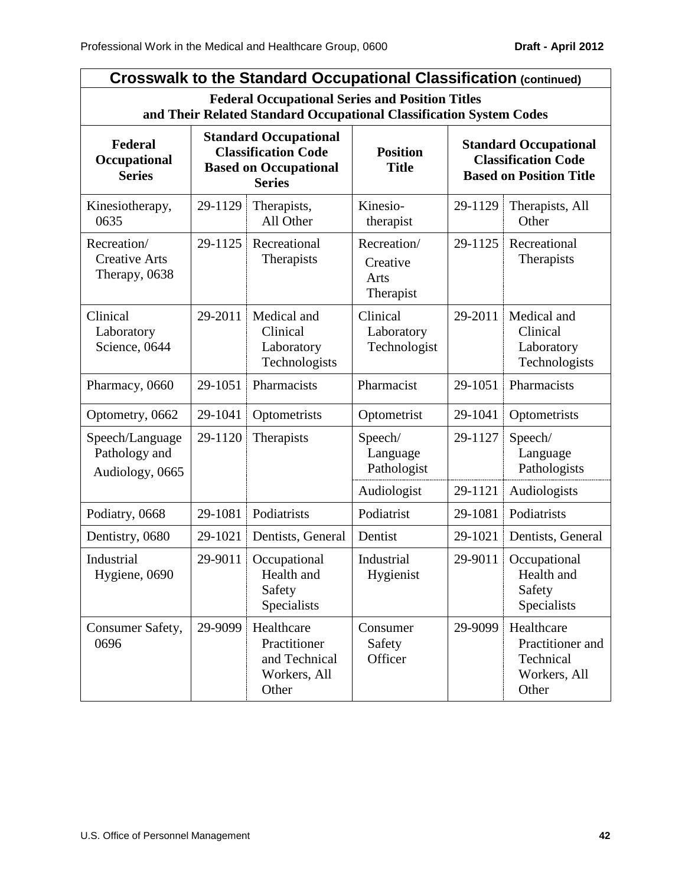| <b>Crosswalk to the Standard Occupational Classification (continued)</b> |                                                                                                                               |                                                                                                             |                                              |                                                                                              |                                                                      |  |
|--------------------------------------------------------------------------|-------------------------------------------------------------------------------------------------------------------------------|-------------------------------------------------------------------------------------------------------------|----------------------------------------------|----------------------------------------------------------------------------------------------|----------------------------------------------------------------------|--|
|                                                                          | <b>Federal Occupational Series and Position Titles</b><br>and Their Related Standard Occupational Classification System Codes |                                                                                                             |                                              |                                                                                              |                                                                      |  |
| Federal<br>Occupational<br><b>Series</b>                                 |                                                                                                                               | <b>Standard Occupational</b><br><b>Classification Code</b><br><b>Based on Occupational</b><br><b>Series</b> | <b>Position</b><br><b>Title</b>              | <b>Standard Occupational</b><br><b>Classification Code</b><br><b>Based on Position Title</b> |                                                                      |  |
| Kinesiotherapy,<br>0635                                                  | 29-1129                                                                                                                       | Therapists,<br>All Other                                                                                    | Kinesio-<br>therapist                        | 29-1129                                                                                      | Therapists, All<br>Other                                             |  |
| Recreation/<br><b>Creative Arts</b><br>Therapy, 0638                     | 29-1125                                                                                                                       | Recreational<br>Therapists                                                                                  | Recreation/<br>Creative<br>Arts<br>Therapist | 29-1125                                                                                      | Recreational<br>Therapists                                           |  |
| Clinical<br>Laboratory<br>Science, 0644                                  | 29-2011                                                                                                                       | Medical and<br>Clinical<br>Laboratory<br>Technologists                                                      | Clinical<br>Laboratory<br>Technologist       | 29-2011                                                                                      | Medical and<br>Clinical<br>Laboratory<br>Technologists               |  |
| Pharmacy, 0660                                                           | 29-1051                                                                                                                       | Pharmacists                                                                                                 | Pharmacist                                   | 29-1051                                                                                      | Pharmacists                                                          |  |
| Optometry, 0662                                                          | 29-1041                                                                                                                       | Optometrists                                                                                                | Optometrist                                  | 29-1041                                                                                      | Optometrists                                                         |  |
| Speech/Language<br>Pathology and<br>Audiology, 0665                      | 29-1120                                                                                                                       | Therapists                                                                                                  | Speech/<br>Language<br>Pathologist           | 29-1127                                                                                      | Speech/<br>Language<br>Pathologists                                  |  |
|                                                                          |                                                                                                                               |                                                                                                             | Audiologist                                  | 29-1121                                                                                      | Audiologists                                                         |  |
| Podiatry, 0668                                                           | 29-1081                                                                                                                       | Podiatrists                                                                                                 | Podiatrist                                   | 29-1081                                                                                      | Podiatrists                                                          |  |
| Dentistry, 0680                                                          | 29-1021                                                                                                                       | Dentists, General                                                                                           | Dentist                                      | 29-1021                                                                                      | Dentists, General                                                    |  |
| Industrial<br>Hygiene, 0690                                              | 29-9011                                                                                                                       | Occupational<br>Health and<br>Safety<br>Specialists                                                         | Industrial<br>Hygienist                      | 29-9011                                                                                      | Occupational<br>Health and<br>Safety<br>Specialists                  |  |
| Consumer Safety,<br>0696                                                 | 29-9099                                                                                                                       | Healthcare<br>Practitioner<br>and Technical<br>Workers, All<br>Other                                        | Consumer<br>Safety<br>Officer                | 29-9099                                                                                      | Healthcare<br>Practitioner and<br>Technical<br>Workers, All<br>Other |  |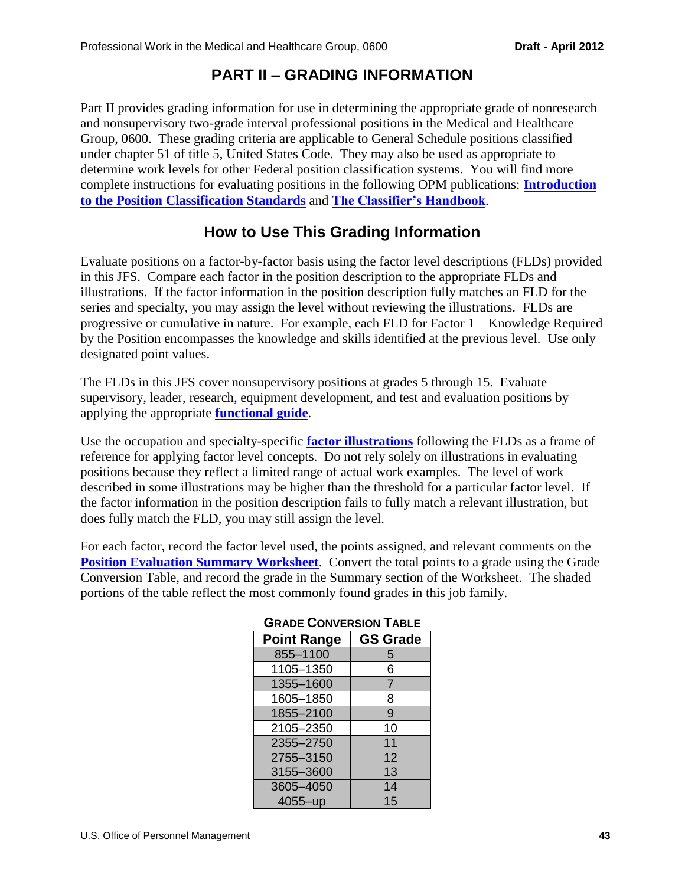# **PART II – GRADING INFORMATION**

Part II provides grading information for use in determining the appropriate grade of nonresearch and nonsupervisory two-grade interval professional positions in the Medical and Healthcare Group, 0600. These grading criteria are applicable to General Schedule positions classified under chapter 51 of title 5, United States Code. They may also be used as appropriate to determine work levels for other Federal position classification systems. You will find more complete instructions for evaluating positions in the following OPM publications: **[Introduction](http://www.opm.gov/fedclass/gsintro.pdf)  [to the Position Classification Standards](http://www.opm.gov/fedclass/gsintro.pdf)** and **[The Classifier's Handbook](http://www.opm.gov/fedclass/clashnbk.pdf)**.

# **How to Use This Grading Information**

Evaluate positions on a factor-by-factor basis using the factor level descriptions (FLDs) provided in this JFS. Compare each factor in the position description to the appropriate FLDs and illustrations. If the factor information in the position description fully matches an FLD for the series and specialty, you may assign the level without reviewing the illustrations. FLDs are progressive or cumulative in nature. For example, each FLD for Factor 1 – Knowledge Required by the Position encompasses the knowledge and skills identified at the previous level. Use only designated point values.

The FLDs in this JFS cover nonsupervisory positions at grades 5 through 15. Evaluate supervisory, leader, research, equipment development, and test and evaluation positions by applying the appropriate **[functional guide](http://www.opm.gov/fedclass/html/gsfunctn.asp)**.

Use the occupation and specialty-specific **[factor illustrations](#page-72-0)** following the FLDs as a frame of reference for applying factor level concepts. Do not rely solely on illustrations in evaluating positions because they reflect a limited range of actual work examples. The level of work described in some illustrations may be higher than the threshold for a particular factor level. If the factor information in the position description fails to fully match a relevant illustration, but does fully match the FLD, you may still assign the level.

For each factor, record the factor level used, the points assigned, and relevant comments on the **[Position Evaluation Summary Worksheet](#page-43-0).** Convert the total points to a grade using the Grade Conversion Table, and record the grade in the Summary section of the Worksheet. The shaded portions of the table reflect the most commonly found grades in this job family.

| <b>Point Range</b> | <b>GS Grade</b> |
|--------------------|-----------------|
| 855-1100           | 5               |
| 1105-1350          | 6               |
| 1355-1600          | $\overline{7}$  |
| 1605-1850          | 8               |
| 1855-2100          | 9               |
| 2105-2350          | 10              |
| 2355-2750          | 11              |
| 2755-3150          | 12              |
| 3155-3600          | 13              |
| 3605-4050          | 14              |
| 4055-up            | 15              |

## **GRADE CONVERSION TABLE**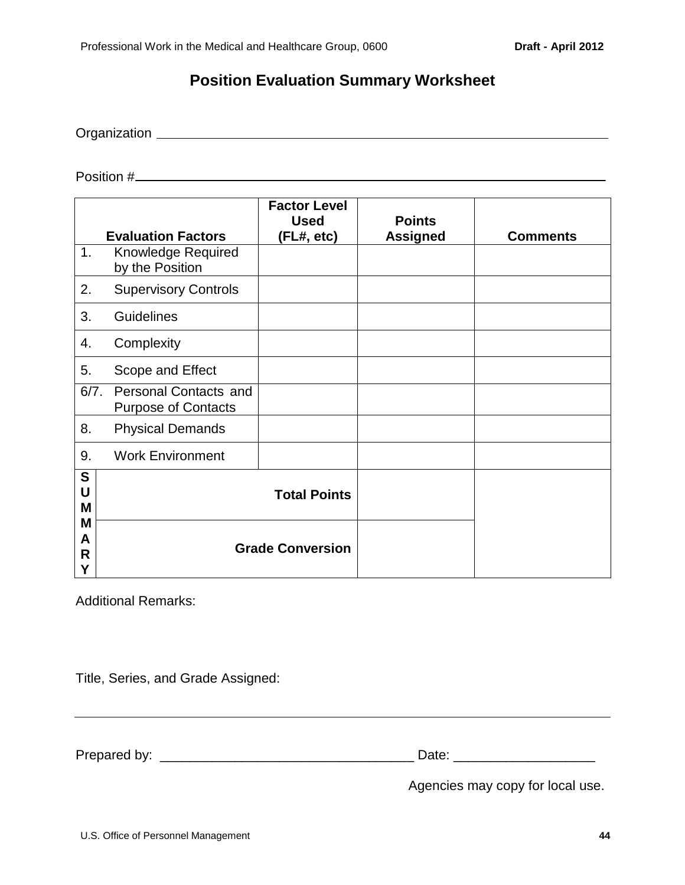# **Position Evaluation Summary Worksheet**

<span id="page-43-0"></span>Organization

Position #

|                                 | <b>Evaluation Factors</b>                                  | <b>Factor Level</b><br><b>Used</b><br>(FL#, etc) | <b>Points</b><br><b>Assigned</b> | <b>Comments</b> |
|---------------------------------|------------------------------------------------------------|--------------------------------------------------|----------------------------------|-----------------|
| 1.                              | Knowledge Required<br>by the Position                      |                                                  |                                  |                 |
| 2.                              | <b>Supervisory Controls</b>                                |                                                  |                                  |                 |
| 3.                              | <b>Guidelines</b>                                          |                                                  |                                  |                 |
| 4.                              | Complexity                                                 |                                                  |                                  |                 |
| 5.                              | Scope and Effect                                           |                                                  |                                  |                 |
| 6/7.                            | <b>Personal Contacts and</b><br><b>Purpose of Contacts</b> |                                                  |                                  |                 |
| 8.                              | <b>Physical Demands</b>                                    |                                                  |                                  |                 |
| 9.                              | <b>Work Environment</b>                                    |                                                  |                                  |                 |
| S<br>U<br>M<br>M<br>A<br>R<br>Υ |                                                            | <b>Total Points</b><br><b>Grade Conversion</b>   |                                  |                 |

Additional Remarks:

Title, Series, and Grade Assigned:

Prepared by: \_\_\_\_\_\_\_\_\_\_\_\_\_\_\_\_\_\_\_\_\_\_\_\_\_\_\_\_\_\_\_\_\_\_ Date: \_\_\_\_\_\_\_\_\_\_\_\_\_\_\_\_\_\_\_

<u> 1989 - Johann Stoff, amerikansk politiker (d. 1989)</u>

Agencies may copy for local use.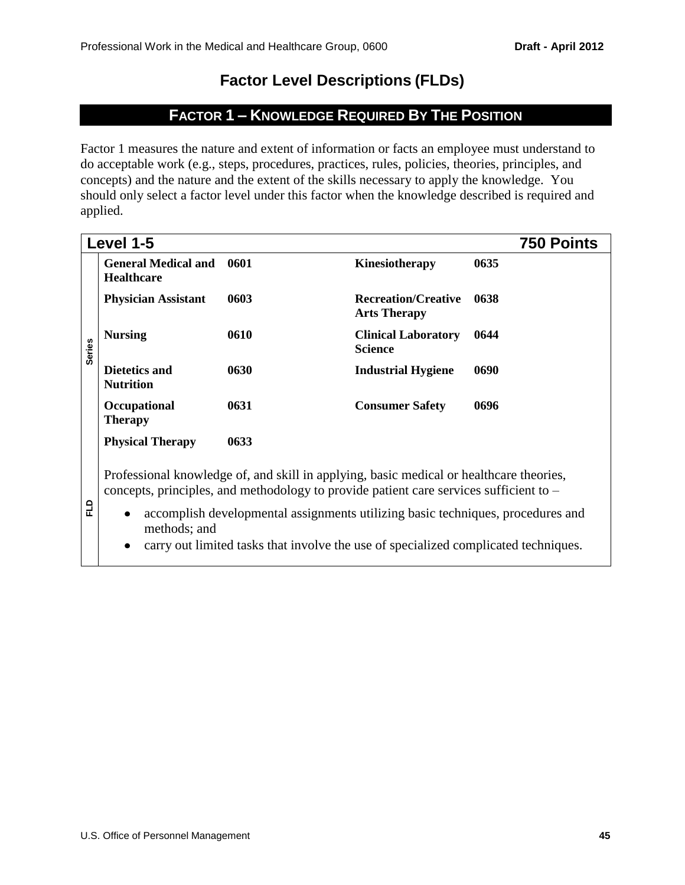# **Factor Level Descriptions (FLDs)**

# **FACTOR 1 – KNOWLEDGE REQUIRED BY THE POSITION**

Factor 1 measures the nature and extent of information or facts an employee must understand to do acceptable work (e.g., steps, procedures, practices, rules, policies, theories, principles, and concepts) and the nature and the extent of the skills necessary to apply the knowledge. You should only select a factor level under this factor when the knowledge described is required and applied.

|               | Level 1-5                                       |                                                                                                                                                                                                                                                                                                                                                             |                                                   | 750 Points |
|---------------|-------------------------------------------------|-------------------------------------------------------------------------------------------------------------------------------------------------------------------------------------------------------------------------------------------------------------------------------------------------------------------------------------------------------------|---------------------------------------------------|------------|
|               | <b>General Medical and</b><br><b>Healthcare</b> | 0601                                                                                                                                                                                                                                                                                                                                                        | Kinesiotherapy                                    | 0635       |
|               | <b>Physician Assistant</b>                      | 0603                                                                                                                                                                                                                                                                                                                                                        | <b>Recreation/Creative</b><br><b>Arts Therapy</b> | 0638       |
| <b>Series</b> | <b>Nursing</b>                                  | 0610                                                                                                                                                                                                                                                                                                                                                        | <b>Clinical Laboratory</b><br><b>Science</b>      | 0644       |
|               | <b>Dietetics and</b><br><b>Nutrition</b>        | 0630                                                                                                                                                                                                                                                                                                                                                        | <b>Industrial Hygiene</b>                         | 0690       |
|               | Occupational<br><b>Therapy</b>                  | 0631                                                                                                                                                                                                                                                                                                                                                        | <b>Consumer Safety</b>                            | 0696       |
|               | <b>Physical Therapy</b>                         | 0633                                                                                                                                                                                                                                                                                                                                                        |                                                   |            |
| ELD           | methods; and<br>$\bullet$                       | Professional knowledge of, and skill in applying, basic medical or healthcare theories,<br>concepts, principles, and methodology to provide patient care services sufficient to –<br>accomplish developmental assignments utilizing basic techniques, procedures and<br>carry out limited tasks that involve the use of specialized complicated techniques. |                                                   |            |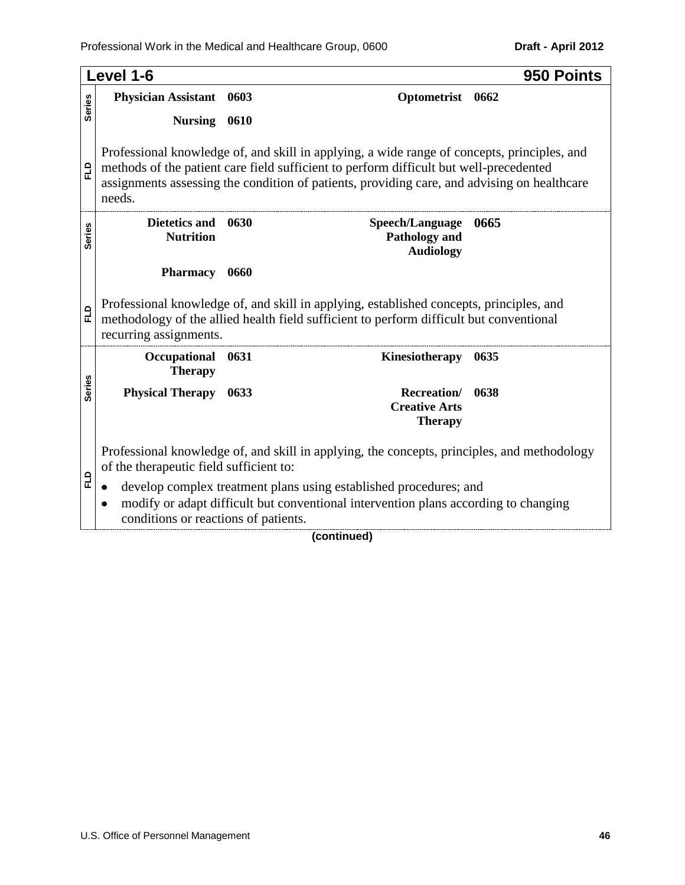|               | Level 1-6                                 |      |                                                                                                                                                                                                                                                                                      | 950 Points |
|---------------|-------------------------------------------|------|--------------------------------------------------------------------------------------------------------------------------------------------------------------------------------------------------------------------------------------------------------------------------------------|------------|
|               | <b>Physician Assistant</b>                | 0603 | Optometrist                                                                                                                                                                                                                                                                          | 0662       |
| <b>Series</b> | <b>Nursing</b>                            | 0610 |                                                                                                                                                                                                                                                                                      |            |
| 읍             | needs.                                    |      | Professional knowledge of, and skill in applying, a wide range of concepts, principles, and<br>methods of the patient care field sufficient to perform difficult but well-precedented<br>assignments assessing the condition of patients, providing care, and advising on healthcare |            |
| <b>Series</b> | Dietetics and<br><b>Nutrition</b>         | 0630 | Speech/Language<br>Pathology and<br><b>Audiology</b>                                                                                                                                                                                                                                 | 0665       |
|               | <b>Pharmacy</b>                           | 0660 |                                                                                                                                                                                                                                                                                      |            |
| FLD           | recurring assignments.                    |      | Professional knowledge of, and skill in applying, established concepts, principles, and<br>methodology of the allied health field sufficient to perform difficult but conventional                                                                                                   |            |
|               | Occupational<br><b>Therapy</b>            | 0631 | Kinesiotherapy                                                                                                                                                                                                                                                                       | 0635       |
| <b>Series</b> | <b>Physical Therapy</b>                   | 0633 | <b>Recreation</b> /<br><b>Creative Arts</b><br><b>Therapy</b>                                                                                                                                                                                                                        | 0638       |
|               | of the therapeutic field sufficient to:   |      | Professional knowledge of, and skill in applying, the concepts, principles, and methodology                                                                                                                                                                                          |            |
| 입             | ٠<br>conditions or reactions of patients. |      | develop complex treatment plans using established procedures; and<br>modify or adapt difficult but conventional intervention plans according to changing                                                                                                                             |            |
|               |                                           |      | (continued)                                                                                                                                                                                                                                                                          |            |

### **(continued)**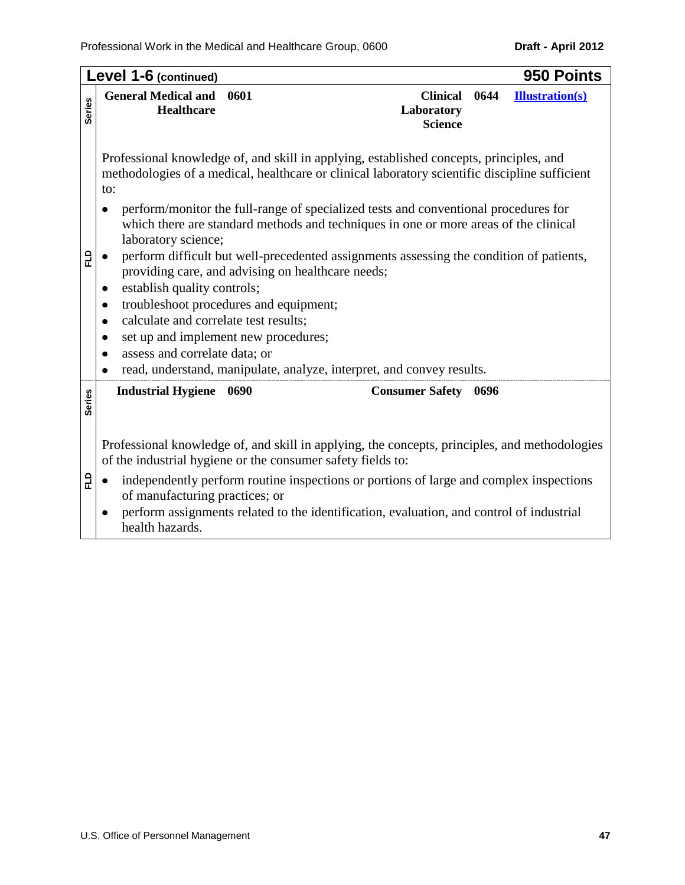|               | Level 1-6 (continued)                                                                                                                                                                                                                                                                                                                                                                                                                                                                                                                                                                                                                                                                                                                                                                                                                                                                            |                                                 |      | 950 Points             |  |
|---------------|--------------------------------------------------------------------------------------------------------------------------------------------------------------------------------------------------------------------------------------------------------------------------------------------------------------------------------------------------------------------------------------------------------------------------------------------------------------------------------------------------------------------------------------------------------------------------------------------------------------------------------------------------------------------------------------------------------------------------------------------------------------------------------------------------------------------------------------------------------------------------------------------------|-------------------------------------------------|------|------------------------|--|
| <b>Series</b> | <b>General Medical and</b><br>0601<br><b>Healthcare</b>                                                                                                                                                                                                                                                                                                                                                                                                                                                                                                                                                                                                                                                                                                                                                                                                                                          | <b>Clinical</b><br>Laboratory<br><b>Science</b> | 0644 | <b>Illustration(s)</b> |  |
| 입             | Professional knowledge of, and skill in applying, established concepts, principles, and<br>methodologies of a medical, healthcare or clinical laboratory scientific discipline sufficient<br>to:<br>perform/monitor the full-range of specialized tests and conventional procedures for<br>which there are standard methods and techniques in one or more areas of the clinical<br>laboratory science;<br>perform difficult but well-precedented assignments assessing the condition of patients,<br>$\bullet$<br>providing care, and advising on healthcare needs;<br>establish quality controls;<br>$\bullet$<br>troubleshoot procedures and equipment;<br>$\bullet$<br>calculate and correlate test results;<br>$\bullet$<br>set up and implement new procedures;<br>٠<br>assess and correlate data; or<br>$\bullet$<br>read, understand, manipulate, analyze, interpret, and convey results. |                                                 |      |                        |  |
| <b>Series</b> | <b>Industrial Hygiene</b> 0690                                                                                                                                                                                                                                                                                                                                                                                                                                                                                                                                                                                                                                                                                                                                                                                                                                                                   | <b>Consumer Safety</b> 0696                     |      |                        |  |
|               | Professional knowledge of, and skill in applying, the concepts, principles, and methodologies<br>of the industrial hygiene or the consumer safety fields to:                                                                                                                                                                                                                                                                                                                                                                                                                                                                                                                                                                                                                                                                                                                                     |                                                 |      |                        |  |
| 읍             | independently perform routine inspections or portions of large and complex inspections<br>$\bullet$<br>of manufacturing practices; or                                                                                                                                                                                                                                                                                                                                                                                                                                                                                                                                                                                                                                                                                                                                                            |                                                 |      |                        |  |
|               | perform assignments related to the identification, evaluation, and control of industrial<br>$\bullet$<br>health hazards.                                                                                                                                                                                                                                                                                                                                                                                                                                                                                                                                                                                                                                                                                                                                                                         |                                                 |      |                        |  |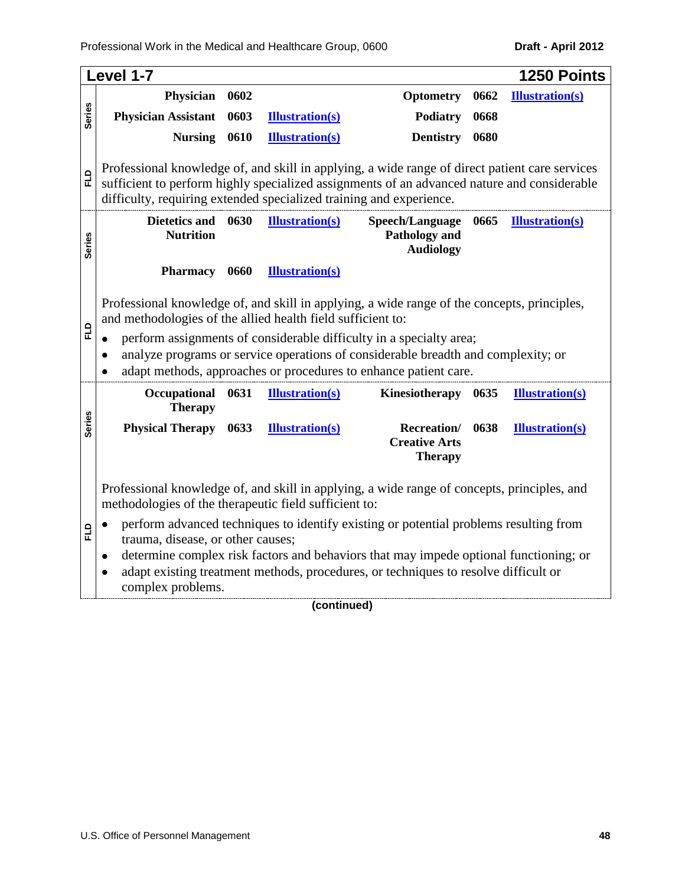|                                                                          | Level 1-7                                                                                                                                                  |      |                        |                                                                                       |      | 1250 Points            |
|--------------------------------------------------------------------------|------------------------------------------------------------------------------------------------------------------------------------------------------------|------|------------------------|---------------------------------------------------------------------------------------|------|------------------------|
|                                                                          | <b>Physician</b>                                                                                                                                           | 0602 |                        | <b>Optometry</b>                                                                      | 0662 | <b>Illustration(s)</b> |
| <b>Series</b>                                                            | <b>Physician Assistant</b>                                                                                                                                 | 0603 | <b>Illustration(s)</b> | Podiatry                                                                              | 0668 |                        |
|                                                                          | <b>Nursing</b>                                                                                                                                             | 0610 | <b>Illustration(s)</b> | <b>Dentistry</b>                                                                      | 0680 |                        |
|                                                                          |                                                                                                                                                            |      |                        |                                                                                       |      |                        |
|                                                                          | Professional knowledge of, and skill in applying, a wide range of direct patient care services                                                             |      |                        |                                                                                       |      |                        |
| 밉                                                                        | sufficient to perform highly specialized assignments of an advanced nature and considerable                                                                |      |                        |                                                                                       |      |                        |
|                                                                          | difficulty, requiring extended specialized training and experience.                                                                                        |      |                        |                                                                                       |      |                        |
|                                                                          | <b>Dietetics and</b>                                                                                                                                       | 0630 | <b>Illustration(s)</b> | Speech/Language                                                                       | 0665 | <b>Illustration(s)</b> |
| <b>Series</b>                                                            | <b>Nutrition</b>                                                                                                                                           |      |                        | <b>Pathology and</b>                                                                  |      |                        |
|                                                                          |                                                                                                                                                            |      |                        | <b>Audiology</b>                                                                      |      |                        |
|                                                                          | Pharmacy 0660                                                                                                                                              |      | <b>Illustration(s)</b> |                                                                                       |      |                        |
|                                                                          |                                                                                                                                                            |      |                        |                                                                                       |      |                        |
|                                                                          | Professional knowledge of, and skill in applying, a wide range of the concepts, principles,<br>and methodologies of the allied health field sufficient to: |      |                        |                                                                                       |      |                        |
| 입                                                                        |                                                                                                                                                            |      |                        | perform assignments of considerable difficulty in a specialty area;                   |      |                        |
|                                                                          |                                                                                                                                                            |      |                        | analyze programs or service operations of considerable breadth and complexity; or     |      |                        |
|                                                                          |                                                                                                                                                            |      |                        | adapt methods, approaches or procedures to enhance patient care.                      |      |                        |
| Occupational<br>0631<br><b>Illustration(s)</b><br>Kinesiotherapy<br>0635 |                                                                                                                                                            |      |                        | <b>Illustration(s)</b>                                                                |      |                        |
|                                                                          | <b>Therapy</b>                                                                                                                                             |      |                        |                                                                                       |      |                        |
| <b>Series</b>                                                            | <b>Physical Therapy</b>                                                                                                                                    | 0633 | <b>Illustration(s)</b> | Recreation/                                                                           | 0638 | <b>Illustration(s)</b> |
|                                                                          |                                                                                                                                                            |      |                        | <b>Creative Arts</b>                                                                  |      |                        |
|                                                                          |                                                                                                                                                            |      |                        | <b>Therapy</b>                                                                        |      |                        |
|                                                                          |                                                                                                                                                            |      |                        |                                                                                       |      |                        |
|                                                                          | Professional knowledge of, and skill in applying, a wide range of concepts, principles, and<br>methodologies of the therapeutic field sufficient to:       |      |                        |                                                                                       |      |                        |
|                                                                          | perform advanced techniques to identify existing or potential problems resulting from<br>$\bullet$                                                         |      |                        |                                                                                       |      |                        |
| 답                                                                        | trauma, disease, or other causes;                                                                                                                          |      |                        |                                                                                       |      |                        |
|                                                                          | ٠                                                                                                                                                          |      |                        | determine complex risk factors and behaviors that may impede optional functioning; or |      |                        |
|                                                                          |                                                                                                                                                            |      |                        | adapt existing treatment methods, procedures, or techniques to resolve difficult or   |      |                        |
|                                                                          | complex problems.                                                                                                                                          |      |                        |                                                                                       |      |                        |

# **(continued)**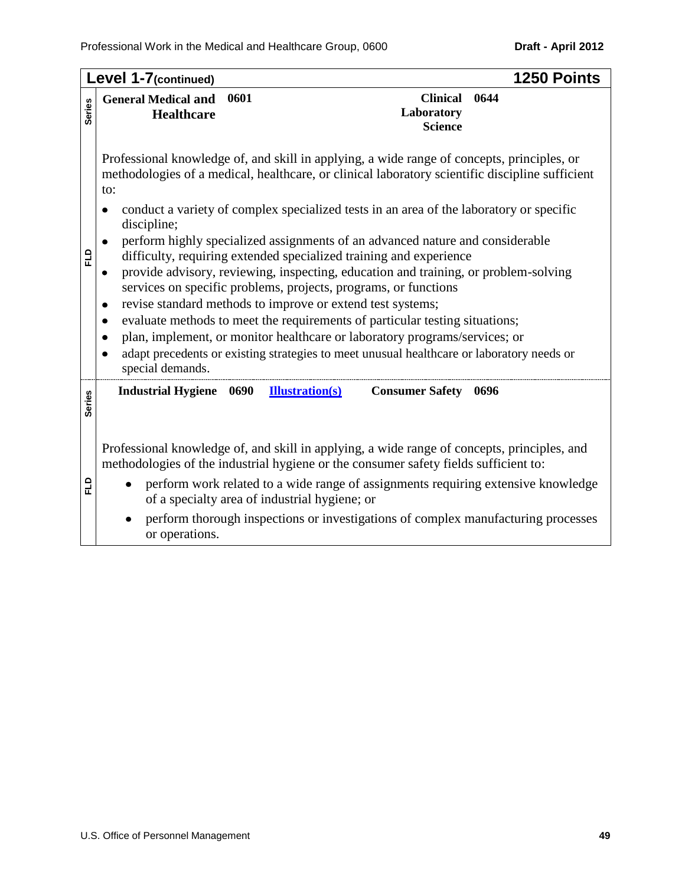|               | Level 1-7(continued)<br>1250 Points                                                                                                                                                                                                                                                                                                                                                                                                                                                                                                                                                                                                                                                                     |
|---------------|---------------------------------------------------------------------------------------------------------------------------------------------------------------------------------------------------------------------------------------------------------------------------------------------------------------------------------------------------------------------------------------------------------------------------------------------------------------------------------------------------------------------------------------------------------------------------------------------------------------------------------------------------------------------------------------------------------|
| <b>Series</b> | 0601<br><b>Clinical</b><br>0644<br><b>General Medical and</b><br>Laboratory<br><b>Healthcare</b><br><b>Science</b>                                                                                                                                                                                                                                                                                                                                                                                                                                                                                                                                                                                      |
|               | Professional knowledge of, and skill in applying, a wide range of concepts, principles, or<br>methodologies of a medical, healthcare, or clinical laboratory scientific discipline sufficient<br>to:<br>conduct a variety of complex specialized tests in an area of the laboratory or specific<br>٠                                                                                                                                                                                                                                                                                                                                                                                                    |
| 됴             | discipline;<br>perform highly specialized assignments of an advanced nature and considerable<br>$\bullet$<br>difficulty, requiring extended specialized training and experience<br>provide advisory, reviewing, inspecting, education and training, or problem-solving<br>٠<br>services on specific problems, projects, programs, or functions<br>revise standard methods to improve or extend test systems;<br>evaluate methods to meet the requirements of particular testing situations;<br>$\bullet$<br>plan, implement, or monitor healthcare or laboratory programs/services; or<br>adapt precedents or existing strategies to meet unusual healthcare or laboratory needs or<br>special demands. |
| <b>Series</b> | <b>Industrial Hygiene</b> 0690<br><b>Illustration(s)</b><br><b>Consumer Safety</b><br>0696                                                                                                                                                                                                                                                                                                                                                                                                                                                                                                                                                                                                              |
|               | Professional knowledge of, and skill in applying, a wide range of concepts, principles, and<br>methodologies of the industrial hygiene or the consumer safety fields sufficient to:                                                                                                                                                                                                                                                                                                                                                                                                                                                                                                                     |
| 입             | perform work related to a wide range of assignments requiring extensive knowledge<br>of a specialty area of industrial hygiene; or                                                                                                                                                                                                                                                                                                                                                                                                                                                                                                                                                                      |
|               | perform thorough inspections or investigations of complex manufacturing processes<br>or operations.                                                                                                                                                                                                                                                                                                                                                                                                                                                                                                                                                                                                     |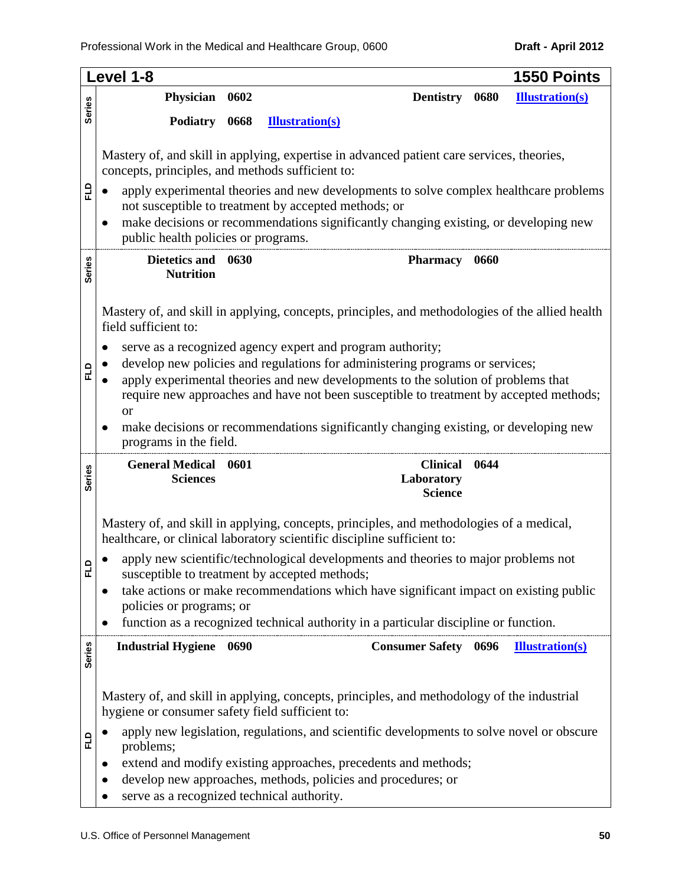|               | Level 1-8<br>1550 Points                                                                                                                                                                                                                                                                                                                                                                                                                          |  |  |  |  |  |
|---------------|---------------------------------------------------------------------------------------------------------------------------------------------------------------------------------------------------------------------------------------------------------------------------------------------------------------------------------------------------------------------------------------------------------------------------------------------------|--|--|--|--|--|
|               | Physician<br>0602<br><b>Dentistry</b><br>0680<br><b>Illustration(s)</b>                                                                                                                                                                                                                                                                                                                                                                           |  |  |  |  |  |
| <b>Series</b> | <b>Podiatry</b><br>0668<br><b>Illustration(s)</b>                                                                                                                                                                                                                                                                                                                                                                                                 |  |  |  |  |  |
| 입             | Mastery of, and skill in applying, expertise in advanced patient care services, theories,<br>concepts, principles, and methods sufficient to:<br>apply experimental theories and new developments to solve complex healthcare problems<br>not susceptible to treatment by accepted methods; or<br>make decisions or recommendations significantly changing existing, or developing new<br>public health policies or programs.                     |  |  |  |  |  |
| <b>Series</b> | <b>Dietetics and</b><br>0630<br><b>Pharmacy</b><br>0660<br><b>Nutrition</b>                                                                                                                                                                                                                                                                                                                                                                       |  |  |  |  |  |
|               | Mastery of, and skill in applying, concepts, principles, and methodologies of the allied health<br>field sufficient to:                                                                                                                                                                                                                                                                                                                           |  |  |  |  |  |
| 입             | serve as a recognized agency expert and program authority;<br>develop new policies and regulations for administering programs or services;<br>apply experimental theories and new developments to the solution of problems that<br>require new approaches and have not been susceptible to treatment by accepted methods;<br>or<br>make decisions or recommendations significantly changing existing, or developing new<br>programs in the field. |  |  |  |  |  |
| <b>Series</b> | <b>General Medical</b><br>0601<br><b>Clinical</b><br>0644<br><b>Sciences</b><br>Laboratory<br><b>Science</b>                                                                                                                                                                                                                                                                                                                                      |  |  |  |  |  |
|               | Mastery of, and skill in applying, concepts, principles, and methodologies of a medical,<br>healthcare, or clinical laboratory scientific discipline sufficient to:                                                                                                                                                                                                                                                                               |  |  |  |  |  |
| 군             | apply new scientific/technological developments and theories to major problems not<br>susceptible to treatment by accepted methods;<br>take actions or make recommendations which have significant impact on existing public                                                                                                                                                                                                                      |  |  |  |  |  |
|               | policies or programs; or<br>function as a recognized technical authority in a particular discipline or function.                                                                                                                                                                                                                                                                                                                                  |  |  |  |  |  |
| <b>Series</b> | <b>Consumer Safety</b> 0696<br><b>Industrial Hygiene</b> 0690<br><b>Illustration(s)</b>                                                                                                                                                                                                                                                                                                                                                           |  |  |  |  |  |
|               | Mastery of, and skill in applying, concepts, principles, and methodology of the industrial<br>hygiene or consumer safety field sufficient to:                                                                                                                                                                                                                                                                                                     |  |  |  |  |  |
| 읍             | apply new legislation, regulations, and scientific developments to solve novel or obscure<br>problems;                                                                                                                                                                                                                                                                                                                                            |  |  |  |  |  |
|               | extend and modify existing approaches, precedents and methods;                                                                                                                                                                                                                                                                                                                                                                                    |  |  |  |  |  |
|               | develop new approaches, methods, policies and procedures; or<br>serve as a recognized technical authority.                                                                                                                                                                                                                                                                                                                                        |  |  |  |  |  |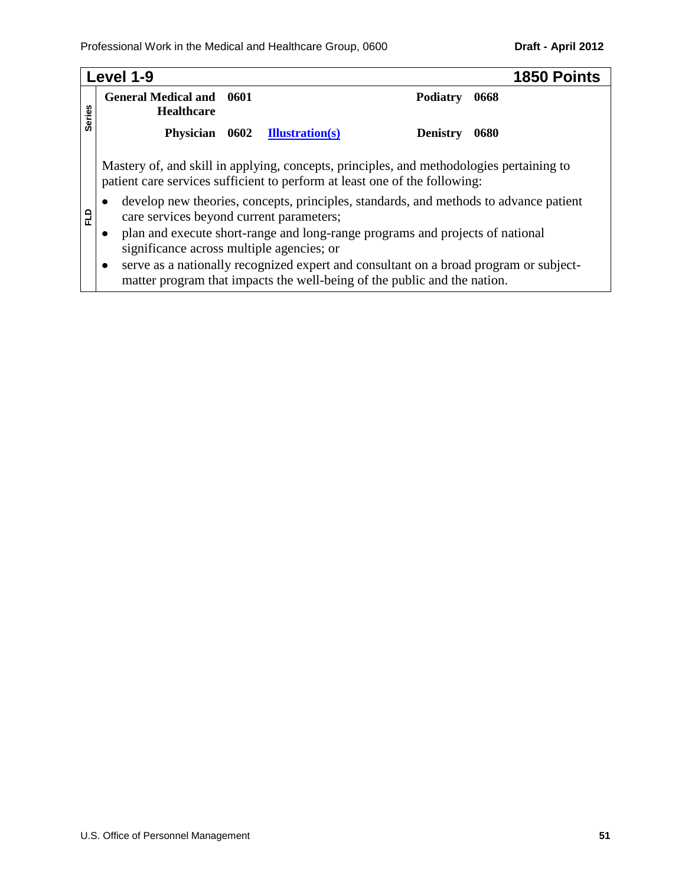|               | Level 1-9                                                                                                                                                                      | <b>1850 Points</b> |  |  |  |  |
|---------------|--------------------------------------------------------------------------------------------------------------------------------------------------------------------------------|--------------------|--|--|--|--|
| <b>Series</b> | <b>General Medical and</b><br>0601<br>Podiatry<br>0668<br><b>Healthcare</b>                                                                                                    |                    |  |  |  |  |
|               | 0602<br><b>Physician</b><br><b>Illustration(s)</b><br><b>Denistry</b><br>0680                                                                                                  |                    |  |  |  |  |
|               | Mastery of, and skill in applying, concepts, principles, and methodologies pertaining to<br>patient care services sufficient to perform at least one of the following:         |                    |  |  |  |  |
| 읍             | develop new theories, concepts, principles, standards, and methods to advance patient<br>care services beyond current parameters;                                              |                    |  |  |  |  |
|               | plan and execute short-range and long-range programs and projects of national<br>٠<br>significance across multiple agencies; or                                                |                    |  |  |  |  |
|               | serve as a nationally recognized expert and consultant on a broad program or subject-<br>$\bullet$<br>matter program that impacts the well-being of the public and the nation. |                    |  |  |  |  |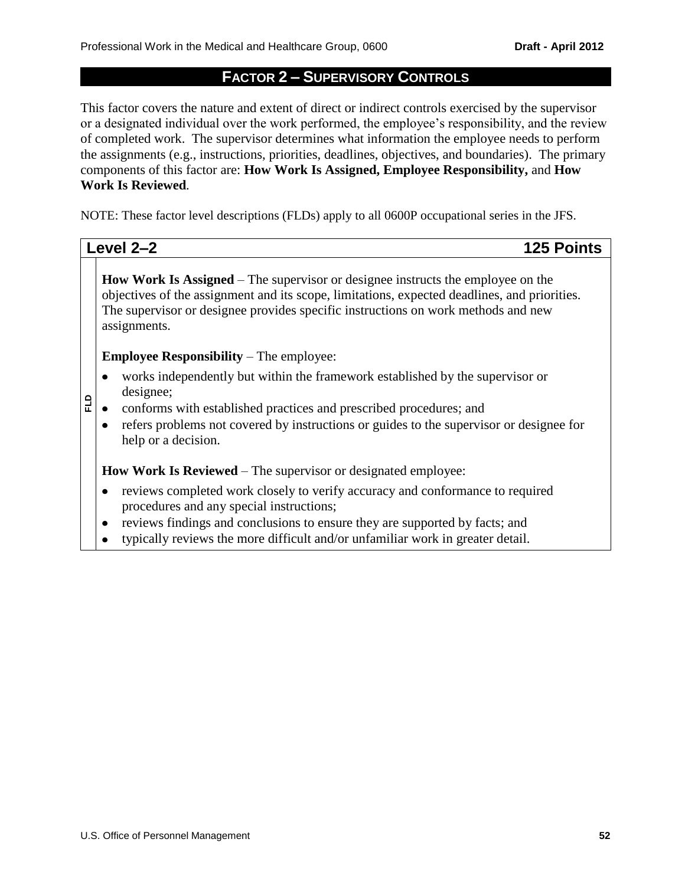### **FACTOR 2 – SUPERVISORY CONTROLS**

This factor covers the nature and extent of direct or indirect controls exercised by the supervisor or a designated individual over the work performed, the employee's responsibility, and the review of completed work. The supervisor determines what information the employee needs to perform the assignments (e.g., instructions, priorities, deadlines, objectives, and boundaries). The primary components of this factor are: **How Work Is Assigned, Employee Responsibility,** and **How Work Is Reviewed***.*

NOTE: These factor level descriptions (FLDs) apply to all 0600P occupational series in the JFS.

**Level 2–2 125 Points**

**How Work Is Assigned** – The supervisor or designee instructs the employee on the objectives of the assignment and its scope, limitations, expected deadlines, and priorities. The supervisor or designee provides specific instructions on work methods and new assignments.

**Employee Responsibility** – The employee:

- works independently but within the framework established by the supervisor or  $\bullet$ designee;
- **FLD** conforms with established practices and prescribed procedures; and  $\bullet$ 
	- refers problems not covered by instructions or guides to the supervisor or designee for  $\bullet$ help or a decision.

**How Work Is Reviewed** – The supervisor or designated employee:

- $\bullet$ reviews completed work closely to verify accuracy and conformance to required procedures and any special instructions;
- reviews findings and conclusions to ensure they are supported by facts; and  $\bullet$
- typically reviews the more difficult and/or unfamiliar work in greater detail. $\bullet$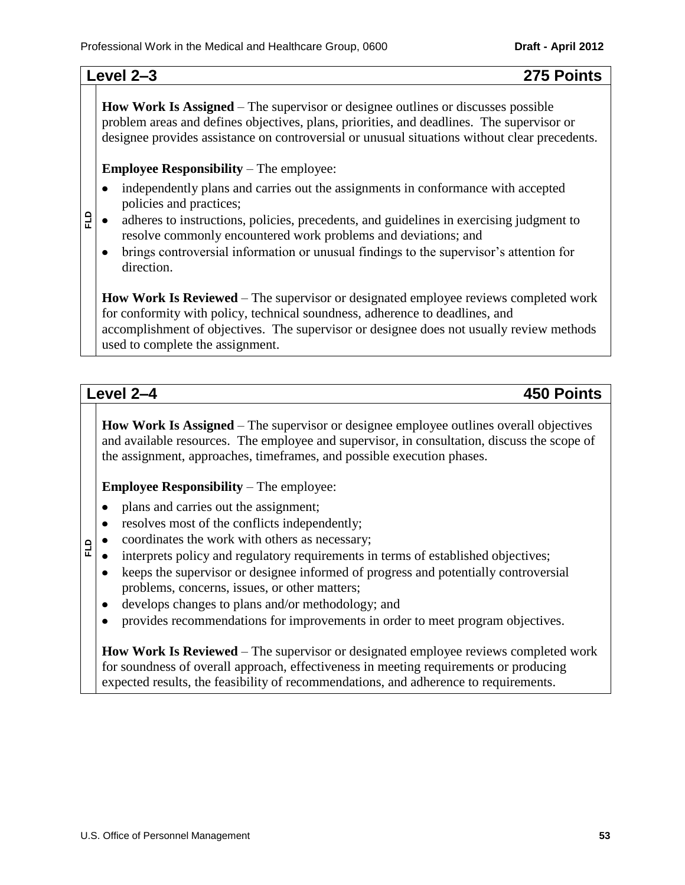**FLD**

**How Work Is Assigned** – The supervisor or designee outlines or discusses possible problem areas and defines objectives, plans, priorities, and deadlines. The supervisor or designee provides assistance on controversial or unusual situations without clear precedents.

**Employee Responsibility** – The employee:

- independently plans and carries out the assignments in conformance with accepted  $\bullet$ policies and practices;
- adheres to instructions, policies, precedents, and guidelines in exercising judgment to  $\bullet$ resolve commonly encountered work problems and deviations; and
- brings controversial information or unusual findings to the supervisor's attention for  $\bullet$ direction.

**How Work Is Reviewed** – The supervisor or designated employee reviews completed work for conformity with policy, technical soundness, adherence to deadlines, and accomplishment of objectives. The supervisor or designee does not usually review methods used to complete the assignment.

**FLD**

**Level 2–4 450 Points**

**How Work Is Assigned** – The supervisor or designee employee outlines overall objectives and available resources. The employee and supervisor, in consultation, discuss the scope of the assignment, approaches, timeframes, and possible execution phases.

**Employee Responsibility** – The employee:

- plans and carries out the assignment;  $\bullet$
- resolves most of the conflicts independently;  $\bullet$
- coordinates the work with others as necessary;
- interprets policy and regulatory requirements in terms of established objectives;  $\bullet$
- keeps the supervisor or designee informed of progress and potentially controversial  $\bullet$ problems, concerns, issues, or other matters;
- develops changes to plans and/or methodology; and
- provides recommendations for improvements in order to meet program objectives.  $\bullet$

**How Work Is Reviewed** – The supervisor or designated employee reviews completed work for soundness of overall approach, effectiveness in meeting requirements or producing expected results, the feasibility of recommendations, and adherence to requirements.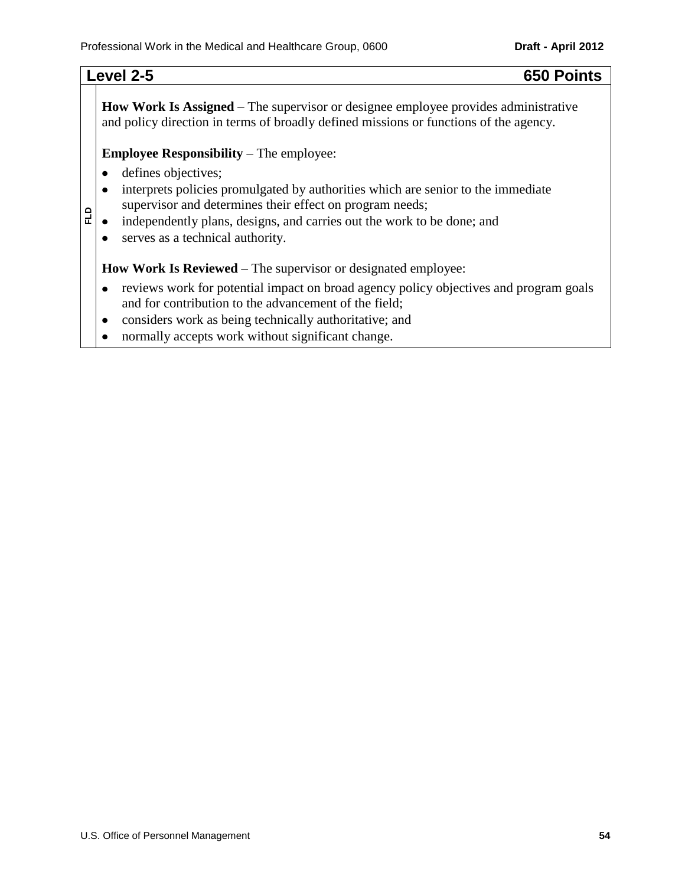**FLD**

**How Work Is Assigned** – The supervisor or designee employee provides administrative and policy direction in terms of broadly defined missions or functions of the agency.

**Employee Responsibility** – The employee:

- $\bullet$ defines objectives;
- interprets policies promulgated by authorities which are senior to the immediate  $\bullet$ supervisor and determines their effect on program needs;
- independently plans, designs, and carries out the work to be done; and  $\bullet$
- serves as a technical authority.  $\bullet$

**How Work Is Reviewed** – The supervisor or designated employee:

- reviews work for potential impact on broad agency policy objectives and program goals  $\bullet$ and for contribution to the advancement of the field;
- considers work as being technically authoritative; and  $\bullet$
- normally accepts work without significant change. $\bullet$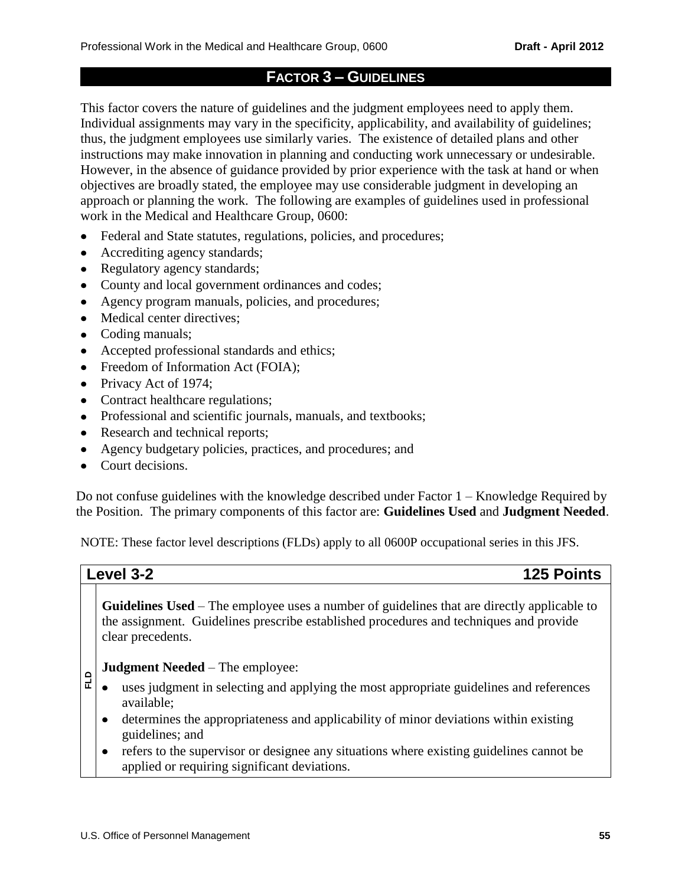# **FACTOR 3 – GUIDELINES**

This factor covers the nature of guidelines and the judgment employees need to apply them. Individual assignments may vary in the specificity, applicability, and availability of guidelines; thus, the judgment employees use similarly varies. The existence of detailed plans and other instructions may make innovation in planning and conducting work unnecessary or undesirable. However, in the absence of guidance provided by prior experience with the task at hand or when objectives are broadly stated, the employee may use considerable judgment in developing an approach or planning the work. The following are examples of guidelines used in professional work in the Medical and Healthcare Group, 0600:

- $\bullet$ Federal and State statutes, regulations, policies, and procedures;
- Accrediting agency standards;  $\bullet$
- Regulatory agency standards;
- County and local government ordinances and codes;
- Agency program manuals, policies, and procedures;
- Medical center directives;
- Coding manuals;
- Accepted professional standards and ethics;
- Freedom of Information Act (FOIA);
- Privacy Act of 1974;
- Contract healthcare regulations;
- Professional and scientific journals, manuals, and textbooks;
- Research and technical reports;
- Agency budgetary policies, practices, and procedures; and  $\bullet$
- Court decisions.

Do not confuse guidelines with the knowledge described under Factor 1 – Knowledge Required by the Position. The primary components of this factor are: **Guidelines Used** and **Judgment Needed**.

NOTE: These factor level descriptions (FLDs) apply to all 0600P occupational series in this JFS.

**FLD**

**Level 3-2 125 Points**

**Guidelines Used** – The employee uses a number of guidelines that are directly applicable to the assignment. Guidelines prescribe established procedures and techniques and provide clear precedents.

### **Judgment Needed** – The employee:

- uses judgment in selecting and applying the most appropriate guidelines and references available;
- determines the appropriateness and applicability of minor deviations within existing guidelines; and
- refers to the supervisor or designee any situations where existing guidelines cannot be  $\bullet$ applied or requiring significant deviations.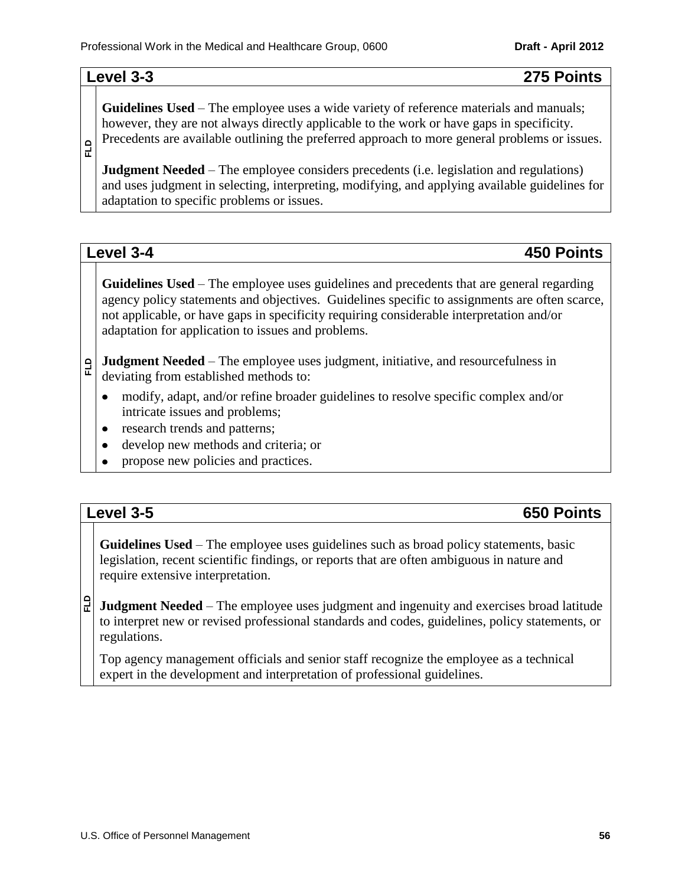# **Level 3-3 275 Points**

**Guidelines Used** – The employee uses a wide variety of reference materials and manuals; however, they are not always directly applicable to the work or have gaps in specificity. Precedents are available outlining the preferred approach to more general problems or issues.

**FLD**

**Judgment Needed** – The employee considers precedents (i.e. legislation and regulations) and uses judgment in selecting, interpreting, modifying, and applying available guidelines for adaptation to specific problems or issues.

**Guidelines Used** – The employee uses guidelines and precedents that are general regarding agency policy statements and objectives. Guidelines specific to assignments are often scarce, not applicable, or have gaps in specificity requiring considerable interpretation and/or adaptation for application to issues and problems.

### **FLD Judgment Needed** – The employee uses judgment, initiative, and resourcefulness in deviating from established methods to:

- modify, adapt, and/or refine broader guidelines to resolve specific complex and/or  $\bullet$ intricate issues and problems;
- research trends and patterns;  $\bullet$
- develop new methods and criteria; or  $\bullet$
- propose new policies and practices.

# **Level 3-5 650 Points**

**Guidelines Used** – The employee uses guidelines such as broad policy statements, basic legislation, recent scientific findings, or reports that are often ambiguous in nature and require extensive interpretation.

**FLD Judgment Needed** – The employee uses judgment and ingenuity and exercises broad latitude to interpret new or revised professional standards and codes, guidelines, policy statements, or regulations.

Top agency management officials and senior staff recognize the employee as a technical expert in the development and interpretation of professional guidelines.

# **Level 3-4 450 Points**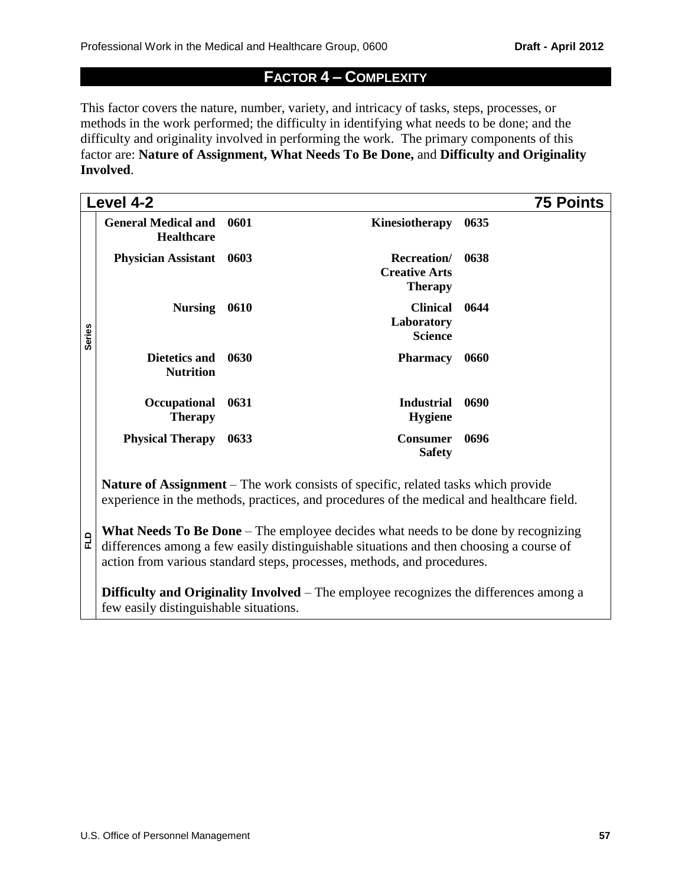# **FACTOR 4 – COMPLEXITY**

This factor covers the nature, number, variety, and intricacy of tasks, steps, processes, or methods in the work performed; the difficulty in identifying what needs to be done; and the difficulty and originality involved in performing the work. The primary components of this factor are: **Nature of Assignment, What Needs To Be Done,** and **Difficulty and Originality Involved**.

|               | Level 4-2                                                                                                                                                                                                                                                      |      |                                                                                                                                                                                | <b>75 Points</b> |  |  |
|---------------|----------------------------------------------------------------------------------------------------------------------------------------------------------------------------------------------------------------------------------------------------------------|------|--------------------------------------------------------------------------------------------------------------------------------------------------------------------------------|------------------|--|--|
|               | <b>General Medical and 0601</b><br><b>Healthcare</b>                                                                                                                                                                                                           |      | Kinesiotherapy                                                                                                                                                                 | 0635             |  |  |
|               | <b>Physician Assistant</b>                                                                                                                                                                                                                                     | 0603 | <b>Recreation</b><br><b>Creative Arts</b><br><b>Therapy</b>                                                                                                                    | 0638             |  |  |
| <b>Series</b> | <b>Nursing</b>                                                                                                                                                                                                                                                 | 0610 | <b>Clinical</b><br>Laboratory<br><b>Science</b>                                                                                                                                | 0644             |  |  |
|               | Dietetics and<br><b>Nutrition</b>                                                                                                                                                                                                                              | 0630 | <b>Pharmacy</b>                                                                                                                                                                | 0660             |  |  |
|               | Occupational<br><b>Therapy</b>                                                                                                                                                                                                                                 | 0631 | <b>Industrial</b><br><b>Hygiene</b>                                                                                                                                            | 0690             |  |  |
|               | <b>Physical Therapy</b>                                                                                                                                                                                                                                        | 0633 | <b>Consumer</b><br><b>Safety</b>                                                                                                                                               | 0696             |  |  |
|               |                                                                                                                                                                                                                                                                |      | Nature of Assignment – The work consists of specific, related tasks which provide<br>experience in the methods, practices, and procedures of the medical and healthcare field. |                  |  |  |
| 읍             | <b>What Needs To Be Done</b> – The employee decides what needs to be done by recognizing<br>differences among a few easily distinguishable situations and then choosing a course of<br>action from various standard steps, processes, methods, and procedures. |      |                                                                                                                                                                                |                  |  |  |
|               | <b>Difficulty and Originality Involved</b> – The employee recognizes the differences among a<br>few easily distinguishable situations.                                                                                                                         |      |                                                                                                                                                                                |                  |  |  |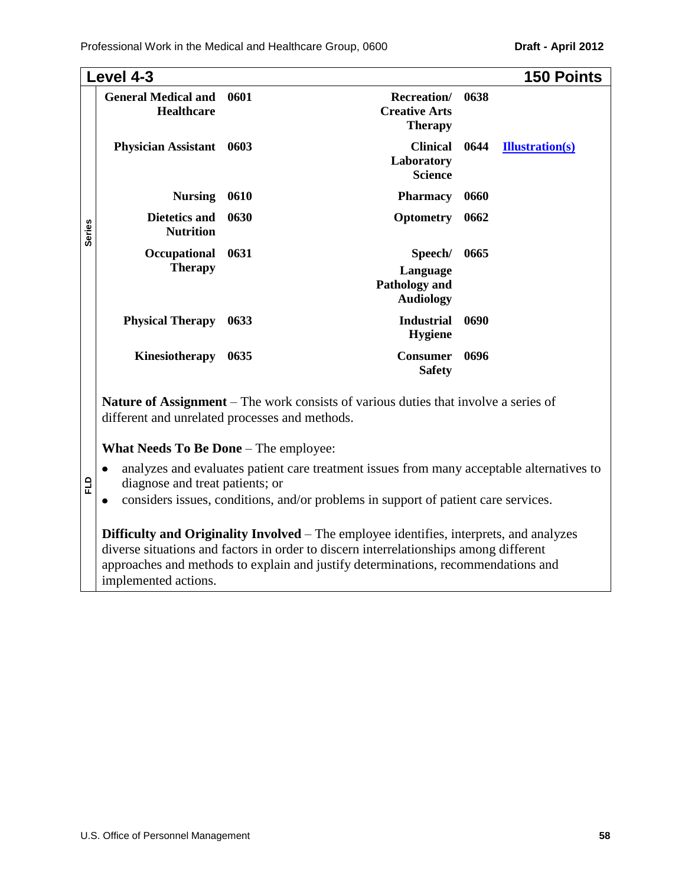|               | Level 4-3                                       |      |                                                                                            |      | <b>150 Points</b>      |
|---------------|-------------------------------------------------|------|--------------------------------------------------------------------------------------------|------|------------------------|
|               | <b>General Medical and</b><br><b>Healthcare</b> | 0601 | <b>Recreation</b> /<br><b>Creative Arts</b><br><b>Therapy</b>                              | 0638 |                        |
|               | <b>Physician Assistant</b>                      | 0603 | <b>Clinical</b><br>Laboratory<br><b>Science</b>                                            | 0644 | <b>Illustration(s)</b> |
|               | <b>Nursing</b>                                  | 0610 | <b>Pharmacy</b>                                                                            | 0660 |                        |
| <b>Series</b> | Dietetics and<br><b>Nutrition</b>               | 0630 | <b>Optometry</b>                                                                           | 0662 |                        |
|               | Occupational                                    | 0631 | Speech/                                                                                    | 0665 |                        |
|               | <b>Therapy</b>                                  |      | Language<br>Pathology and<br><b>Audiology</b>                                              |      |                        |
|               | <b>Physical Therapy</b>                         | 0633 | <b>Industrial</b><br><b>Hygiene</b>                                                        | 0690 |                        |
|               | Kinesiotherapy                                  | 0635 | <b>Consumer</b><br><b>Safety</b>                                                           | 0696 |                        |
|               | different and unrelated processes and methods.  |      | <b>Nature of Assignment</b> – The work consists of various duties that involve a series of |      |                        |

### **What Needs To Be Done** – The employee:

**FLD**

- analyzes and evaluates patient care treatment issues from many acceptable alternatives to  $\bullet$ diagnose and treat patients; or
- considers issues, conditions, and/or problems in support of patient care services.  $\bullet$

**Difficulty and Originality Involved** – The employee identifies, interprets, and analyzes diverse situations and factors in order to discern interrelationships among different approaches and methods to explain and justify determinations, recommendations and implemented actions.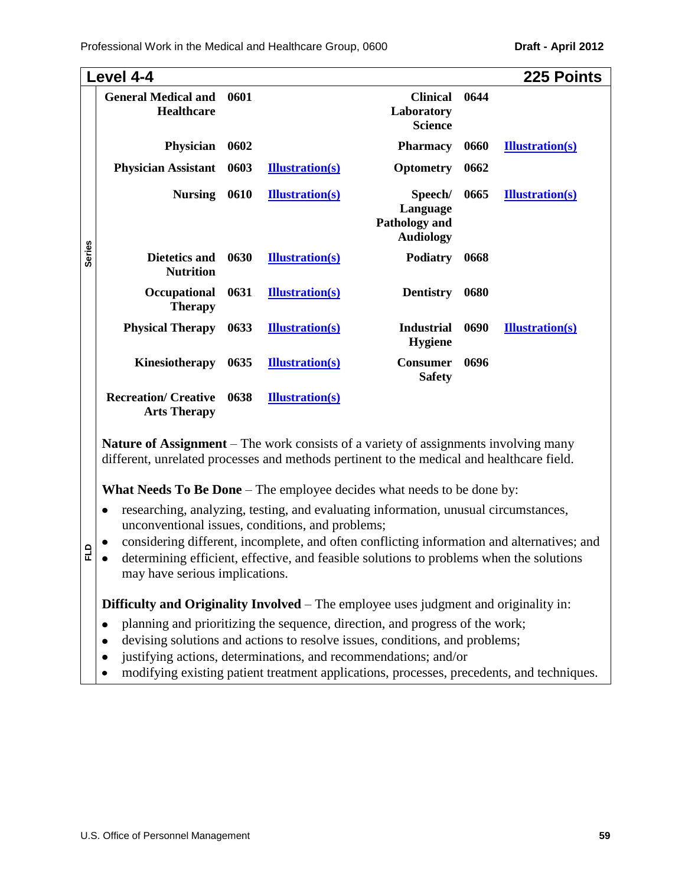|               | Level 4-4                                                                                                                                                                                                                             |      |                        |                                                                 |      | 225 Points             |
|---------------|---------------------------------------------------------------------------------------------------------------------------------------------------------------------------------------------------------------------------------------|------|------------------------|-----------------------------------------------------------------|------|------------------------|
|               | <b>General Medical and</b><br>Healthcare                                                                                                                                                                                              | 0601 |                        | <b>Clinical</b><br>Laboratory<br><b>Science</b>                 | 0644 |                        |
|               | Physician                                                                                                                                                                                                                             | 0602 |                        | <b>Pharmacy</b>                                                 | 0660 | <b>Illustration(s)</b> |
|               | <b>Physician Assistant</b>                                                                                                                                                                                                            | 0603 | <b>Illustration(s)</b> | Optometry                                                       | 0662 |                        |
|               | <b>Nursing</b>                                                                                                                                                                                                                        | 0610 | <b>Illustration(s)</b> | Speech/<br>Language<br><b>Pathology and</b><br><b>Audiology</b> | 0665 | <b>Illustration(s)</b> |
| <b>Series</b> | <b>Dietetics and</b><br><b>Nutrition</b>                                                                                                                                                                                              | 0630 | <b>Illustration(s)</b> | <b>Podiatry</b>                                                 | 0668 |                        |
|               | Occupational<br><b>Therapy</b>                                                                                                                                                                                                        | 0631 | <b>Illustration(s)</b> | <b>Dentistry</b>                                                | 0680 |                        |
|               | <b>Physical Therapy</b>                                                                                                                                                                                                               | 0633 | <b>Illustration(s)</b> | <b>Industrial</b><br><b>Hygiene</b>                             | 0690 | <b>Illustration(s)</b> |
|               | Kinesiotherapy                                                                                                                                                                                                                        | 0635 | <b>Illustration(s)</b> | <b>Consumer</b><br><b>Safety</b>                                | 0696 |                        |
|               | <b>Recreation/ Creative</b><br><b>Arts Therapy</b>                                                                                                                                                                                    | 0638 | <b>Illustration(s)</b> |                                                                 |      |                        |
|               | <b>Nature of Assignment</b> – The work consists of a variety of assignments involving many<br>different, unrelated processes and methods pertinent to the medical and healthcare field.                                               |      |                        |                                                                 |      |                        |
|               |                                                                                                                                                                                                                                       |      |                        |                                                                 |      |                        |
|               | <b>What Needs To Be Done</b> – The employee decides what needs to be done by:<br>researching, analyzing, testing, and evaluating information, unusual circumstances,<br>$\bullet$<br>unconventional issues, conditions, and problems; |      |                        |                                                                 |      |                        |

- considering different, incomplete, and often conflicting information and alternatives; and  $\bullet$
- **FLD** determining efficient, effective, and feasible solutions to problems when the solutions  $\bullet$ may have serious implications.

**Difficulty and Originality Involved** – The employee uses judgment and originality in:

- planning and prioritizing the sequence, direction, and progress of the work;  $\bullet$
- devising solutions and actions to resolve issues, conditions, and problems;  $\bullet$
- justifying actions, determinations, and recommendations; and/or  $\bullet$
- modifying existing patient treatment applications, processes, precedents, and techniques. $\bullet$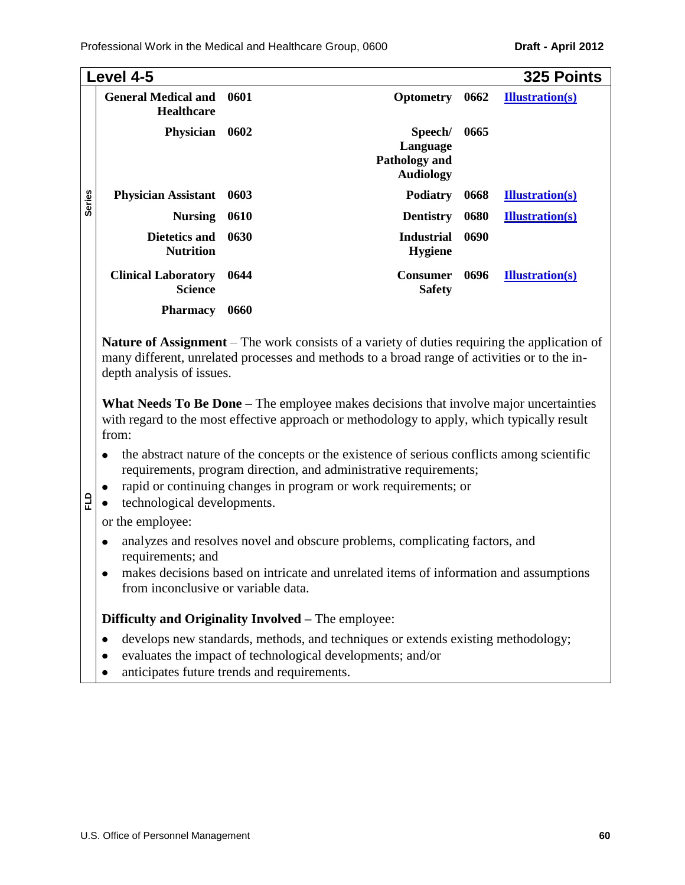|               | Level 4-5                                       |        |                                                                                            |      | 325 Points             |
|---------------|-------------------------------------------------|--------|--------------------------------------------------------------------------------------------|------|------------------------|
|               | <b>General Medical and</b><br><b>Healthcare</b> | 0601   | <b>Optometry</b>                                                                           | 0662 | <b>Illustration(s)</b> |
|               | <b>Physician</b>                                | - 0602 | Speech/<br>Language<br><b>Pathology and</b><br><b>Audiology</b>                            | 0665 |                        |
| <b>Series</b> | <b>Physician Assistant</b>                      | 0603   | <b>Podiatry</b>                                                                            | 0668 | <b>Illustration(s)</b> |
|               | <b>Nursing</b>                                  | 0610   | <b>Dentistry</b>                                                                           | 0680 | <b>Illustration(s)</b> |
|               | <b>Dietetics and</b><br><b>Nutrition</b>        | 0630   | <b>Industrial</b><br><b>Hygiene</b>                                                        | 0690 |                        |
|               | <b>Clinical Laboratory</b><br><b>Science</b>    | 0644   | <b>Consumer</b><br><b>Safety</b>                                                           | 0696 | <b>Illustration(s)</b> |
|               | <b>Pharmacy</b>                                 | 0660   |                                                                                            |      |                        |
|               |                                                 |        | Noture of Assignment The work consists of a veriety of duties requiring the emplication of |      |                        |

**Nature of Assignment** – The work consists of a variety of duties requiring the application of many different, unrelated processes and methods to a broad range of activities or to the indepth analysis of issues.

**What Needs To Be Done** – The employee makes decisions that involve major uncertainties with regard to the most effective approach or methodology to apply, which typically result from:

- the abstract nature of the concepts or the existence of serious conflicts among scientific  $\bullet$ requirements, program direction, and administrative requirements;
- rapid or continuing changes in program or work requirements; or
- technological developments.  $\bullet$

or the employee:

**FLD**

- analyzes and resolves novel and obscure problems, complicating factors, and requirements; and
- makes decisions based on intricate and unrelated items of information and assumptions  $\bullet$ from inconclusive or variable data.

**Difficulty and Originality Involved –** The employee:

- develops new standards, methods, and techniques or extends existing methodology;  $\bullet$
- evaluates the impact of technological developments; and/or  $\bullet$
- anticipates future trends and requirements. $\bullet$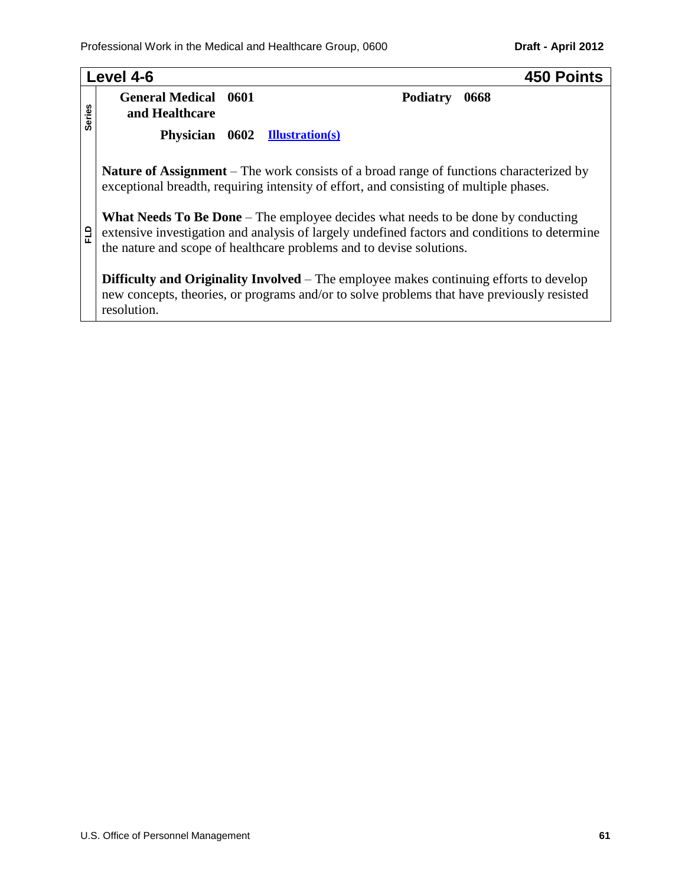|               | Level 4-6                                     | <b>450 Points</b>                                                                                                                                                                                                                                         |
|---------------|-----------------------------------------------|-----------------------------------------------------------------------------------------------------------------------------------------------------------------------------------------------------------------------------------------------------------|
| <b>Series</b> | <b>General Medical 0601</b><br>and Healthcare | <b>Podiatry</b><br>0668                                                                                                                                                                                                                                   |
|               | Physician 0602 Illustration(s)                |                                                                                                                                                                                                                                                           |
|               |                                               | <b>Nature of Assignment</b> – The work consists of a broad range of functions characterized by<br>exceptional breadth, requiring intensity of effort, and consisting of multiple phases.                                                                  |
| 읍             |                                               | What Needs To Be Done – The employee decides what needs to be done by conducting<br>extensive investigation and analysis of largely undefined factors and conditions to determine<br>the nature and scope of healthcare problems and to devise solutions. |
|               | resolution.                                   | <b>Difficulty and Originality Involved</b> – The employee makes continuing efforts to develop<br>new concepts, theories, or programs and/or to solve problems that have previously resisted                                                               |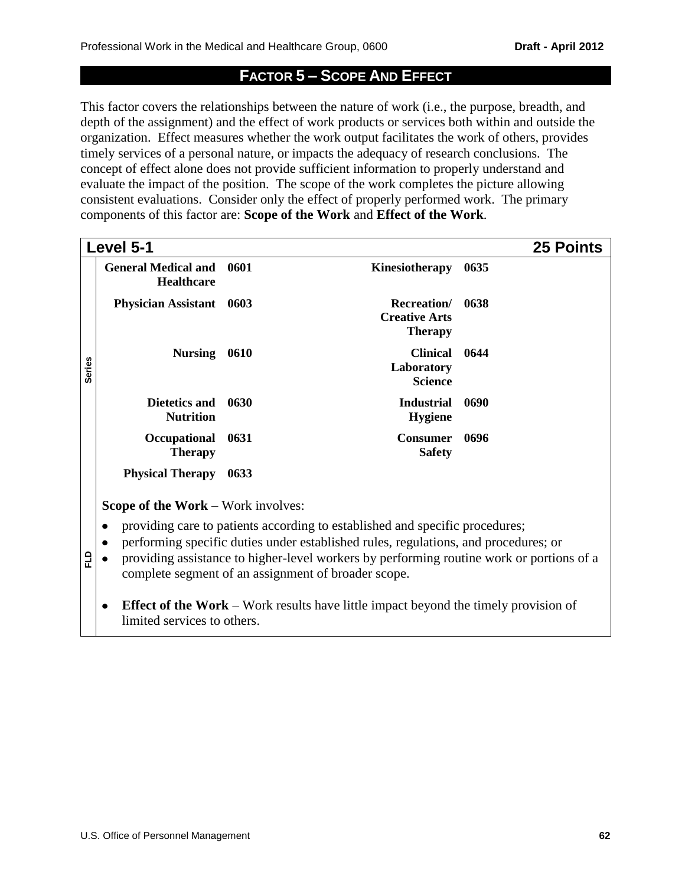# **FACTOR 5 – SCOPE AND EFFECT**

This factor covers the relationships between the nature of work (i.e., the purpose, breadth, and depth of the assignment) and the effect of work products or services both within and outside the organization. Effect measures whether the work output facilitates the work of others, provides timely services of a personal nature, or impacts the adequacy of research conclusions. The concept of effect alone does not provide sufficient information to properly understand and evaluate the impact of the position. The scope of the work completes the picture allowing consistent evaluations. Consider only the effect of properly performed work. The primary components of this factor are: **Scope of the Work** and **Effect of the Work**.

|                                                                                                                           | Level 5-1                                       |      |                                                                                                                                                                                                                                                                                                                        | <b>25 Points</b> |
|---------------------------------------------------------------------------------------------------------------------------|-------------------------------------------------|------|------------------------------------------------------------------------------------------------------------------------------------------------------------------------------------------------------------------------------------------------------------------------------------------------------------------------|------------------|
|                                                                                                                           | <b>General Medical and</b><br><b>Healthcare</b> | 0601 | Kinesiotherapy                                                                                                                                                                                                                                                                                                         | 0635             |
|                                                                                                                           | <b>Physician Assistant</b>                      | 0603 | Recreation/<br><b>Creative Arts</b><br><b>Therapy</b>                                                                                                                                                                                                                                                                  | 0638             |
| <b>Series</b>                                                                                                             | <b>Nursing</b>                                  | 0610 | <b>Clinical</b><br>Laboratory<br><b>Science</b>                                                                                                                                                                                                                                                                        | 0644             |
|                                                                                                                           | Dietetics and<br><b>Nutrition</b>               | 0630 | <b>Industrial</b><br><b>Hygiene</b>                                                                                                                                                                                                                                                                                    | 0690             |
|                                                                                                                           | Occupational<br><b>Therapy</b>                  | 0631 | <b>Consumer</b><br><b>Safety</b>                                                                                                                                                                                                                                                                                       | 0696             |
|                                                                                                                           | <b>Physical Therapy</b>                         | 0633 |                                                                                                                                                                                                                                                                                                                        |                  |
|                                                                                                                           | <b>Scope of the Work – Work involves:</b>       |      |                                                                                                                                                                                                                                                                                                                        |                  |
| 읍                                                                                                                         | ٠<br>$\bullet$                                  |      | providing care to patients according to established and specific procedures;<br>performing specific duties under established rules, regulations, and procedures; or<br>providing assistance to higher-level workers by performing routine work or portions of a<br>complete segment of an assignment of broader scope. |                  |
| <b>Effect of the Work</b> – Work results have little impact beyond the timely provision of<br>limited services to others. |                                                 |      |                                                                                                                                                                                                                                                                                                                        |                  |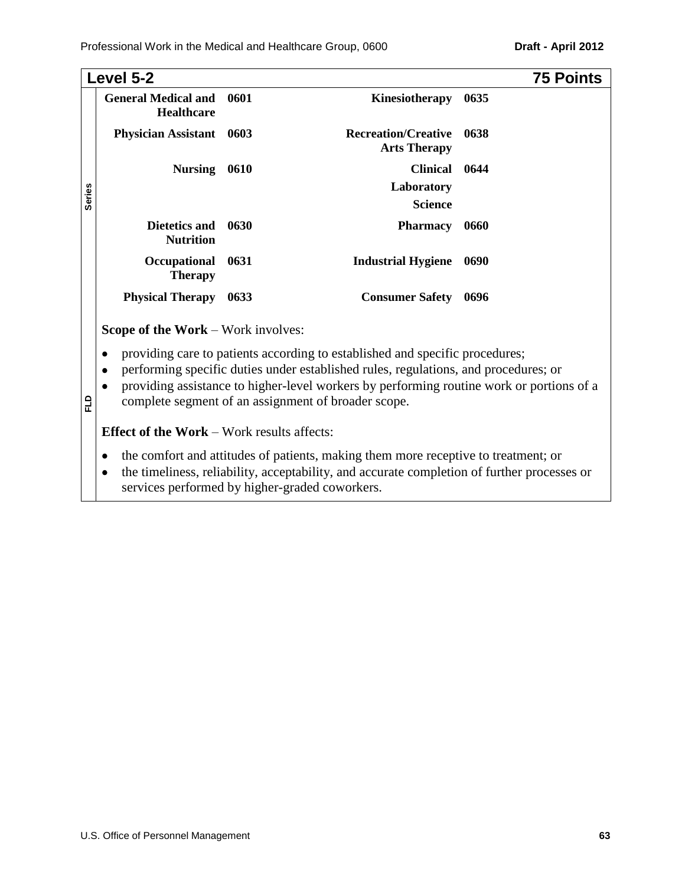|               | Level 5-2                                         |      |                                                                                                                                                                                                                                                                                                                                                                                                                                                  | <b>75 Points</b> |
|---------------|---------------------------------------------------|------|--------------------------------------------------------------------------------------------------------------------------------------------------------------------------------------------------------------------------------------------------------------------------------------------------------------------------------------------------------------------------------------------------------------------------------------------------|------------------|
|               | <b>General Medical and</b><br><b>Healthcare</b>   | 0601 | Kinesiotherapy                                                                                                                                                                                                                                                                                                                                                                                                                                   | 0635             |
|               | <b>Physician Assistant</b>                        | 0603 | <b>Recreation/Creative</b><br><b>Arts Therapy</b>                                                                                                                                                                                                                                                                                                                                                                                                | 0638             |
|               | <b>Nursing</b>                                    | 0610 | <b>Clinical</b>                                                                                                                                                                                                                                                                                                                                                                                                                                  | 0644             |
|               |                                                   |      | Laboratory                                                                                                                                                                                                                                                                                                                                                                                                                                       |                  |
| <b>Series</b> |                                                   |      | <b>Science</b>                                                                                                                                                                                                                                                                                                                                                                                                                                   |                  |
|               | Dietetics and<br><b>Nutrition</b>                 | 0630 | <b>Pharmacy</b>                                                                                                                                                                                                                                                                                                                                                                                                                                  | 0660             |
|               | Occupational<br><b>Therapy</b>                    | 0631 | <b>Industrial Hygiene</b>                                                                                                                                                                                                                                                                                                                                                                                                                        | 0690             |
|               | <b>Physical Therapy</b>                           | 0633 | <b>Consumer Safety</b>                                                                                                                                                                                                                                                                                                                                                                                                                           | 0696             |
|               | <b>Scope of the Work – Work involves:</b>         |      |                                                                                                                                                                                                                                                                                                                                                                                                                                                  |                  |
| 읍             | ٠<br>٠                                            |      | providing care to patients according to established and specific procedures;<br>performing specific duties under established rules, regulations, and procedures; or<br>providing assistance to higher-level workers by performing routine work or portions of a<br>complete segment of an assignment of broader scope.                                                                                                                           |                  |
|               | <b>Effect of the Work - Work results affects:</b> |      |                                                                                                                                                                                                                                                                                                                                                                                                                                                  |                  |
|               |                                                   |      | the comfort and attitudes of patients, making them more receptive to treatment; or<br>$\mathbf{1}^{\mathsf{r}}$ , $\mathbf{1}^{\mathsf{r}}$ , $\mathbf{1}^{\mathsf{r}}$ , $\mathbf{1}^{\mathsf{r}}$ , $\mathbf{1}^{\mathsf{r}}$ , $\mathbf{1}^{\mathsf{r}}$ , $\mathbf{1}^{\mathsf{r}}$ , $\mathbf{1}^{\mathsf{r}}$ , $\mathbf{1}^{\mathsf{r}}$ , $\mathbf{1}^{\mathsf{r}}$ , $\mathbf{1}^{\mathsf{r}}$ , $\mathbf{1}^{\mathsf{r}}$ , $\mathbf{$ |                  |

the timeliness, reliability, acceptability, and accurate completion of further processes or  $\bullet$ services performed by higher-graded coworkers.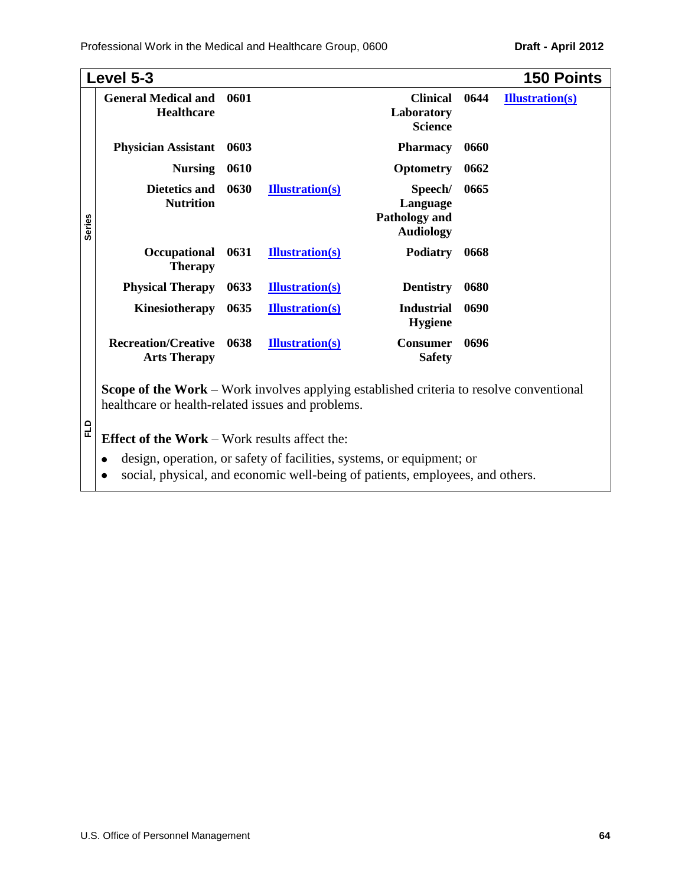Professional Work in the Medical and Healthcare Group, 0600 **Draft - April 2012** 

|               | Level 5-3                                                                                                                                           |      |                        |                                                                 |      | <b>150 Points</b>      |
|---------------|-----------------------------------------------------------------------------------------------------------------------------------------------------|------|------------------------|-----------------------------------------------------------------|------|------------------------|
|               | <b>General Medical and</b><br><b>Healthcare</b>                                                                                                     | 0601 |                        | <b>Clinical</b><br>Laboratory<br><b>Science</b>                 | 0644 | <b>Illustration(s)</b> |
|               | <b>Physician Assistant</b>                                                                                                                          | 0603 |                        | <b>Pharmacy</b>                                                 | 0660 |                        |
|               | <b>Nursing</b>                                                                                                                                      | 0610 |                        | <b>Optometry</b>                                                | 0662 |                        |
| <b>Series</b> | <b>Dietetics and</b><br><b>Nutrition</b>                                                                                                            | 0630 | <b>Illustration(s)</b> | Speech/<br>Language<br><b>Pathology and</b><br><b>Audiology</b> | 0665 |                        |
|               | Occupational<br><b>Therapy</b>                                                                                                                      | 0631 | <b>Illustration(s)</b> | <b>Podiatry</b>                                                 | 0668 |                        |
|               | <b>Physical Therapy</b>                                                                                                                             | 0633 | <b>Illustration(s)</b> | <b>Dentistry</b>                                                | 0680 |                        |
|               | Kinesiotherapy                                                                                                                                      | 0635 | <b>Illustration(s)</b> | <b>Industrial</b><br><b>Hygiene</b>                             | 0690 |                        |
|               | <b>Recreation/Creative</b><br><b>Arts Therapy</b>                                                                                                   | 0638 | <b>Illustration(s)</b> | <b>Consumer</b><br><b>Safety</b>                                | 0696 |                        |
|               | <b>Scope of the Work –</b> Work involves applying established criteria to resolve conventional<br>healthcare or health-related issues and problems. |      |                        |                                                                 |      |                        |

**FLD**

**Effect of the Work** – Work results affect the:

- design, operation, or safety of facilities, systems, or equipment; or
- social, physical, and economic well-being of patients, employees, and others.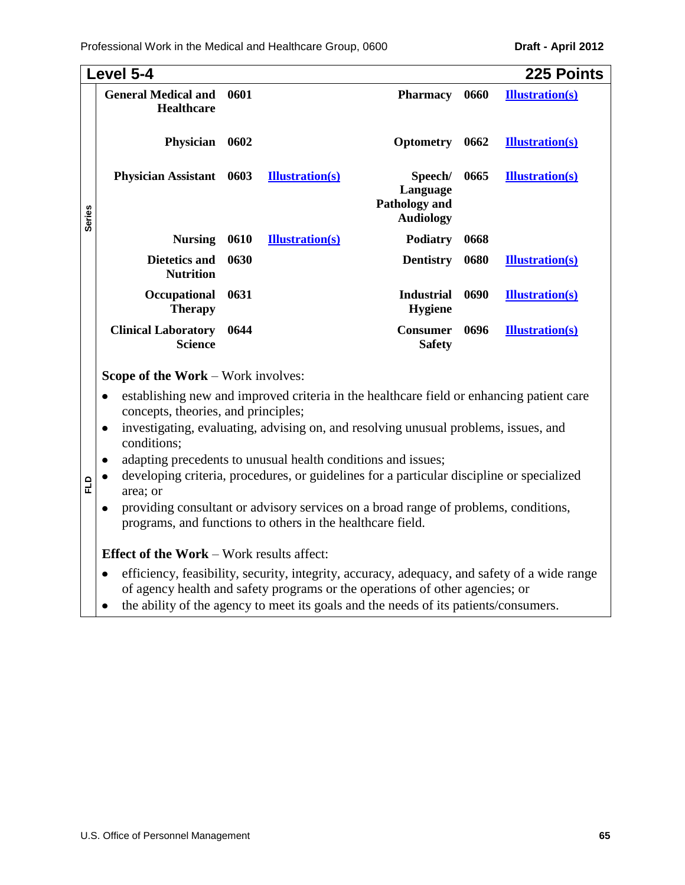Professional Work in the Medical and Healthcare Group, 0600 **Draft - April 2012** 

|               | Level 5-4                                       |      |                        |                                                          |      | <b>225 Points</b>      |
|---------------|-------------------------------------------------|------|------------------------|----------------------------------------------------------|------|------------------------|
|               | <b>General Medical and</b><br><b>Healthcare</b> | 0601 |                        | <b>Pharmacy</b>                                          | 0660 | <b>Illustration(s)</b> |
|               | Physician                                       | 0602 |                        | <b>Optometry</b>                                         | 0662 | <b>Illustration(s)</b> |
| <b>Series</b> | Physician Assistant 0603                        |      | <b>Illustration(s)</b> | Speech/<br>Language<br>Pathology and<br><b>Audiology</b> | 0665 | <b>Illustration(s)</b> |
|               | Nursing 0610                                    |      | <b>Illustration(s)</b> | <b>Podiatry</b>                                          | 0668 |                        |
|               | Dietetics and<br><b>Nutrition</b>               | 0630 |                        | <b>Dentistry</b>                                         | 0680 | <b>Illustration(s)</b> |
|               | Occupational<br><b>Therapy</b>                  | 0631 |                        | <b>Industrial</b><br><b>Hygiene</b>                      | 0690 | <b>Illustration(s)</b> |
|               | <b>Clinical Laboratory</b><br>Science           | 0644 |                        | <b>Consumer</b><br><b>Safety</b>                         | 0696 | <b>Illustration(s)</b> |

- concepts, theories, and principles;
- investigating, evaluating, advising on, and resolving unusual problems, issues, and  $\bullet$ conditions;
- adapting precedents to unusual health conditions and issues;
- developing criteria, procedures, or guidelines for a particular discipline or specialized  $\bullet$ area; or
- providing consultant or advisory services on a broad range of problems, conditions,  $\bullet$ programs, and functions to others in the healthcare field.

# **Effect of the Work** – Work results affect:

**FLD**

- efficiency, feasibility, security, integrity, accuracy, adequacy, and safety of a wide range  $\bullet$ of agency health and safety programs or the operations of other agencies; or
- the ability of the agency to meet its goals and the needs of its patients/consumers. $\bullet$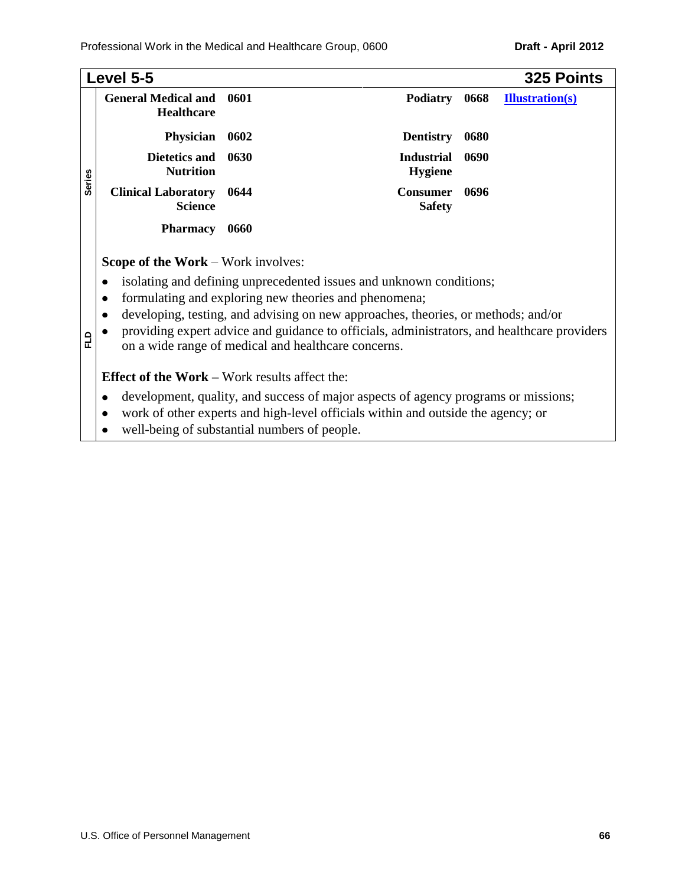## Professional Work in the Medical and Healthcare Group, 0600 **Draft - April 2012**

|               | Level 5-5                                                           |      |                                                                                                                                                                                                                   |      | 325 Points             |
|---------------|---------------------------------------------------------------------|------|-------------------------------------------------------------------------------------------------------------------------------------------------------------------------------------------------------------------|------|------------------------|
|               | <b>General Medical and</b><br><b>Healthcare</b>                     | 0601 | <b>Podiatry</b>                                                                                                                                                                                                   | 0668 | <b>Illustration(s)</b> |
|               | Physician                                                           | 0602 | <b>Dentistry</b>                                                                                                                                                                                                  | 0680 |                        |
|               | Dietetics and<br><b>Nutrition</b>                                   | 0630 | <b>Industrial</b><br><b>Hygiene</b>                                                                                                                                                                               | 0690 |                        |
| <b>Series</b> | <b>Clinical Laboratory</b><br><b>Science</b>                        | 0644 | <b>Consumer</b><br><b>Safety</b>                                                                                                                                                                                  | 0696 |                        |
|               | <b>Pharmacy</b>                                                     | 0660 |                                                                                                                                                                                                                   |      |                        |
|               | <b>Scope of the Work – Work involves:</b><br>$\bullet$<br>$\bullet$ |      | isolating and defining unprecedented issues and unknown conditions;<br>formulating and exploring new theories and phenomena;<br>developing, testing, and advising on new approaches, theories, or methods; and/or |      |                        |
| 답             |                                                                     |      | providing expert advice and guidance to officials, administrators, and healthcare providers<br>on a wide range of medical and healthcare concerns.                                                                |      |                        |
|               | <b>Effect of the Work – Work results affect the:</b>                |      |                                                                                                                                                                                                                   |      |                        |
|               | ٠<br>well-being of substantial numbers of people.                   |      | development, quality, and success of major aspects of agency programs or missions;<br>work of other experts and high-level officials within and outside the agency; or                                            |      |                        |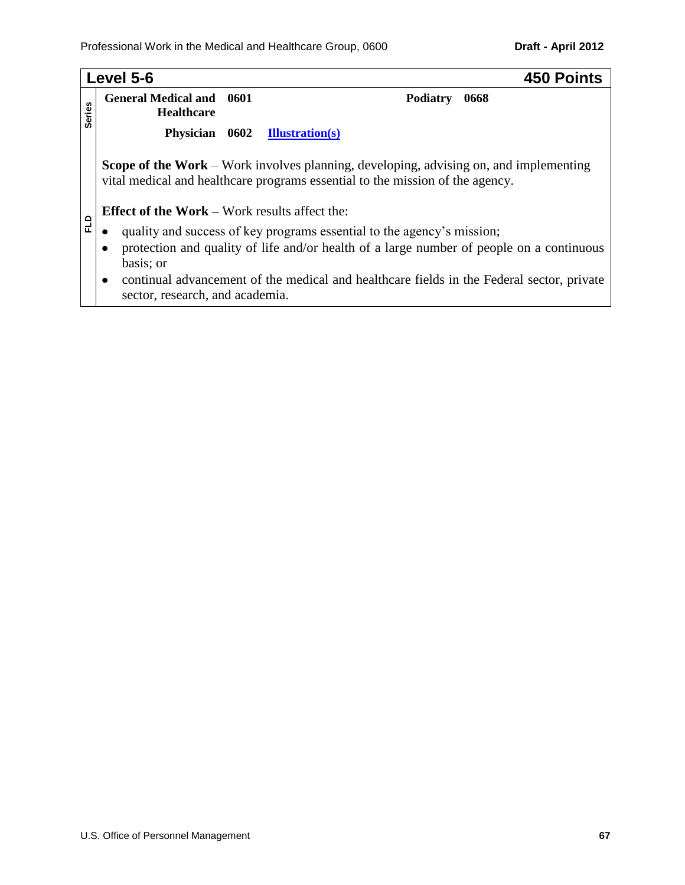|               | Level 5-6                                                                                     | 450 Points                                                                                                                                                                    |  |  |  |  |
|---------------|-----------------------------------------------------------------------------------------------|-------------------------------------------------------------------------------------------------------------------------------------------------------------------------------|--|--|--|--|
| <b>Series</b> | <b>General Medical and 0601</b><br><b>Healthcare</b>                                          | Podiatry<br>0668                                                                                                                                                              |  |  |  |  |
|               | Physician 0602                                                                                | <b>Illustration(s)</b>                                                                                                                                                        |  |  |  |  |
|               | <b>Effect of the Work – Work results affect the:</b>                                          | <b>Scope of the Work</b> – Work involves planning, developing, advising on, and implementing<br>vital medical and healthcare programs essential to the mission of the agency. |  |  |  |  |
| 입             |                                                                                               | quality and success of key programs essential to the agency's mission;                                                                                                        |  |  |  |  |
|               | protection and quality of life and/or health of a large number of people on a continuous<br>٠ |                                                                                                                                                                               |  |  |  |  |
|               | basis; or<br>$\bullet$                                                                        | continual advancement of the medical and healthcare fields in the Federal sector, private                                                                                     |  |  |  |  |
|               | sector, research, and academia.                                                               |                                                                                                                                                                               |  |  |  |  |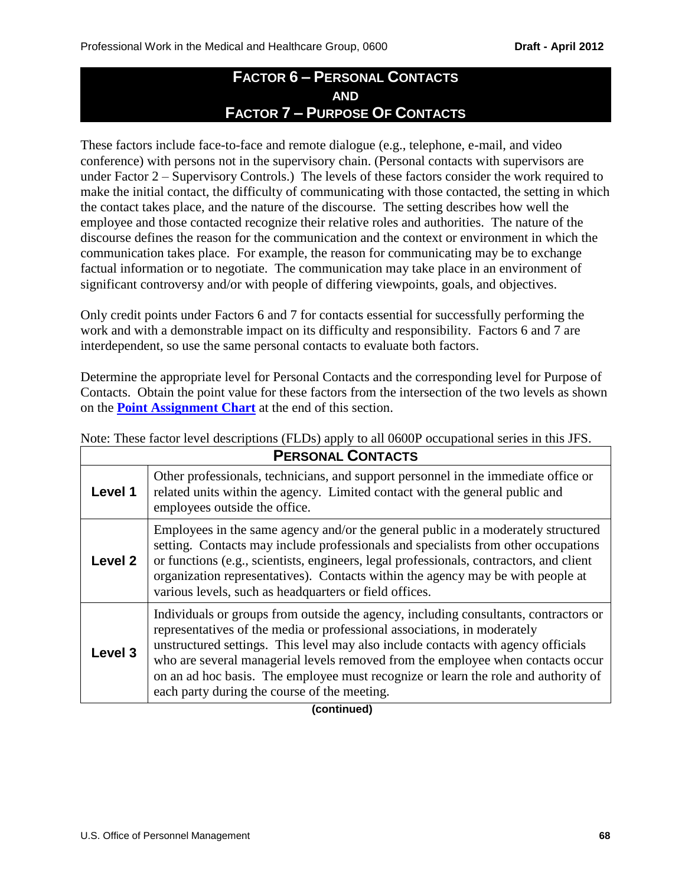# **FACTOR 6 – PERSONAL CONTACTS AND FACTOR 7 – PURPOSE OF CONTACTS**

These factors include face-to-face and remote dialogue (e.g., telephone, e-mail, and video conference) with persons not in the supervisory chain. (Personal contacts with supervisors are under Factor 2 – Supervisory Controls.) The levels of these factors consider the work required to make the initial contact, the difficulty of communicating with those contacted, the setting in which the contact takes place, and the nature of the discourse. The setting describes how well the employee and those contacted recognize their relative roles and authorities. The nature of the discourse defines the reason for the communication and the context or environment in which the communication takes place. For example, the reason for communicating may be to exchange factual information or to negotiate. The communication may take place in an environment of significant controversy and/or with people of differing viewpoints, goals, and objectives.

Only credit points under Factors 6 and 7 for contacts essential for successfully performing the work and with a demonstrable impact on its difficulty and responsibility. Factors 6 and 7 are interdependent, so use the same personal contacts to evaluate both factors.

Determine the appropriate level for Personal Contacts and the corresponding level for Purpose of Contacts. Obtain the point value for these factors from the intersection of the two levels as shown on the **[Point Assignment Chart](#page-69-0)** at the end of this section.

| <b>PERSONAL CONTACTS</b> |                                                                                                                                                                                                                                                                                                                                                                                                                                                                                |  |  |  |
|--------------------------|--------------------------------------------------------------------------------------------------------------------------------------------------------------------------------------------------------------------------------------------------------------------------------------------------------------------------------------------------------------------------------------------------------------------------------------------------------------------------------|--|--|--|
| Level 1                  | Other professionals, technicians, and support personnel in the immediate office or<br>related units within the agency. Limited contact with the general public and<br>employees outside the office.                                                                                                                                                                                                                                                                            |  |  |  |
| Level 2                  | Employees in the same agency and/or the general public in a moderately structured<br>setting. Contacts may include professionals and specialists from other occupations<br>or functions (e.g., scientists, engineers, legal professionals, contractors, and client<br>organization representatives). Contacts within the agency may be with people at<br>various levels, such as headquarters or field offices.                                                                |  |  |  |
| Level 3                  | Individuals or groups from outside the agency, including consultants, contractors or<br>representatives of the media or professional associations, in moderately<br>unstructured settings. This level may also include contacts with agency officials<br>who are several managerial levels removed from the employee when contacts occur<br>on an ad hoc basis. The employee must recognize or learn the role and authority of<br>each party during the course of the meeting. |  |  |  |

Note: These factor level descriptions (FLDs) apply to all 0600P occupational series in this JFS.

### **(continued)**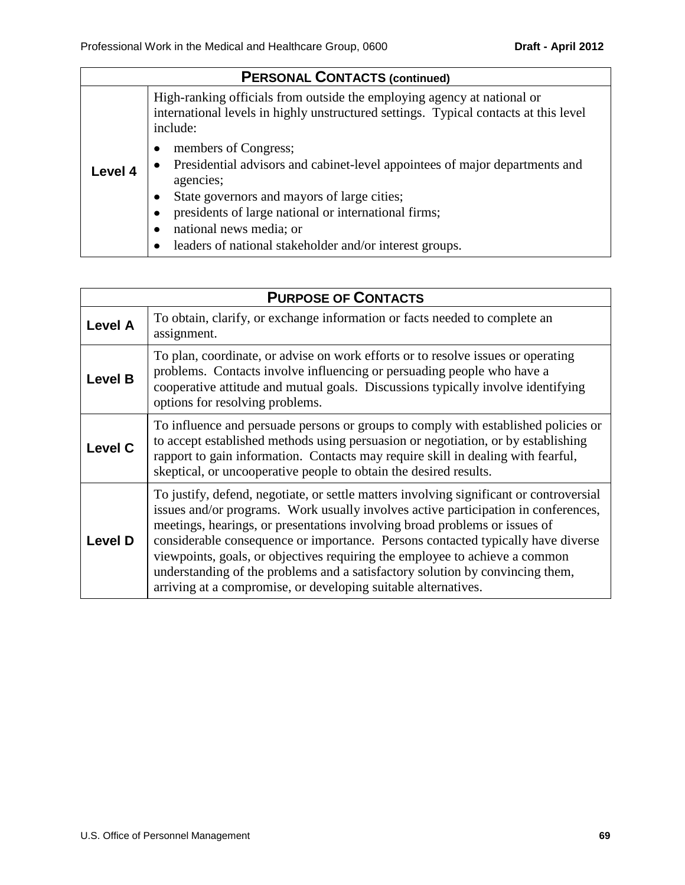| <b>PERSONAL CONTACTS (continued)</b> |                                                                                                                                                                             |  |  |  |
|--------------------------------------|-----------------------------------------------------------------------------------------------------------------------------------------------------------------------------|--|--|--|
|                                      | High-ranking officials from outside the employing agency at national or<br>international levels in highly unstructured settings. Typical contacts at this level<br>include: |  |  |  |
| Level 4                              | members of Congress;<br>Presidential advisors and cabinet-level appointees of major departments and<br>agencies;<br>State governors and mayors of large cities;             |  |  |  |
|                                      | presidents of large national or international firms;<br>national news media; or                                                                                             |  |  |  |
|                                      | leaders of national stakeholder and/or interest groups.                                                                                                                     |  |  |  |

| <b>PURPOSE OF CONTACTS</b> |                                                                                                                                                                                                                                                                                                                                                                                                                                                                                                                                                                                   |  |  |  |  |
|----------------------------|-----------------------------------------------------------------------------------------------------------------------------------------------------------------------------------------------------------------------------------------------------------------------------------------------------------------------------------------------------------------------------------------------------------------------------------------------------------------------------------------------------------------------------------------------------------------------------------|--|--|--|--|
| <b>Level A</b>             | To obtain, clarify, or exchange information or facts needed to complete an<br>assignment.                                                                                                                                                                                                                                                                                                                                                                                                                                                                                         |  |  |  |  |
| <b>Level B</b>             | To plan, coordinate, or advise on work efforts or to resolve issues or operating<br>problems. Contacts involve influencing or persuading people who have a<br>cooperative attitude and mutual goals. Discussions typically involve identifying<br>options for resolving problems.                                                                                                                                                                                                                                                                                                 |  |  |  |  |
| <b>Level C</b>             | To influence and persuade persons or groups to comply with established policies or<br>to accept established methods using persuasion or negotiation, or by establishing<br>rapport to gain information. Contacts may require skill in dealing with fearful,<br>skeptical, or uncooperative people to obtain the desired results.                                                                                                                                                                                                                                                  |  |  |  |  |
| <b>Level D</b>             | To justify, defend, negotiate, or settle matters involving significant or controversial<br>issues and/or programs. Work usually involves active participation in conferences,<br>meetings, hearings, or presentations involving broad problems or issues of<br>considerable consequence or importance. Persons contacted typically have diverse<br>viewpoints, goals, or objectives requiring the employee to achieve a common<br>understanding of the problems and a satisfactory solution by convincing them,<br>arriving at a compromise, or developing suitable alternatives. |  |  |  |  |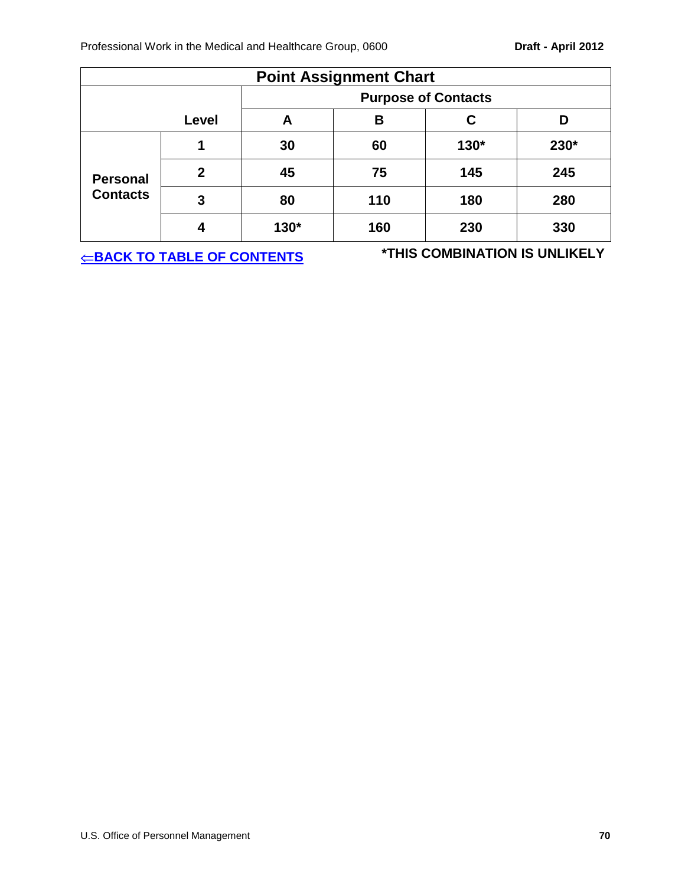<span id="page-69-0"></span>

| <b>Point Assignment Chart</b> |              |                            |     |        |      |  |
|-------------------------------|--------------|----------------------------|-----|--------|------|--|
|                               |              | <b>Purpose of Contacts</b> |     |        |      |  |
|                               | Level        |                            | В   | С      | D    |  |
|                               | 1            | 30                         | 60  | $130*$ | 230* |  |
| <b>Personal</b>               | $\mathbf{2}$ | 45                         | 75  | 145    | 245  |  |
| <b>Contacts</b>               | 3            | 80                         | 110 | 180    | 280  |  |
|                               |              | 130*                       | 160 | 230    | 330  |  |

**[BACK TO TABLE OF CONTENTS](#page-0-0) \*THIS COMBINATION IS UNLIKELY**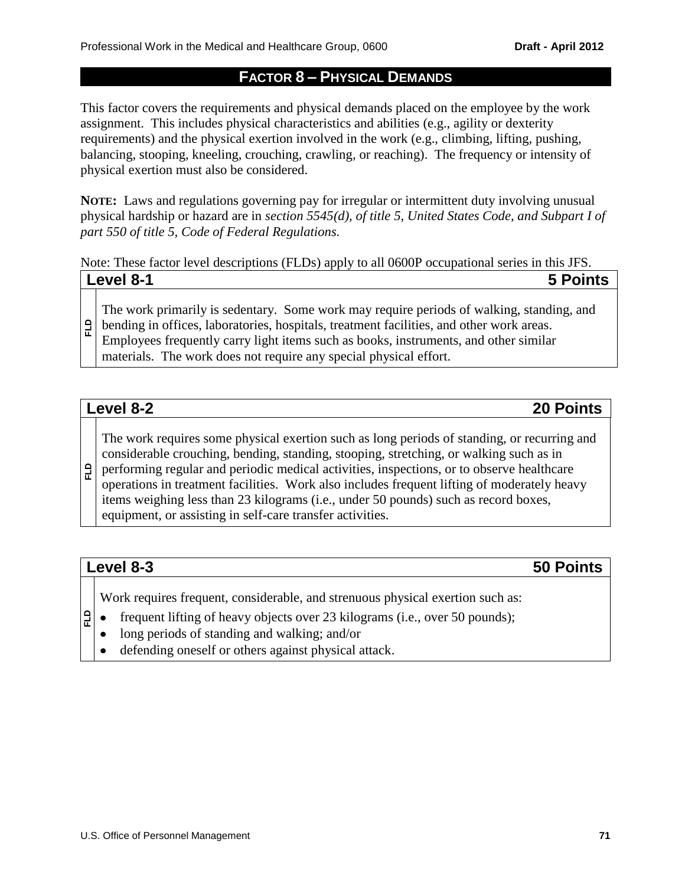## **FACTOR 8 – PHYSICAL DEMANDS**

This factor covers the requirements and physical demands placed on the employee by the work assignment. This includes physical characteristics and abilities (e.g., agility or dexterity requirements) and the physical exertion involved in the work (e.g., climbing, lifting, pushing, balancing, stooping, kneeling, crouching, crawling, or reaching). The frequency or intensity of physical exertion must also be considered.

**NOTE:** Laws and regulations governing pay for irregular or intermittent duty involving unusual physical hardship or hazard are in *section 5545(d), of title 5, United States Code, and Subpart I of part 550 of title 5, Code of Federal Regulations.* 

Note: These factor level descriptions (FLDs) apply to all 0600P occupational series in this JFS. **Level 8-1 5 Points**

| The work primarily is sedentary. Some work may require periods of walking, standing, and<br>$\exists$   bending in offices, laboratories, hospitals, treatment facilities, and other work areas. |
|--------------------------------------------------------------------------------------------------------------------------------------------------------------------------------------------------|
| Employees frequently carry light items such as books, instruments, and other similar                                                                                                             |
| materials. The work does not require any special physical effort.                                                                                                                                |

# **Level 8-2 20 Points**

The work requires some physical exertion such as long periods of standing, or recurring and considerable crouching, bending, standing, stooping, stretching, or walking such as in

**FLD** performing regular and periodic medical activities, inspections, or to observe healthcare operations in treatment facilities. Work also includes frequent lifting of moderately heavy items weighing less than 23 kilograms (i.e., under 50 pounds) such as record boxes, equipment, or assisting in self-care transfer activities.

# **Level 8-3 50 Points**

**FLD**

Work requires frequent, considerable, and strenuous physical exertion such as:

- frequent lifting of heavy objects over 23 kilograms (i.e., over 50 pounds);  $\bullet$
- long periods of standing and walking; and/or  $\bullet$
- defending oneself or others against physical attack. $\bullet$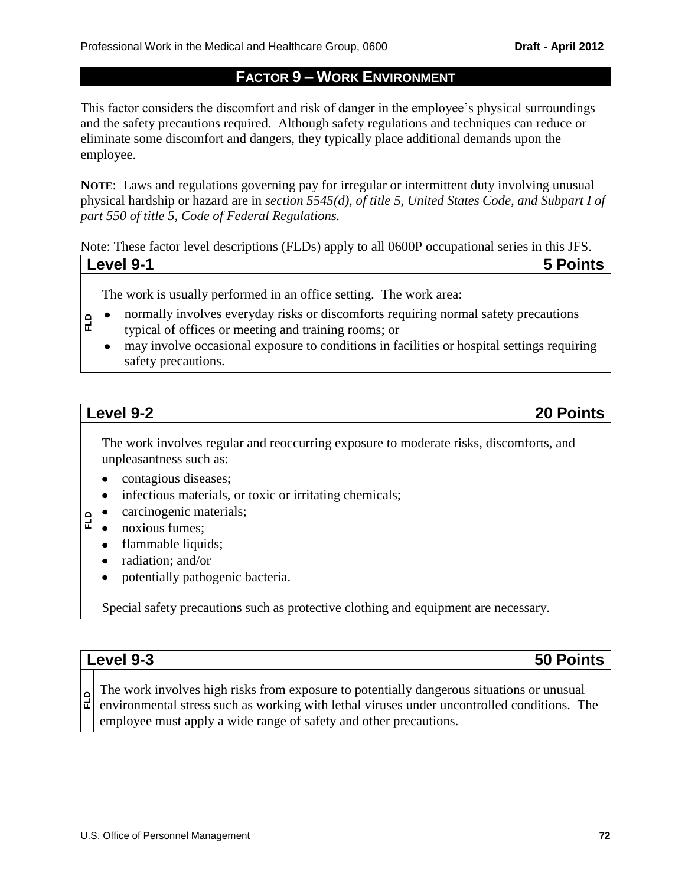# **FACTOR 9 – WORK ENVIRONMENT**

This factor considers the discomfort and risk of danger in the employee's physical surroundings and the safety precautions required. Although safety regulations and techniques can reduce or eliminate some discomfort and dangers, they typically place additional demands upon the employee.

**NOTE**: Laws and regulations governing pay for irregular or intermittent duty involving unusual physical hardship or hazard are in *section 5545(d), of title 5, United States Code, and Subpart I of part 550 of title 5, Code of Federal Regulations.* 

Note: These factor level descriptions (FLDs) apply to all 0600P occupational series in this JFS. **Level 9-1 5 Points**

The work is usually performed in an office setting. The work area:

- normally involves everyday risks or discomforts requiring normal safety precautions  $\bullet$ typical of offices or meeting and training rooms; or
- may involve occasional exposure to conditions in facilities or hospital settings requiring  $\bullet$ safety precautions.

# **Level 9-2 20 Points**

**FLD**

**FLD**

The work involves regular and reoccurring exposure to moderate risks, discomforts, and unpleasantness such as:

- $\bullet$ contagious diseases;
- infectious materials, or toxic or irritating chemicals;  $\bullet$
- carcinogenic materials;  $\bullet$
- noxious fumes;
- flammable liquids;  $\bullet$
- radiation; and/or  $\bullet$
- potentially pathogenic bacteria.  $\bullet$

Special safety precautions such as protective clothing and equipment are necessary.

| Level 9-3<br>50 Points                                                                                                                                                                                                                                        |
|---------------------------------------------------------------------------------------------------------------------------------------------------------------------------------------------------------------------------------------------------------------|
| The work involves high risks from exposure to potentially dangerous situations or unusual<br>environmental stress such as working with lethal viruses under uncontrolled conditions. The<br>employee must apply a wide range of safety and other precautions. |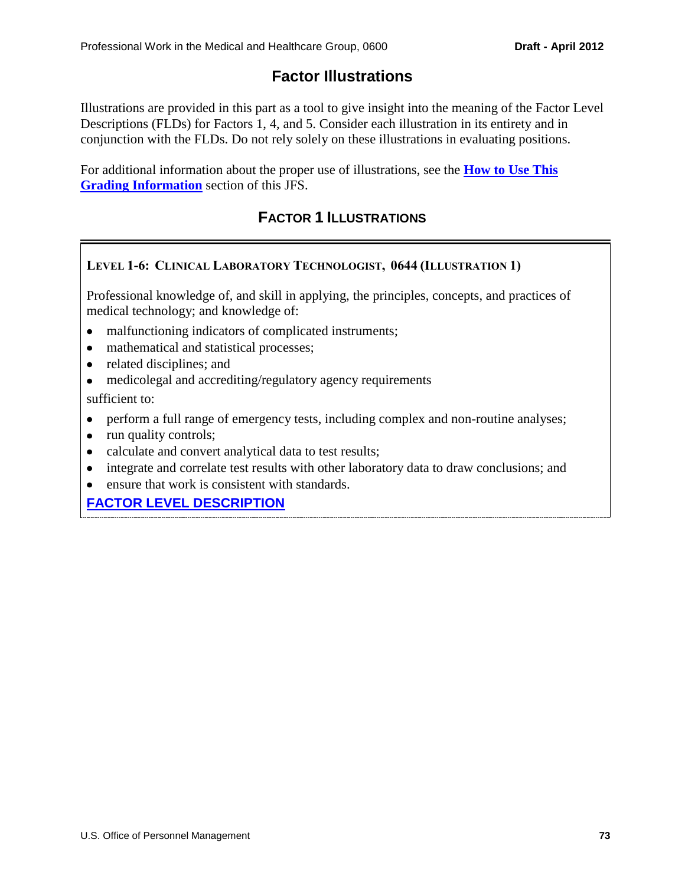# **Factor Illustrations**

Illustrations are provided in this part as a tool to give insight into the meaning of the Factor Level Descriptions (FLDs) for Factors 1, 4, and 5. Consider each illustration in its entirety and in conjunction with the FLDs. Do not rely solely on these illustrations in evaluating positions.

For additional information about the proper use of illustrations, see the **[How to Use This](#page-42-0)  [Grading Information](#page-42-0)** section of this JFS.

# **FACTOR 1 ILLUSTRATIONS**

## **LEVEL 1-6: CLINICAL LABORATORY TECHNOLOGIST, 0644 (ILLUSTRATION 1)**

Professional knowledge of, and skill in applying, the principles, concepts, and practices of medical technology; and knowledge of:

- malfunctioning indicators of complicated instruments;
- mathematical and statistical processes;
- related disciplines; and
- medicolegal and accrediting/regulatory agency requirements sufficient to:
- perform a full range of emergency tests, including complex and non-routine analyses;
- run quality controls;
- calculate and convert analytical data to test results;
- integrate and correlate test results with other laboratory data to draw conclusions; and
- ensure that work is consistent with standards.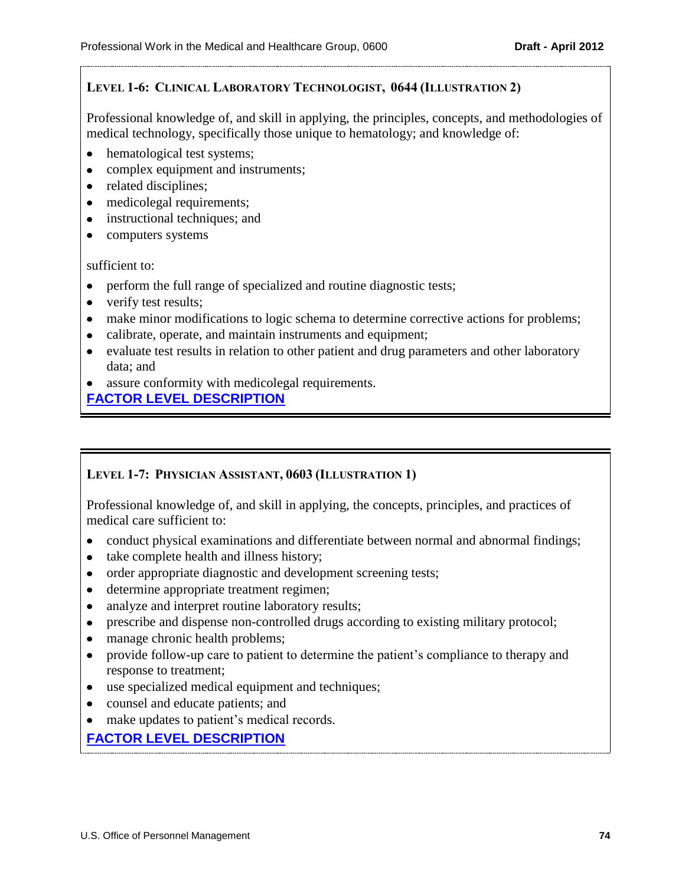## **LEVEL 1-6: CLINICAL LABORATORY TECHNOLOGIST, 0644 (ILLUSTRATION 2)**

Professional knowledge of, and skill in applying, the principles, concepts, and methodologies of medical technology, specifically those unique to hematology; and knowledge of:

- hematological test systems;
- complex equipment and instruments;
- related disciplines;
- medicolegal requirements;
- instructional techniques; and
- computers systems

sufficient to:

- perform the full range of specialized and routine diagnostic tests;
- verify test results;
- make minor modifications to logic schema to determine corrective actions for problems;
- calibrate, operate, and maintain instruments and equipment;
- evaluate test results in relation to other patient and drug parameters and other laboratory data; and
- assure conformity with medicolegal requirements.

**[FACTOR LEVEL DESCRIPTION](#page-46-0)**

### **LEVEL 1-7: PHYSICIAN ASSISTANT, 0603 (ILLUSTRATION 1)**

Professional knowledge of, and skill in applying, the concepts, principles, and practices of medical care sufficient to:

- conduct physical examinations and differentiate between normal and abnormal findings;
- take complete health and illness history;
- order appropriate diagnostic and development screening tests;
- determine appropriate treatment regimen;  $\bullet$
- analyze and interpret routine laboratory results;  $\bullet$
- prescribe and dispense non-controlled drugs according to existing military protocol;  $\bullet$
- manage chronic health problems;  $\bullet$
- provide follow-up care to patient to determine the patient's compliance to therapy and  $\bullet$ response to treatment;
- use specialized medical equipment and techniques;
- counsel and educate patients; and
- make updates to patient's medical records.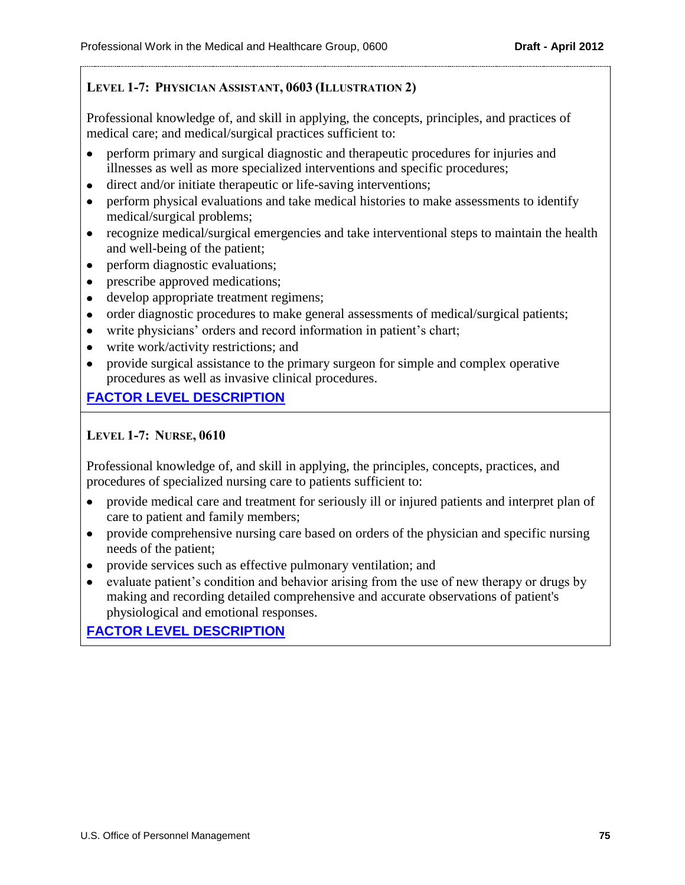## **LEVEL 1-7: PHYSICIAN ASSISTANT, 0603 (ILLUSTRATION 2)**

Professional knowledge of, and skill in applying, the concepts, principles, and practices of medical care; and medical/surgical practices sufficient to:

- perform primary and surgical diagnostic and therapeutic procedures for injuries and illnesses as well as more specialized interventions and specific procedures;
- $\bullet$ direct and/or initiate therapeutic or life-saving interventions;
- perform physical evaluations and take medical histories to make assessments to identify  $\bullet$ medical/surgical problems;
- recognize medical/surgical emergencies and take interventional steps to maintain the health and well-being of the patient;
- perform diagnostic evaluations;
- prescribe approved medications;  $\bullet$
- develop appropriate treatment regimens;
- order diagnostic procedures to make general assessments of medical/surgical patients;
- write physicians' orders and record information in patient's chart;
- write work/activity restrictions; and
- provide surgical assistance to the primary surgeon for simple and complex operative procedures as well as invasive clinical procedures.

# **[FACTOR LEVEL DESCRIPTION](#page-47-0)**

## **LEVEL 1-7: NURSE, 0610**

Professional knowledge of, and skill in applying, the principles, concepts, practices, and procedures of specialized nursing care to patients sufficient to:

- provide medical care and treatment for seriously ill or injured patients and interpret plan of  $\bullet$ care to patient and family members;
- $\bullet$ provide comprehensive nursing care based on orders of the physician and specific nursing needs of the patient;
- provide services such as effective pulmonary ventilation; and
- evaluate patient's condition and behavior arising from the use of new therapy or drugs by  $\bullet$ making and recording detailed comprehensive and accurate observations of patient's physiological and emotional responses.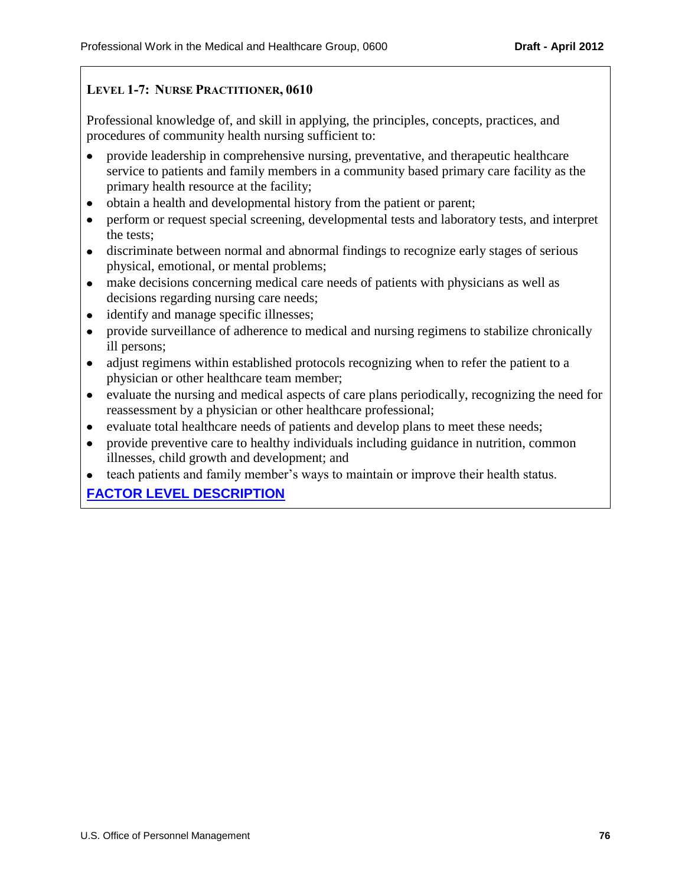## **LEVEL 1-7: NURSE PRACTITIONER, 0610**

Professional knowledge of, and skill in applying, the principles, concepts, practices, and procedures of community health nursing sufficient to:

- provide leadership in comprehensive nursing, preventative, and therapeutic healthcare  $\bullet$ service to patients and family members in a community based primary care facility as the primary health resource at the facility;
- obtain a health and developmental history from the patient or parent;  $\bullet$
- perform or request special screening, developmental tests and laboratory tests, and interpret  $\bullet$ the tests;
- discriminate between normal and abnormal findings to recognize early stages of serious physical, emotional, or mental problems;
- make decisions concerning medical care needs of patients with physicians as well as  $\bullet$ decisions regarding nursing care needs;
- identify and manage specific illnesses;
- provide surveillance of adherence to medical and nursing regimens to stabilize chronically  $\bullet$ ill persons;
- adjust regimens within established protocols recognizing when to refer the patient to a physician or other healthcare team member;
- evaluate the nursing and medical aspects of care plans periodically, recognizing the need for reassessment by a physician or other healthcare professional;
- evaluate total healthcare needs of patients and develop plans to meet these needs;  $\bullet$
- provide preventive care to healthy individuals including guidance in nutrition, common  $\bullet$ illnesses, child growth and development; and
- teach patients and family member's ways to maintain or improve their health status.  $\bullet$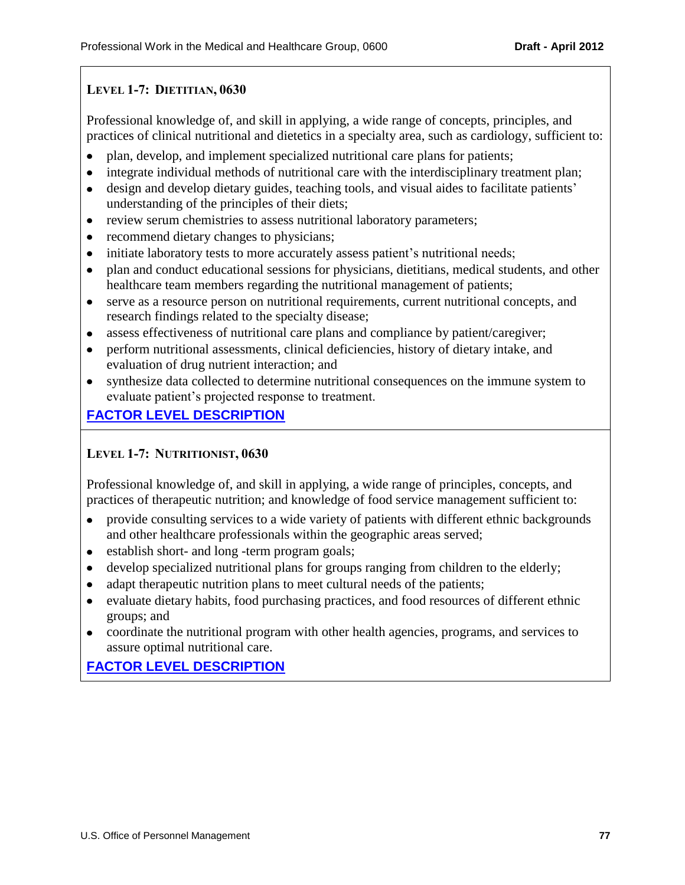# **LEVEL 1-7: DIETITIAN, 0630**

Professional knowledge of, and skill in applying, a wide range of concepts, principles, and practices of clinical nutritional and dietetics in a specialty area, such as cardiology, sufficient to:

- plan, develop, and implement specialized nutritional care plans for patients;
- $\bullet$ integrate individual methods of nutritional care with the interdisciplinary treatment plan;
- design and develop dietary guides, teaching tools, and visual aides to facilitate patients'  $\bullet$ understanding of the principles of their diets;
- review serum chemistries to assess nutritional laboratory parameters;
- recommend dietary changes to physicians;  $\bullet$
- initiate laboratory tests to more accurately assess patient's nutritional needs;  $\bullet$
- $\bullet$ plan and conduct educational sessions for physicians, dietitians, medical students, and other healthcare team members regarding the nutritional management of patients;
- $\bullet$ serve as a resource person on nutritional requirements, current nutritional concepts, and research findings related to the specialty disease;
- assess effectiveness of nutritional care plans and compliance by patient/caregiver;  $\bullet$
- $\bullet$ perform nutritional assessments, clinical deficiencies, history of dietary intake, and evaluation of drug nutrient interaction; and
- synthesize data collected to determine nutritional consequences on the immune system to evaluate patient's projected response to treatment.

# **[FACTOR LEVEL DESCRIPTION](#page-47-2)**

# **LEVEL 1-7: NUTRITIONIST, 0630**

Professional knowledge of, and skill in applying, a wide range of principles, concepts, and practices of therapeutic nutrition; and knowledge of food service management sufficient to:

- provide consulting services to a wide variety of patients with different ethnic backgrounds and other healthcare professionals within the geographic areas served;
- establish short- and long -term program goals;  $\bullet$
- develop specialized nutritional plans for groups ranging from children to the elderly;  $\bullet$
- adapt therapeutic nutrition plans to meet cultural needs of the patients;  $\bullet$
- $\bullet$ evaluate dietary habits, food purchasing practices, and food resources of different ethnic groups; and
- coordinate the nutritional program with other health agencies, programs, and services to assure optimal nutritional care.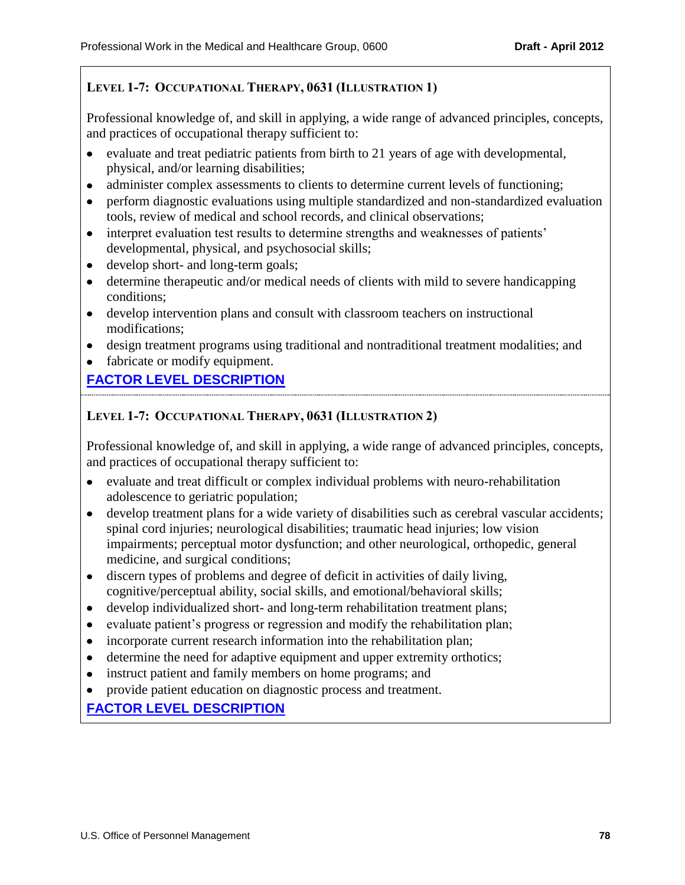## **LEVEL 1-7: OCCUPATIONAL THERAPY, 0631 (ILLUSTRATION 1)**

Professional knowledge of, and skill in applying, a wide range of advanced principles, concepts, and practices of occupational therapy sufficient to:

- evaluate and treat pediatric patients from birth to 21 years of age with developmental, physical, and/or learning disabilities;
- $\bullet$ administer complex assessments to clients to determine current levels of functioning;
- perform diagnostic evaluations using multiple standardized and non-standardized evaluation  $\bullet$ tools, review of medical and school records, and clinical observations;
- interpret evaluation test results to determine strengths and weaknesses of patients' developmental, physical, and psychosocial skills;
- develop short- and long-term goals;
- determine therapeutic and/or medical needs of clients with mild to severe handicapping conditions;
- develop intervention plans and consult with classroom teachers on instructional modifications;
- design treatment programs using traditional and nontraditional treatment modalities; and
- fabricate or modify equipment.

# **[FACTOR LEVEL DESCRIPTION](#page-47-3)**

## **LEVEL 1-7: OCCUPATIONAL THERAPY, 0631 (ILLUSTRATION 2)**

Professional knowledge of, and skill in applying, a wide range of advanced principles, concepts, and practices of occupational therapy sufficient to:

- evaluate and treat difficult or complex individual problems with neuro-rehabilitation adolescence to geriatric population;
- $\bullet$ develop treatment plans for a wide variety of disabilities such as cerebral vascular accidents; spinal cord injuries; neurological disabilities; traumatic head injuries; low vision impairments; perceptual motor dysfunction; and other neurological, orthopedic, general medicine, and surgical conditions;
- discern types of problems and degree of deficit in activities of daily living, cognitive/perceptual ability, social skills, and emotional/behavioral skills;
- develop individualized short- and long-term rehabilitation treatment plans;
- evaluate patient's progress or regression and modify the rehabilitation plan;
- incorporate current research information into the rehabilitation plan;
- determine the need for adaptive equipment and upper extremity orthotics;
- instruct patient and family members on home programs; and
- provide patient education on diagnostic process and treatment.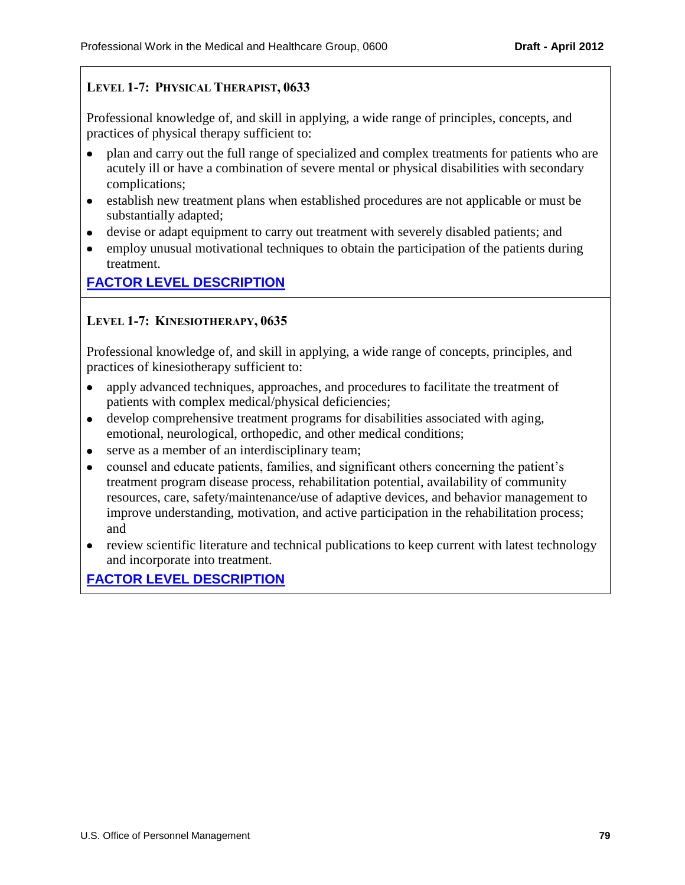## **LEVEL 1-7: PHYSICAL THERAPIST, 0633**

Professional knowledge of, and skill in applying, a wide range of principles, concepts, and practices of physical therapy sufficient to:

- plan and carry out the full range of specialized and complex treatments for patients who are acutely ill or have a combination of severe mental or physical disabilities with secondary complications;
- establish new treatment plans when established procedures are not applicable or must be substantially adapted;
- devise or adapt equipment to carry out treatment with severely disabled patients; and
- employ unusual motivational techniques to obtain the participation of the patients during treatment.

# **[FACTOR LEVEL DESCRIPTION](#page-47-4)**

## **LEVEL 1-7: KINESIOTHERAPY, 0635**

Professional knowledge of, and skill in applying, a wide range of concepts, principles, and practices of kinesiotherapy sufficient to:

- $\bullet$ apply advanced techniques, approaches, and procedures to facilitate the treatment of patients with complex medical/physical deficiencies;
- develop comprehensive treatment programs for disabilities associated with aging,  $\bullet$ emotional, neurological, orthopedic, and other medical conditions;
- serve as a member of an interdisciplinary team;  $\bullet$
- $\bullet$ counsel and educate patients, families, and significant others concerning the patient's treatment program disease process, rehabilitation potential, availability of community resources, care, safety/maintenance/use of adaptive devices, and behavior management to improve understanding, motivation, and active participation in the rehabilitation process; and
- review scientific literature and technical publications to keep current with latest technology and incorporate into treatment.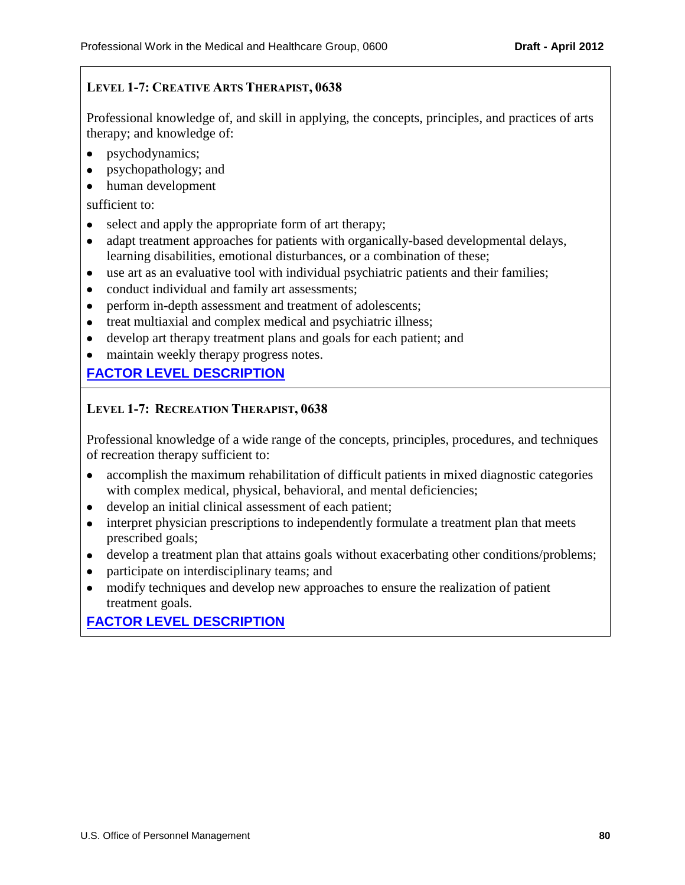## **LEVEL 1-7: CREATIVE ARTS THERAPIST, 0638**

Professional knowledge of, and skill in applying, the concepts, principles, and practices of arts therapy; and knowledge of:

- psychodynamics;
- psychopathology; and
- human development

sufficient to:

- select and apply the appropriate form of art therapy;
- adapt treatment approaches for patients with organically-based developmental delays,  $\bullet$ learning disabilities, emotional disturbances, or a combination of these;
- use art as an evaluative tool with individual psychiatric patients and their families;
- conduct individual and family art assessments;  $\bullet$
- perform in-depth assessment and treatment of adolescents;
- treat multiaxial and complex medical and psychiatric illness;
- develop art therapy treatment plans and goals for each patient; and
- maintain weekly therapy progress notes.

# **[FACTOR LEVEL DESCRIPTION](#page-47-6)**

## **LEVEL 1-7: RECREATION THERAPIST, 0638**

Professional knowledge of a wide range of the concepts, principles, procedures, and techniques of recreation therapy sufficient to:

- $\bullet$ accomplish the maximum rehabilitation of difficult patients in mixed diagnostic categories with complex medical, physical, behavioral, and mental deficiencies;
- develop an initial clinical assessment of each patient;
- interpret physician prescriptions to independently formulate a treatment plan that meets  $\bullet$ prescribed goals;
- develop a treatment plan that attains goals without exacerbating other conditions/problems;
- participate on interdisciplinary teams; and
- modify techniques and develop new approaches to ensure the realization of patient treatment goals.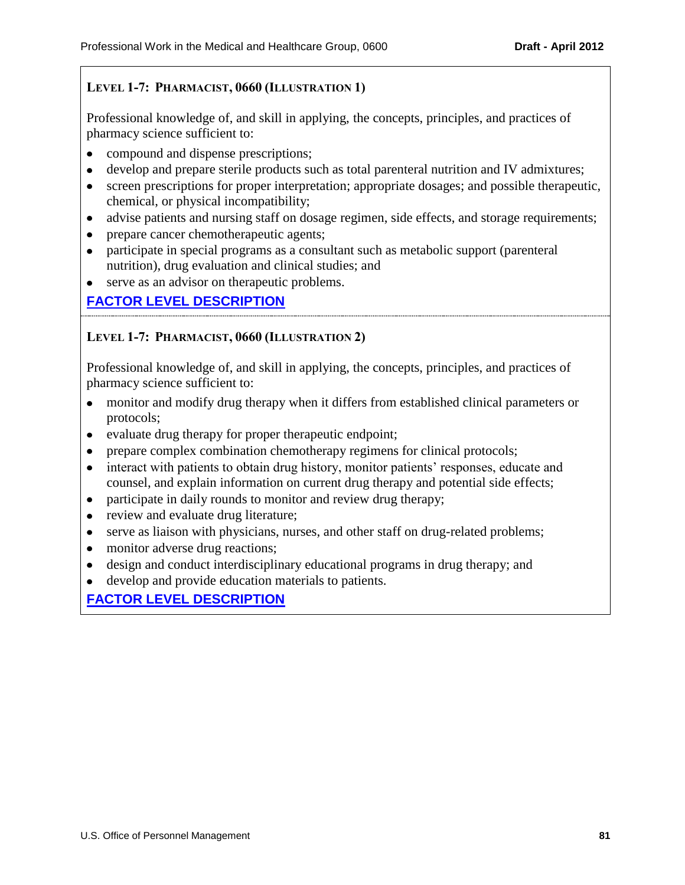## **LEVEL 1-7: PHARMACIST, 0660 (ILLUSTRATION 1)**

Professional knowledge of, and skill in applying, the concepts, principles, and practices of pharmacy science sufficient to:

- compound and dispense prescriptions;
- develop and prepare sterile products such as total parenteral nutrition and IV admixtures;
- screen prescriptions for proper interpretation; appropriate dosages; and possible therapeutic, chemical, or physical incompatibility;
- advise patients and nursing staff on dosage regimen, side effects, and storage requirements;
- prepare cancer chemotherapeutic agents;
- participate in special programs as a consultant such as metabolic support (parenteral  $\bullet$ nutrition), drug evaluation and clinical studies; and
- serve as an advisor on therapeutic problems.

## **[FACTOR LEVEL DESCRIPTION](#page-47-7)**

## **LEVEL 1-7: PHARMACIST, 0660 (ILLUSTRATION 2)**

Professional knowledge of, and skill in applying, the concepts, principles, and practices of pharmacy science sufficient to:

- monitor and modify drug therapy when it differs from established clinical parameters or protocols;
- evaluate drug therapy for proper therapeutic endpoint;
- prepare complex combination chemotherapy regimens for clinical protocols;  $\bullet$
- interact with patients to obtain drug history, monitor patients' responses, educate and  $\bullet$ counsel, and explain information on current drug therapy and potential side effects;
- participate in daily rounds to monitor and review drug therapy;  $\bullet$
- review and evaluate drug literature;
- serve as liaison with physicians, nurses, and other staff on drug-related problems;
- monitor adverse drug reactions;
- design and conduct interdisciplinary educational programs in drug therapy; and
- develop and provide education materials to patients.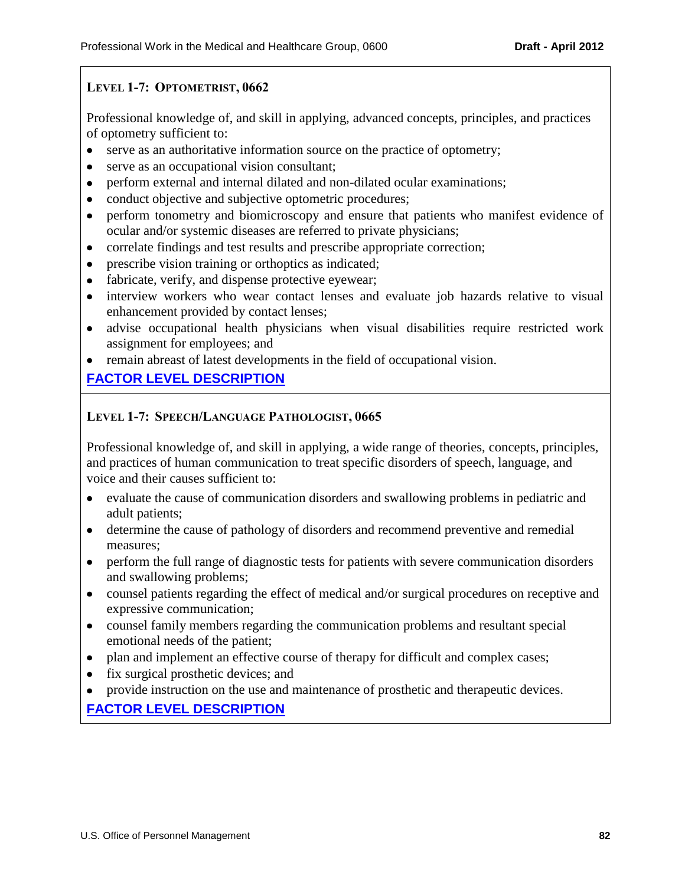## **LEVEL 1-7: OPTOMETRIST, 0662**

Professional knowledge of, and skill in applying, advanced concepts, principles, and practices of optometry sufficient to:

- serve as an authoritative information source on the practice of optometry;
- serve as an occupational vision consultant;
- perform external and internal dilated and non-dilated ocular examinations;
- conduct objective and subjective optometric procedures;
- perform tonometry and biomicroscopy and ensure that patients who manifest evidence of  $\bullet$ ocular and/or systemic diseases are referred to private physicians;
- correlate findings and test results and prescribe appropriate correction;
- prescribe vision training or orthoptics as indicated;  $\bullet$
- fabricate, verify, and dispense protective eyewear;
- interview workers who wear contact lenses and evaluate job hazards relative to visual enhancement provided by contact lenses;
- advise occupational health physicians when visual disabilities require restricted work assignment for employees; and
- remain abreast of latest developments in the field of occupational vision.

# **[FACTOR LEVEL DESCRIPTION](#page-47-8)**

## **LEVEL 1-7: SPEECH/LANGUAGE PATHOLOGIST, 0665**

Professional knowledge of, and skill in applying, a wide range of theories, concepts, principles, and practices of human communication to treat specific disorders of speech, language, and voice and their causes sufficient to:

- evaluate the cause of communication disorders and swallowing problems in pediatric and adult patients;
- determine the cause of pathology of disorders and recommend preventive and remedial measures;
- perform the full range of diagnostic tests for patients with severe communication disorders and swallowing problems;
- counsel patients regarding the effect of medical and/or surgical procedures on receptive and expressive communication;
- counsel family members regarding the communication problems and resultant special emotional needs of the patient;
- plan and implement an effective course of therapy for difficult and complex cases;
- fix surgical prosthetic devices; and
- provide instruction on the use and maintenance of prosthetic and therapeutic devices.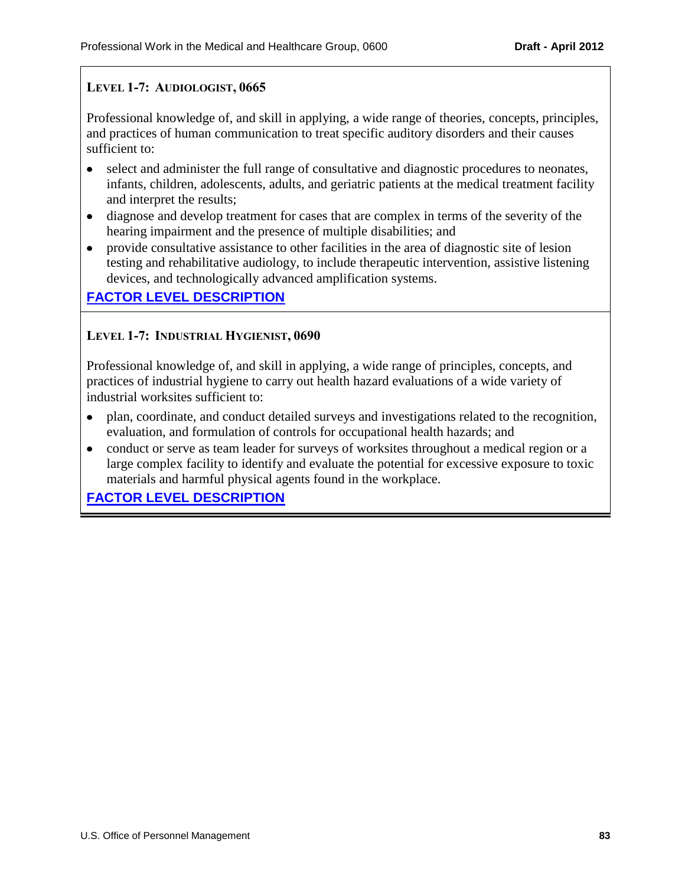## **LEVEL 1-7: AUDIOLOGIST, 0665**

Professional knowledge of, and skill in applying, a wide range of theories, concepts, principles, and practices of human communication to treat specific auditory disorders and their causes sufficient to:

- select and administer the full range of consultative and diagnostic procedures to neonates, infants, children, adolescents, adults, and geriatric patients at the medical treatment facility and interpret the results;
- diagnose and develop treatment for cases that are complex in terms of the severity of the  $\bullet$ hearing impairment and the presence of multiple disabilities; and
- provide consultative assistance to other facilities in the area of diagnostic site of lesion testing and rehabilitative audiology, to include therapeutic intervention, assistive listening devices, and technologically advanced amplification systems.

## **[FACTOR LEVEL DESCRIPTION](#page-47-9)**

### **LEVEL 1-7: INDUSTRIAL HYGIENIST, 0690**

Professional knowledge of, and skill in applying, a wide range of principles, concepts, and practices of industrial hygiene to carry out health hazard evaluations of a wide variety of industrial worksites sufficient to:

- plan, coordinate, and conduct detailed surveys and investigations related to the recognition, evaluation, and formulation of controls for occupational health hazards; and
- conduct or serve as team leader for surveys of worksites throughout a medical region or a  $\bullet$ large complex facility to identify and evaluate the potential for excessive exposure to toxic materials and harmful physical agents found in the workplace.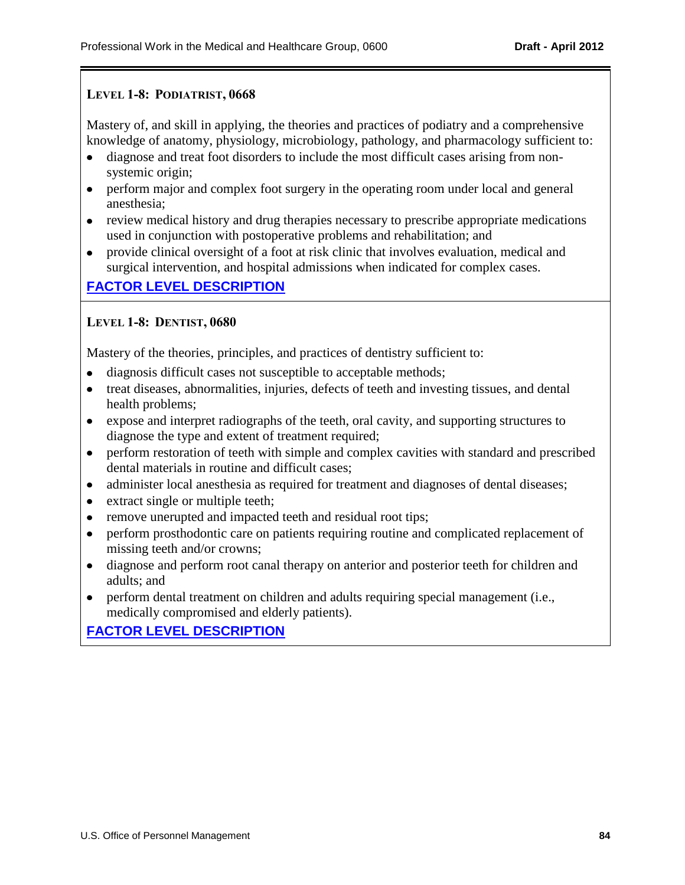### **LEVEL 1-8: PODIATRIST, 0668**

Mastery of, and skill in applying, the theories and practices of podiatry and a comprehensive knowledge of anatomy, physiology, microbiology, pathology, and pharmacology sufficient to:

- diagnose and treat foot disorders to include the most difficult cases arising from nonsystemic origin;
- perform major and complex foot surgery in the operating room under local and general anesthesia;
- review medical history and drug therapies necessary to prescribe appropriate medications used in conjunction with postoperative problems and rehabilitation; and
- provide clinical oversight of a foot at risk clinic that involves evaluation, medical and surgical intervention, and hospital admissions when indicated for complex cases.

## **[FACTOR LEVEL DESCRIPTION](#page-49-0)**

## **LEVEL 1-8: DENTIST, 0680**

Mastery of the theories, principles, and practices of dentistry sufficient to:

- diagnosis difficult cases not susceptible to acceptable methods;
- treat diseases, abnormalities, injuries, defects of teeth and investing tissues, and dental health problems;
- expose and interpret radiographs of the teeth, oral cavity, and supporting structures to diagnose the type and extent of treatment required;
- perform restoration of teeth with simple and complex cavities with standard and prescribed dental materials in routine and difficult cases;
- administer local anesthesia as required for treatment and diagnoses of dental diseases;  $\bullet$
- extract single or multiple teeth;  $\bullet$
- remove unerupted and impacted teeth and residual root tips;  $\bullet$
- perform prosthodontic care on patients requiring routine and complicated replacement of  $\bullet$ missing teeth and/or crowns;
- diagnose and perform root canal therapy on anterior and posterior teeth for children and  $\bullet$ adults; and
- perform dental treatment on children and adults requiring special management (i.e.,  $\bullet$ medically compromised and elderly patients).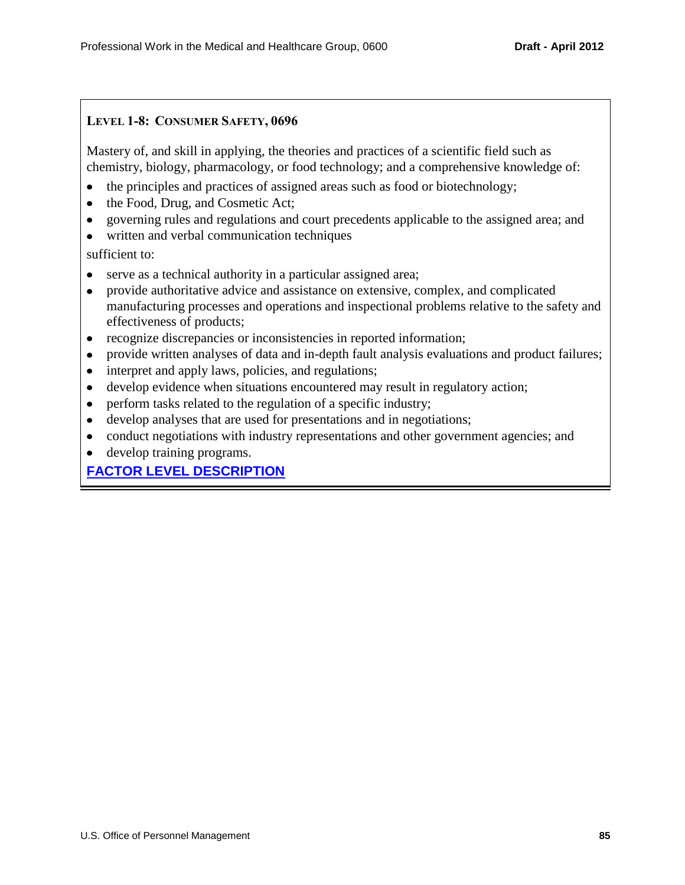## **LEVEL 1-8: CONSUMER SAFETY, 0696**

Mastery of, and skill in applying, the theories and practices of a scientific field such as chemistry, biology, pharmacology, or food technology; and a comprehensive knowledge of:

- the principles and practices of assigned areas such as food or biotechnology;  $\bullet$
- the Food, Drug, and Cosmetic Act;
- governing rules and regulations and court precedents applicable to the assigned area; and  $\bullet$
- written and verbal communication techniques

sufficient to:

- serve as a technical authority in a particular assigned area;
- $\bullet$ provide authoritative advice and assistance on extensive, complex, and complicated manufacturing processes and operations and inspectional problems relative to the safety and effectiveness of products;
- $\bullet$ recognize discrepancies or inconsistencies in reported information;
- provide written analyses of data and in-depth fault analysis evaluations and product failures;
- interpret and apply laws, policies, and regulations;  $\bullet$
- develop evidence when situations encountered may result in regulatory action;  $\bullet$
- perform tasks related to the regulation of a specific industry;  $\bullet$
- develop analyses that are used for presentations and in negotiations;  $\bullet$
- conduct negotiations with industry representations and other government agencies; and
- develop training programs.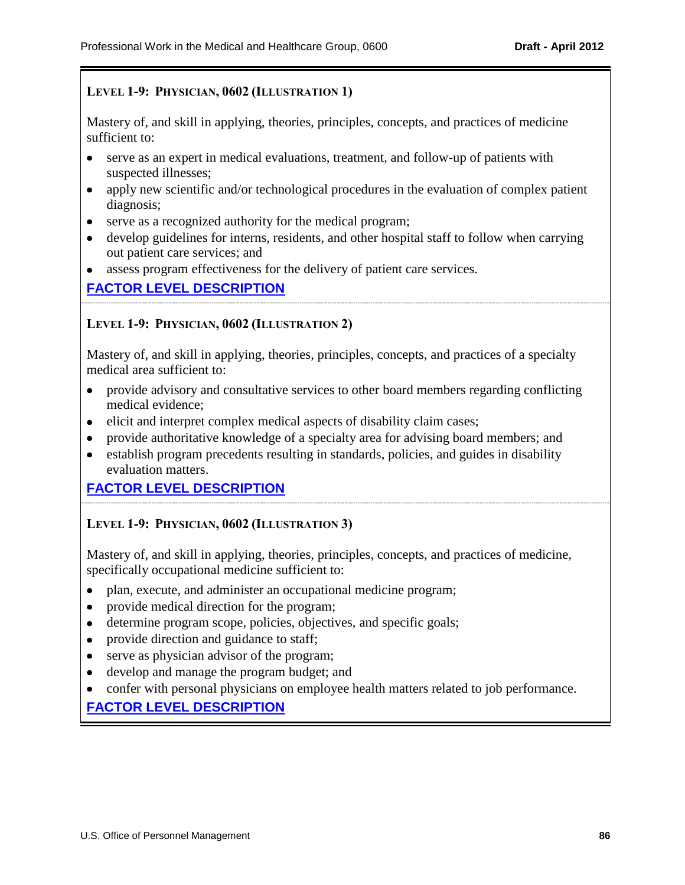## **LEVEL 1-9: PHYSICIAN, 0602 (ILLUSTRATION 1)**

Mastery of, and skill in applying, theories, principles, concepts, and practices of medicine sufficient to:

- serve as an expert in medical evaluations, treatment, and follow-up of patients with suspected illnesses;
- apply new scientific and/or technological procedures in the evaluation of complex patient  $\bullet$ diagnosis;
- serve as a recognized authority for the medical program;
- develop guidelines for interns, residents, and other hospital staff to follow when carrying out patient care services; and
- assess program effectiveness for the delivery of patient care services.

## **[FACTOR LEVEL DESCRIPTION](#page-50-0)**

### **LEVEL 1-9: PHYSICIAN, 0602 (ILLUSTRATION 2)**

Mastery of, and skill in applying, theories, principles, concepts, and practices of a specialty medical area sufficient to:

- provide advisory and consultative services to other board members regarding conflicting medical evidence;
- elicit and interpret complex medical aspects of disability claim cases;
- provide authoritative knowledge of a specialty area for advising board members; and
- establish program precedents resulting in standards, policies, and guides in disability evaluation matters.

## **[FACTOR LEVEL DESCRIPTION](#page-50-0)**

### **LEVEL 1-9: PHYSICIAN, 0602 (ILLUSTRATION 3)**

Mastery of, and skill in applying, theories, principles, concepts, and practices of medicine, specifically occupational medicine sufficient to:

- plan, execute, and administer an occupational medicine program;
- provide medical direction for the program;
- determine program scope, policies, objectives, and specific goals;
- provide direction and guidance to staff;
- serve as physician advisor of the program;
- develop and manage the program budget; and
- confer with personal physicians on employee health matters related to job performance.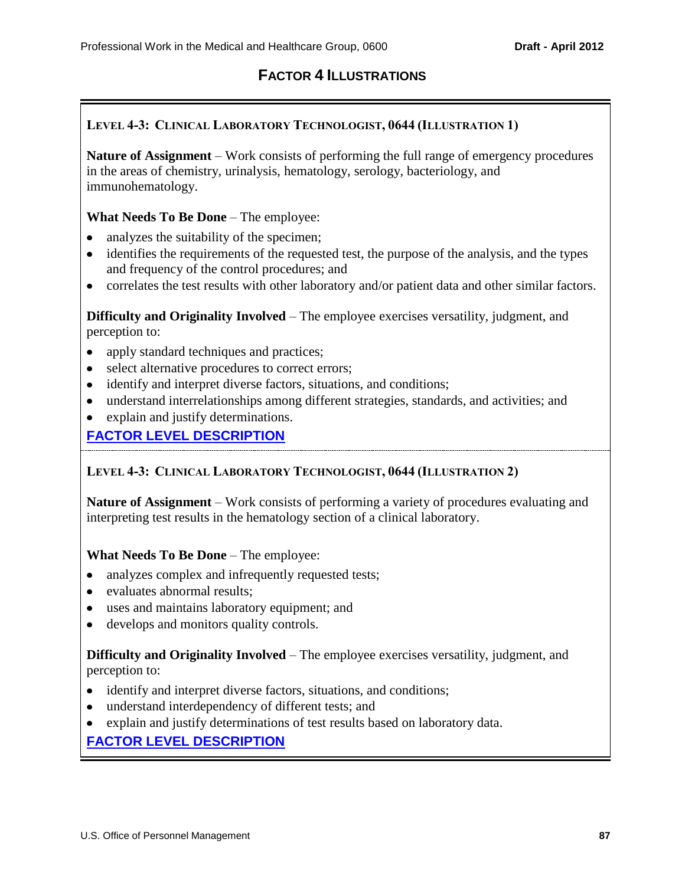# **FACTOR 4 ILLUSTRATIONS**

## **LEVEL 4-3: CLINICAL LABORATORY TECHNOLOGIST, 0644 (ILLUSTRATION 1)**

**Nature of Assignment** – Work consists of performing the full range of emergency procedures in the areas of chemistry, urinalysis, hematology, serology, bacteriology, and immunohematology.

#### **What Needs To Be Done** – The employee:

- analyzes the suitability of the specimen;  $\bullet$
- identifies the requirements of the requested test, the purpose of the analysis, and the types and frequency of the control procedures; and
- correlates the test results with other laboratory and/or patient data and other similar factors.

**Difficulty and Originality Involved** – The employee exercises versatility, judgment, and perception to:

- apply standard techniques and practices;
- select alternative procedures to correct errors;
- identify and interpret diverse factors, situations, and conditions;
- understand interrelationships among different strategies, standards, and activities; and
- explain and justify determinations.

## **[FACTOR LEVEL DESCRIPTION](#page-57-0)**

### **LEVEL 4-3: CLINICAL LABORATORY TECHNOLOGIST, 0644 (ILLUSTRATION 2)**

**Nature of Assignment** – Work consists of performing a variety of procedures evaluating and interpreting test results in the hematology section of a clinical laboratory.

### **What Needs To Be Done** – The employee:

- analyzes complex and infrequently requested tests;
- evaluates abnormal results;
- uses and maintains laboratory equipment; and
- develops and monitors quality controls.

### **Difficulty and Originality Involved** – The employee exercises versatility, judgment, and perception to:

- identify and interpret diverse factors, situations, and conditions;
- understand interdependency of different tests; and
- explain and justify determinations of test results based on laboratory data.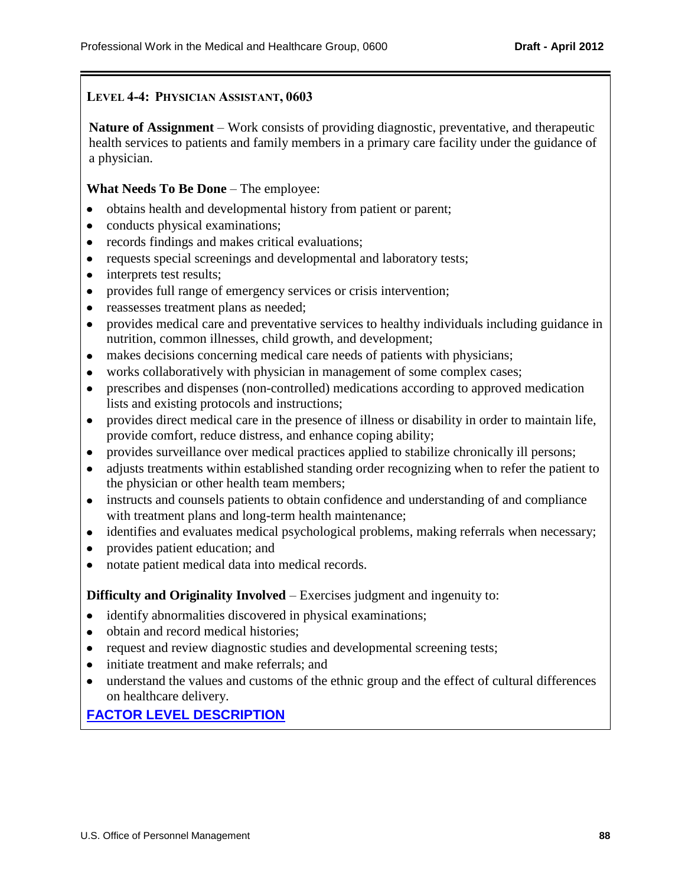#### **LEVEL 4-4: PHYSICIAN ASSISTANT, 0603**

**Nature of Assignment** – Work consists of providing diagnostic, preventative, and therapeutic health services to patients and family members in a primary care facility under the guidance of a physician.

#### **What Needs To Be Done** – The employee:

- obtains health and developmental history from patient or parent;
- conducts physical examinations;
- records findings and makes critical evaluations;
- requests special screenings and developmental and laboratory tests;
- interprets test results;  $\bullet$
- provides full range of emergency services or crisis intervention;  $\bullet$
- reassesses treatment plans as needed;  $\bullet$
- provides medical care and preventative services to healthy individuals including guidance in  $\bullet$ nutrition, common illnesses, child growth, and development;
- makes decisions concerning medical care needs of patients with physicians;  $\bullet$
- works collaboratively with physician in management of some complex cases;  $\bullet$
- prescribes and dispenses (non-controlled) medications according to approved medication  $\bullet$ lists and existing protocols and instructions;
- provides direct medical care in the presence of illness or disability in order to maintain life,  $\bullet$ provide comfort, reduce distress, and enhance coping ability;
- provides surveillance over medical practices applied to stabilize chronically ill persons;  $\bullet$
- adjusts treatments within established standing order recognizing when to refer the patient to  $\bullet$ the physician or other health team members;
- $\bullet$ instructs and counsels patients to obtain confidence and understanding of and compliance with treatment plans and long-term health maintenance;
- identifies and evaluates medical psychological problems, making referrals when necessary;  $\bullet$
- provides patient education; and  $\bullet$
- notate patient medical data into medical records.

#### **Difficulty and Originality Involved** – Exercises judgment and ingenuity to:

- identify abnormalities discovered in physical examinations;
- obtain and record medical histories;
- request and review diagnostic studies and developmental screening tests;
- initiate treatment and make referrals; and
- understand the values and customs of the ethnic group and the effect of cultural differences on healthcare delivery.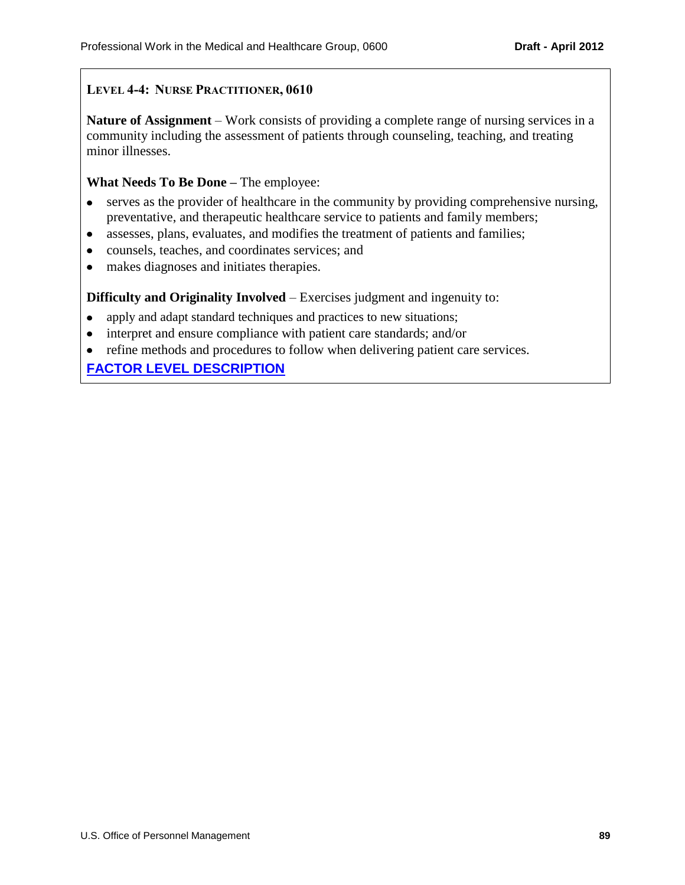## **LEVEL 4-4: NURSE PRACTITIONER, 0610**

**Nature of Assignment** – Work consists of providing a complete range of nursing services in a community including the assessment of patients through counseling, teaching, and treating minor illnesses.

#### **What Needs To Be Done –** The employee:

- serves as the provider of healthcare in the community by providing comprehensive nursing, preventative, and therapeutic healthcare service to patients and family members;
- assesses, plans, evaluates, and modifies the treatment of patients and families;
- counsels, teaches, and coordinates services; and  $\bullet$
- makes diagnoses and initiates therapies.  $\bullet$

**Difficulty and Originality Involved** – Exercises judgment and ingenuity to:

- apply and adapt standard techniques and practices to new situations;
- interpret and ensure compliance with patient care standards; and/or
- refine methods and procedures to follow when delivering patient care services.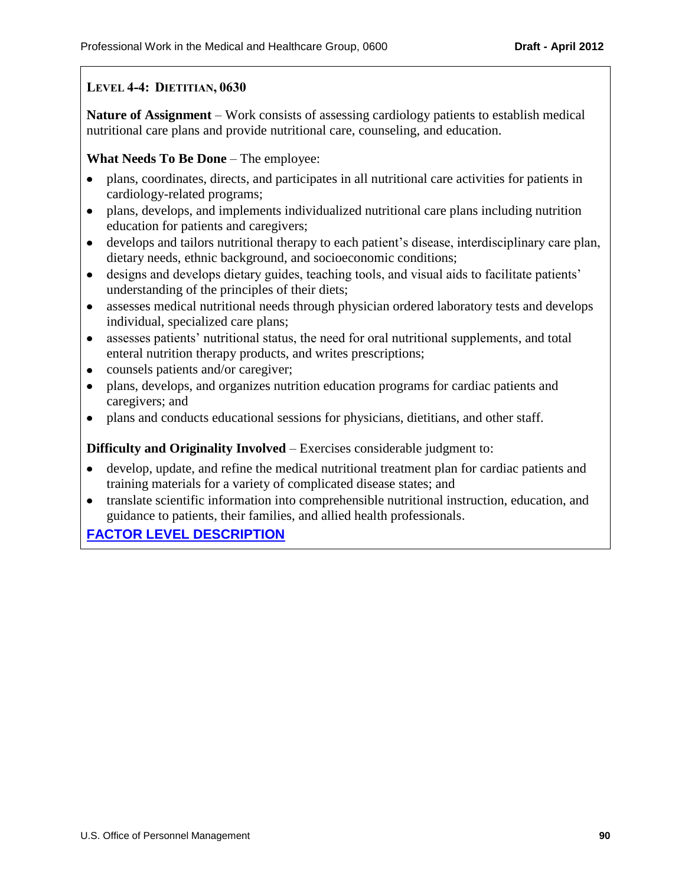## **LEVEL 4-4: DIETITIAN, 0630**

**Nature of Assignment** – Work consists of assessing cardiology patients to establish medical nutritional care plans and provide nutritional care, counseling, and education.

#### **What Needs To Be Done** – The employee:

- plans, coordinates, directs, and participates in all nutritional care activities for patients in cardiology-related programs;
- plans, develops, and implements individualized nutritional care plans including nutrition  $\bullet$ education for patients and caregivers;
- develops and tailors nutritional therapy to each patient's disease, interdisciplinary care plan,  $\bullet$ dietary needs, ethnic background, and socioeconomic conditions;
- designs and develops dietary guides, teaching tools, and visual aids to facilitate patients'  $\bullet$ understanding of the principles of their diets;
- $\bullet$ assesses medical nutritional needs through physician ordered laboratory tests and develops individual, specialized care plans;
- assesses patients' nutritional status, the need for oral nutritional supplements, and total  $\bullet$ enteral nutrition therapy products, and writes prescriptions;
- counsels patients and/or caregiver;  $\bullet$
- plans, develops, and organizes nutrition education programs for cardiac patients and  $\bullet$ caregivers; and
- plans and conducts educational sessions for physicians, dietitians, and other staff.

### **Difficulty and Originality Involved** – Exercises considerable judgment to:

- develop, update, and refine the medical nutritional treatment plan for cardiac patients and training materials for a variety of complicated disease states; and
- translate scientific information into comprehensible nutritional instruction, education, and guidance to patients, their families, and allied health professionals.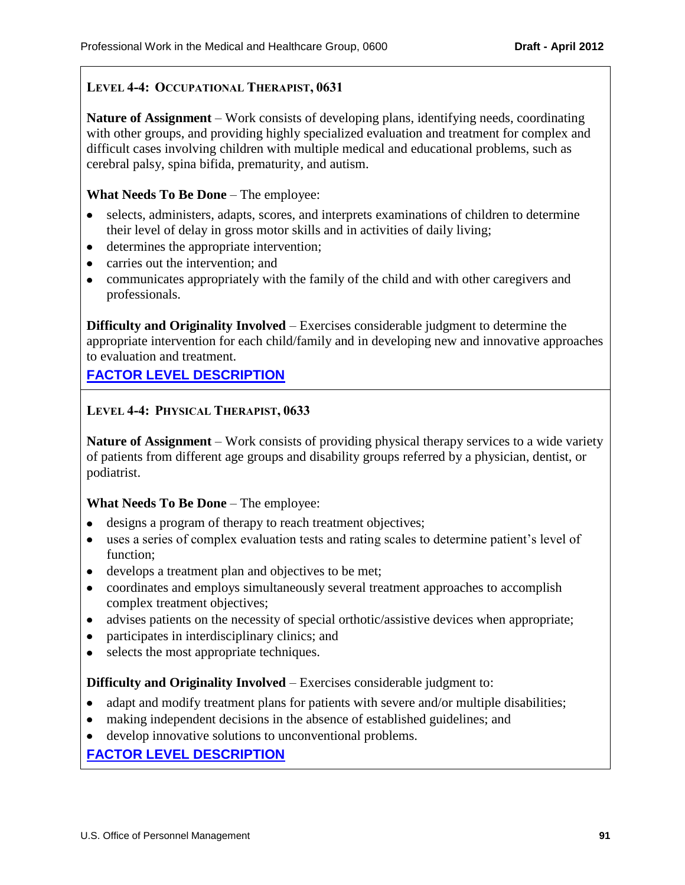## **LEVEL 4-4: OCCUPATIONAL THERAPIST, 0631**

**Nature of Assignment** – Work consists of developing plans, identifying needs, coordinating with other groups, and providing highly specialized evaluation and treatment for complex and difficult cases involving children with multiple medical and educational problems, such as cerebral palsy, spina bifida, prematurity, and autism.

#### **What Needs To Be Done** – The employee:

- selects, administers, adapts, scores, and interprets examinations of children to determine their level of delay in gross motor skills and in activities of daily living;
- determines the appropriate intervention;
- carries out the intervention; and
- communicates appropriately with the family of the child and with other caregivers and professionals.

**Difficulty and Originality Involved** – Exercises considerable judgment to determine the appropriate intervention for each child/family and in developing new and innovative approaches to evaluation and treatment.

# **[FACTOR LEVEL DESCRIPTION](#page-58-3)**

### **LEVEL 4-4: PHYSICAL THERAPIST, 0633**

**Nature of Assignment** – Work consists of providing physical therapy services to a wide variety of patients from different age groups and disability groups referred by a physician, dentist, or podiatrist.

### **What Needs To Be Done** – The employee:

- designs a program of therapy to reach treatment objectives;
- uses a series of complex evaluation tests and rating scales to determine patient's level of function;
- develops a treatment plan and objectives to be met;
- coordinates and employs simultaneously several treatment approaches to accomplish complex treatment objectives;
- advises patients on the necessity of special orthotic/assistive devices when appropriate;
- participates in interdisciplinary clinics; and
- selects the most appropriate techniques.

#### **Difficulty and Originality Involved** – Exercises considerable judgment to:

- adapt and modify treatment plans for patients with severe and/or multiple disabilities;
- making independent decisions in the absence of established guidelines; and
- develop innovative solutions to unconventional problems.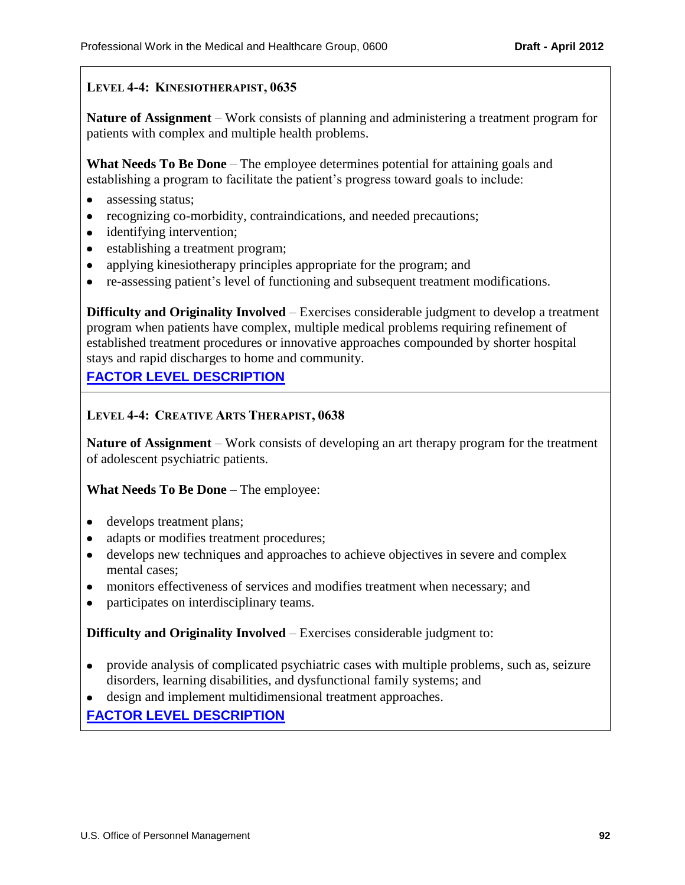## **LEVEL 4-4: KINESIOTHERAPIST, 0635**

**Nature of Assignment** – Work consists of planning and administering a treatment program for patients with complex and multiple health problems.

**What Needs To Be Done** – The employee determines potential for attaining goals and establishing a program to facilitate the patient's progress toward goals to include:

- assessing status;
- recognizing co-morbidity, contraindications, and needed precautions;
- identifying intervention;
- establishing a treatment program;
- applying kinesiotherapy principles appropriate for the program; and
- re-assessing patient's level of functioning and subsequent treatment modifications.

**Difficulty and Originality Involved** – Exercises considerable judgment to develop a treatment program when patients have complex, multiple medical problems requiring refinement of established treatment procedures or innovative approaches compounded by shorter hospital stays and rapid discharges to home and community.

# **[FACTOR LEVEL DESCRIPTION](#page-58-5)**

### **LEVEL 4-4: CREATIVE ARTS THERAPIST, 0638**

**Nature of Assignment** – Work consists of developing an art therapy program for the treatment of adolescent psychiatric patients.

### **What Needs To Be Done** – The employee:

- develops treatment plans;
- adapts or modifies treatment procedures;
- develops new techniques and approaches to achieve objectives in severe and complex mental cases;
- monitors effectiveness of services and modifies treatment when necessary; and
- participates on interdisciplinary teams.

**Difficulty and Originality Involved** – Exercises considerable judgment to:

- provide analysis of complicated psychiatric cases with multiple problems, such as, seizure disorders, learning disabilities, and dysfunctional family systems; and
- design and implement multidimensional treatment approaches.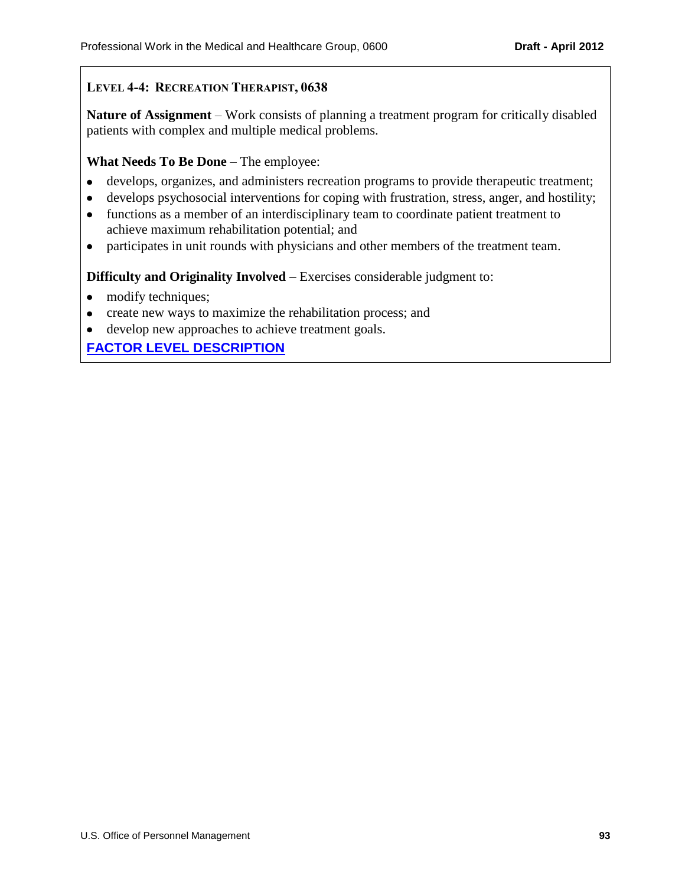## **LEVEL 4-4: RECREATION THERAPIST, 0638**

**Nature of Assignment** – Work consists of planning a treatment program for critically disabled patients with complex and multiple medical problems.

#### **What Needs To Be Done** – The employee:

- develops, organizes, and administers recreation programs to provide therapeutic treatment;
- develops psychosocial interventions for coping with frustration, stress, anger, and hostility;
- functions as a member of an interdisciplinary team to coordinate patient treatment to  $\bullet$ achieve maximum rehabilitation potential; and
- participates in unit rounds with physicians and other members of the treatment team.

**Difficulty and Originality Involved** – Exercises considerable judgment to:

- modify techniques;
- create new ways to maximize the rehabilitation process; and
- develop new approaches to achieve treatment goals.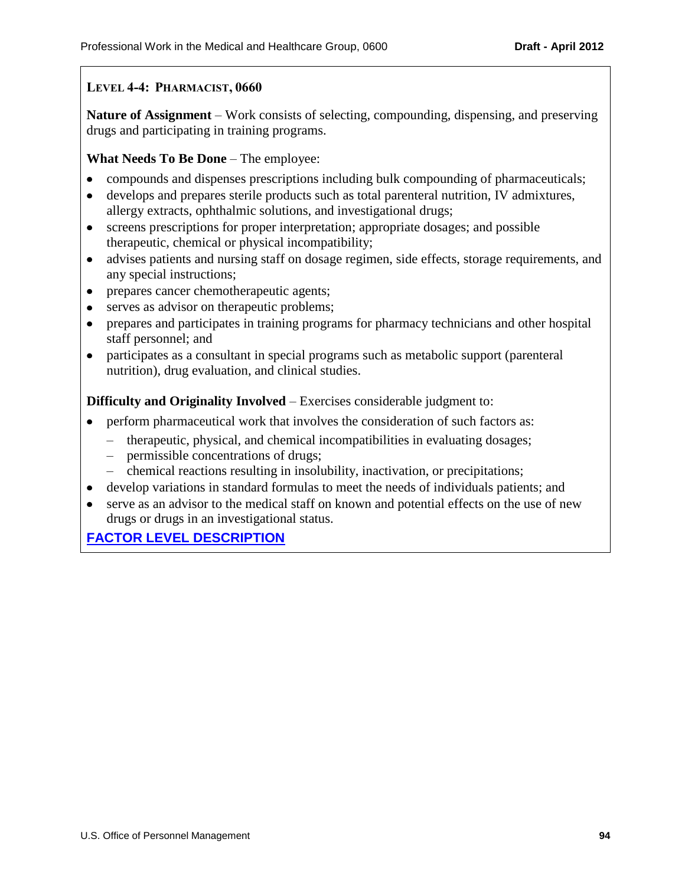## **LEVEL 4-4: PHARMACIST, 0660**

**Nature of Assignment** – Work consists of selecting, compounding, dispensing, and preserving drugs and participating in training programs.

### **What Needs To Be Done** – The employee:

- compounds and dispenses prescriptions including bulk compounding of pharmaceuticals;  $\bullet$
- develops and prepares sterile products such as total parenteral nutrition, IV admixtures,  $\bullet$ allergy extracts, ophthalmic solutions, and investigational drugs;
- screens prescriptions for proper interpretation; appropriate dosages; and possible  $\bullet$ therapeutic, chemical or physical incompatibility;
- advises patients and nursing staff on dosage regimen, side effects, storage requirements, and  $\bullet$ any special instructions;
- prepares cancer chemotherapeutic agents;
- serves as advisor on therapeutic problems;
- prepares and participates in training programs for pharmacy technicians and other hospital staff personnel; and
- $\bullet$ participates as a consultant in special programs such as metabolic support (parenteral nutrition), drug evaluation, and clinical studies.

**Difficulty and Originality Involved** – Exercises considerable judgment to:

- perform pharmaceutical work that involves the consideration of such factors as:
	- therapeutic, physical, and chemical incompatibilities in evaluating dosages;
	- permissible concentrations of drugs;
	- chemical reactions resulting in insolubility, inactivation, or precipitations;
- develop variations in standard formulas to meet the needs of individuals patients; and
- serve as an advisor to the medical staff on known and potential effects on the use of new  $\bullet$ drugs or drugs in an investigational status.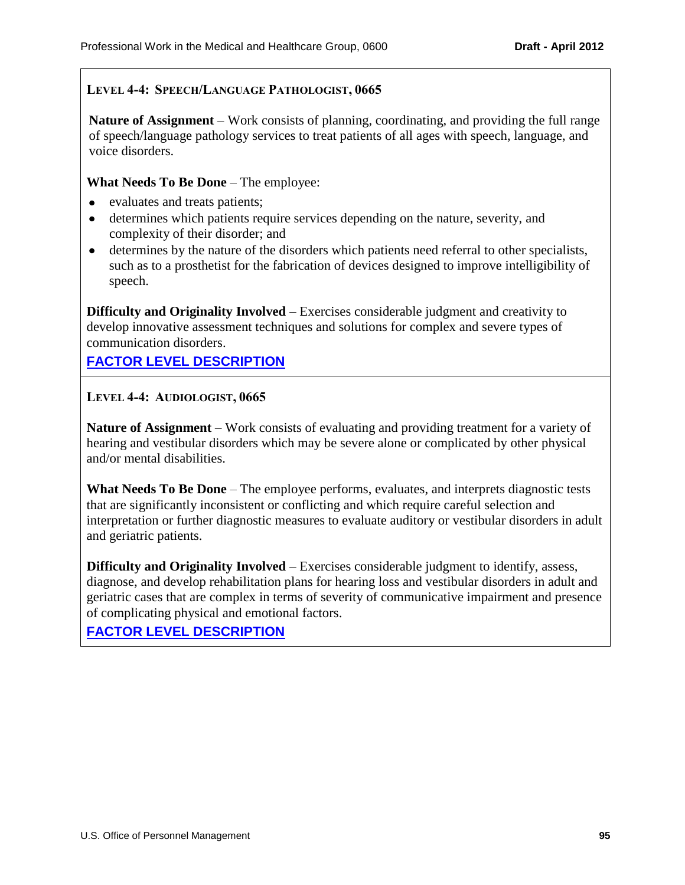## **LEVEL 4-4: SPEECH/LANGUAGE PATHOLOGIST, 0665**

**Nature of Assignment** – Work consists of planning, coordinating, and providing the full range of speech/language pathology services to treat patients of all ages with speech, language, and voice disorders.

#### **What Needs To Be Done** – The employee:

- evaluates and treats patients;
- determines which patients require services depending on the nature, severity, and  $\bullet$ complexity of their disorder; and
- determines by the nature of the disorders which patients need referral to other specialists, such as to a prosthetist for the fabrication of devices designed to improve intelligibility of speech.

**Difficulty and Originality Involved** – Exercises considerable judgment and creativity to develop innovative assessment techniques and solutions for complex and severe types of communication disorders.

## **[FACTOR LEVEL DESCRIPTION](#page-58-8)**

### **LEVEL 4-4: AUDIOLOGIST, 0665**

**Nature of Assignment** – Work consists of evaluating and providing treatment for a variety of hearing and vestibular disorders which may be severe alone or complicated by other physical and/or mental disabilities.

**What Needs To Be Done** – The employee performs, evaluates, and interprets diagnostic tests that are significantly inconsistent or conflicting and which require careful selection and interpretation or further diagnostic measures to evaluate auditory or vestibular disorders in adult and geriatric patients.

**Difficulty and Originality Involved** – Exercises considerable judgment to identify, assess, diagnose, and develop rehabilitation plans for hearing loss and vestibular disorders in adult and geriatric cases that are complex in terms of severity of communicative impairment and presence of complicating physical and emotional factors.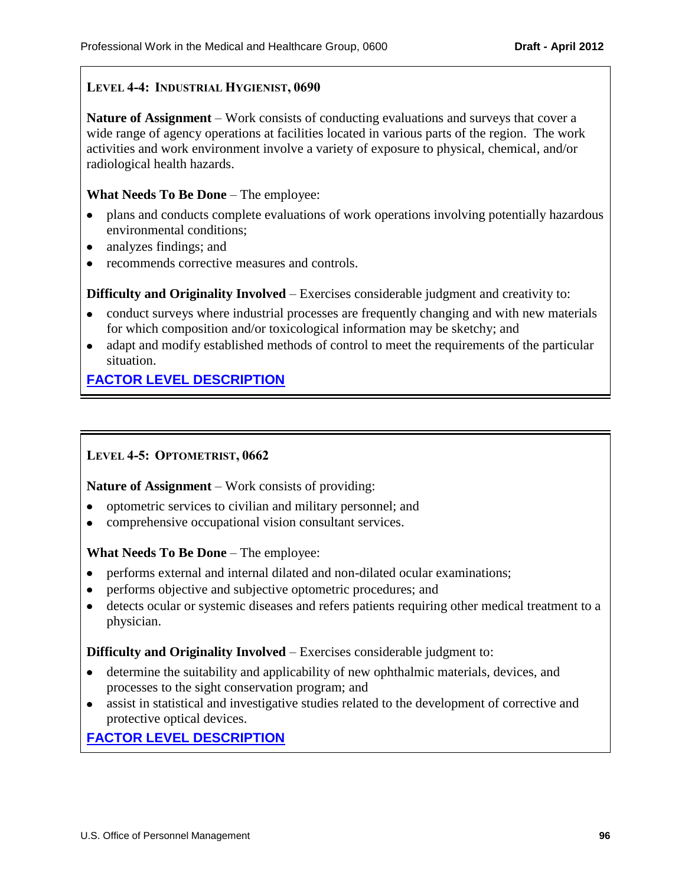## **LEVEL 4-4: INDUSTRIAL HYGIENIST, 0690**

**Nature of Assignment** – Work consists of conducting evaluations and surveys that cover a wide range of agency operations at facilities located in various parts of the region. The work activities and work environment involve a variety of exposure to physical, chemical, and/or radiological health hazards.

#### **What Needs To Be Done** – The employee:

- plans and conducts complete evaluations of work operations involving potentially hazardous environmental conditions;
- analyzes findings; and
- recommends corrective measures and controls.

**Difficulty and Originality Involved** – Exercises considerable judgment and creativity to:

- conduct surveys where industrial processes are frequently changing and with new materials for which composition and/or toxicological information may be sketchy; and
- adapt and modify established methods of control to meet the requirements of the particular situation.

# **[FACTOR LEVEL DESCRIPTION](#page-58-9)**

### **LEVEL 4-5: OPTOMETRIST, 0662**

**Nature of Assignment** – Work consists of providing:

- optometric services to civilian and military personnel; and
- comprehensive occupational vision consultant services.

### **What Needs To Be Done** – The employee:

- performs external and internal dilated and non-dilated ocular examinations;
- performs objective and subjective optometric procedures; and
- detects ocular or systemic diseases and refers patients requiring other medical treatment to a physician.

## **Difficulty and Originality Involved** – Exercises considerable judgment to:

- determine the suitability and applicability of new ophthalmic materials, devices, and processes to the sight conservation program; and
- $\bullet$ assist in statistical and investigative studies related to the development of corrective and protective optical devices.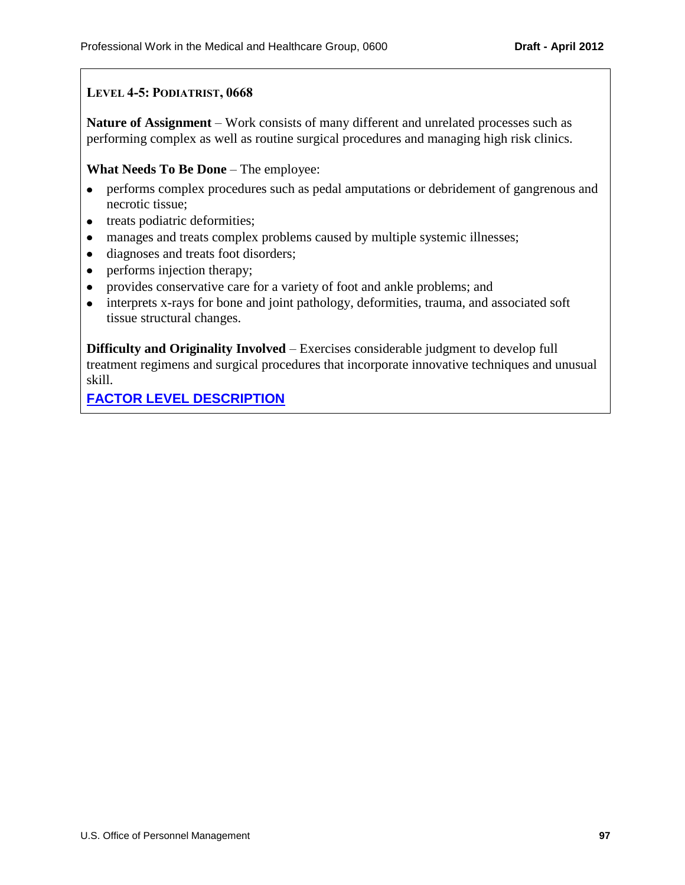## **LEVEL 4-5: PODIATRIST, 0668**

**Nature of Assignment** – Work consists of many different and unrelated processes such as performing complex as well as routine surgical procedures and managing high risk clinics.

**What Needs To Be Done** – The employee:

- performs complex procedures such as pedal amputations or debridement of gangrenous and  $\bullet$ necrotic tissue;
- treats podiatric deformities;
- manages and treats complex problems caused by multiple systemic illnesses;  $\bullet$
- diagnoses and treats foot disorders;  $\bullet$
- performs injection therapy;
- provides conservative care for a variety of foot and ankle problems; and
- interprets x-rays for bone and joint pathology, deformities, trauma, and associated soft tissue structural changes.

**Difficulty and Originality Involved** – Exercises considerable judgment to develop full treatment regimens and surgical procedures that incorporate innovative techniques and unusual skill.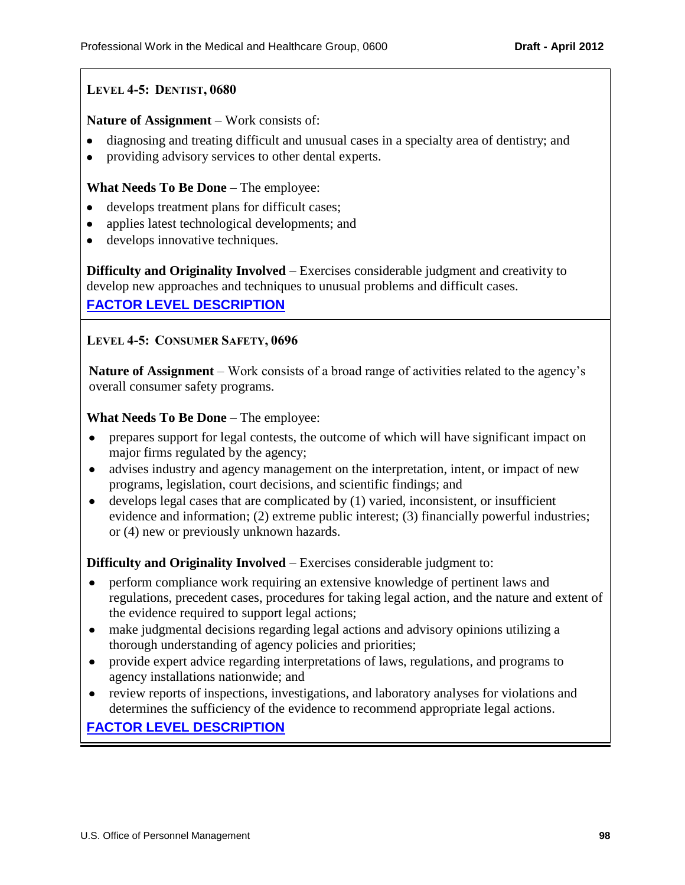## **LEVEL 4-5: DENTIST, 0680**

#### **Nature of Assignment** – Work consists of:

- diagnosing and treating difficult and unusual cases in a specialty area of dentistry; and
- providing advisory services to other dental experts.

#### **What Needs To Be Done** – The employee:

- develops treatment plans for difficult cases;
- applies latest technological developments; and
- develops innovative techniques.

**Difficulty and Originality Involved** – Exercises considerable judgment and creativity to develop new approaches and techniques to unusual problems and difficult cases.

**[FACTOR LEVEL DESCRIPTION](#page-59-2)**

#### **LEVEL 4-5: CONSUMER SAFETY, 0696**

**Nature of Assignment** – Work consists of a broad range of activities related to the agency's overall consumer safety programs.

#### **What Needs To Be Done** – The employee:

- prepares support for legal contests, the outcome of which will have significant impact on major firms regulated by the agency;
- advises industry and agency management on the interpretation, intent, or impact of new  $\bullet$ programs, legislation, court decisions, and scientific findings; and
- $\bullet$  develops legal cases that are complicated by (1) varied, inconsistent, or insufficient evidence and information; (2) extreme public interest; (3) financially powerful industries; or (4) new or previously unknown hazards.

**Difficulty and Originality Involved** – Exercises considerable judgment to:

- perform compliance work requiring an extensive knowledge of pertinent laws and  $\bullet$ regulations, precedent cases, procedures for taking legal action, and the nature and extent of the evidence required to support legal actions;
- make judgmental decisions regarding legal actions and advisory opinions utilizing a thorough understanding of agency policies and priorities;
- provide expert advice regarding interpretations of laws, regulations, and programs to  $\bullet$ agency installations nationwide; and
- review reports of inspections, investigations, and laboratory analyses for violations and determines the sufficiency of the evidence to recommend appropriate legal actions.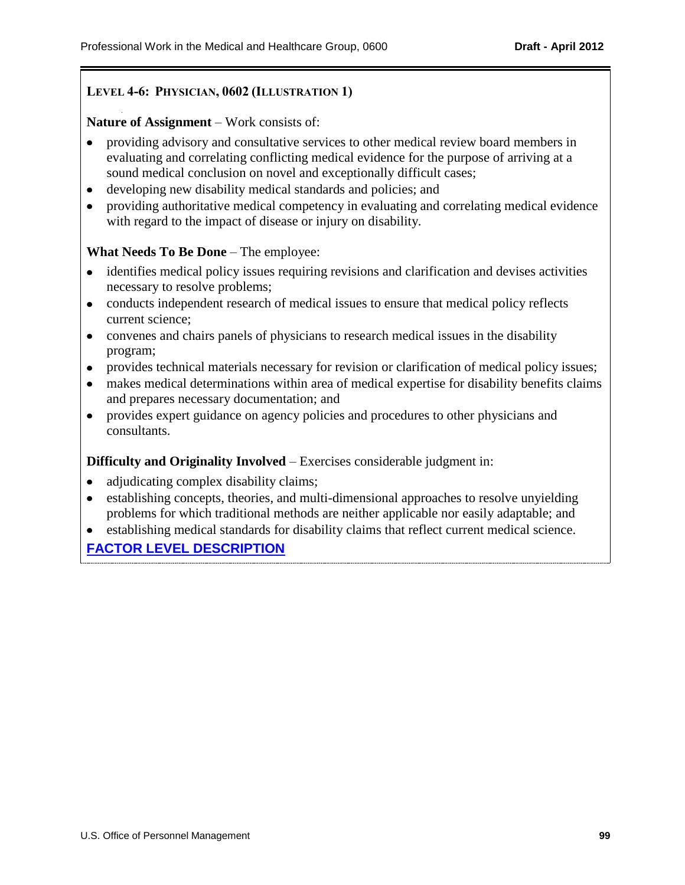### **LEVEL 4-6: PHYSICIAN, 0602 (ILLUSTRATION 1)**

#### **Nature of Assignment** – Work consists of:

- providing advisory and consultative services to other medical review board members in evaluating and correlating conflicting medical evidence for the purpose of arriving at a sound medical conclusion on novel and exceptionally difficult cases;
- developing new disability medical standards and policies; and  $\bullet$
- providing authoritative medical competency in evaluating and correlating medical evidence  $\bullet$ with regard to the impact of disease or injury on disability.

#### **What Needs To Be Done** – The employee:

- identifies medical policy issues requiring revisions and clarification and devises activities necessary to resolve problems;
- conducts independent research of medical issues to ensure that medical policy reflects current science;
- convenes and chairs panels of physicians to research medical issues in the disability program;
- provides technical materials necessary for revision or clarification of medical policy issues;
- makes medical determinations within area of medical expertise for disability benefits claims  $\bullet$ and prepares necessary documentation; and
- provides expert guidance on agency policies and procedures to other physicians and  $\bullet$ consultants.

#### **Difficulty and Originality Involved** – Exercises considerable judgment in:

- adjudicating complex disability claims;
- establishing concepts, theories, and multi-dimensional approaches to resolve unyielding problems for which traditional methods are neither applicable nor easily adaptable; and
- establishing medical standards for disability claims that reflect current medical science.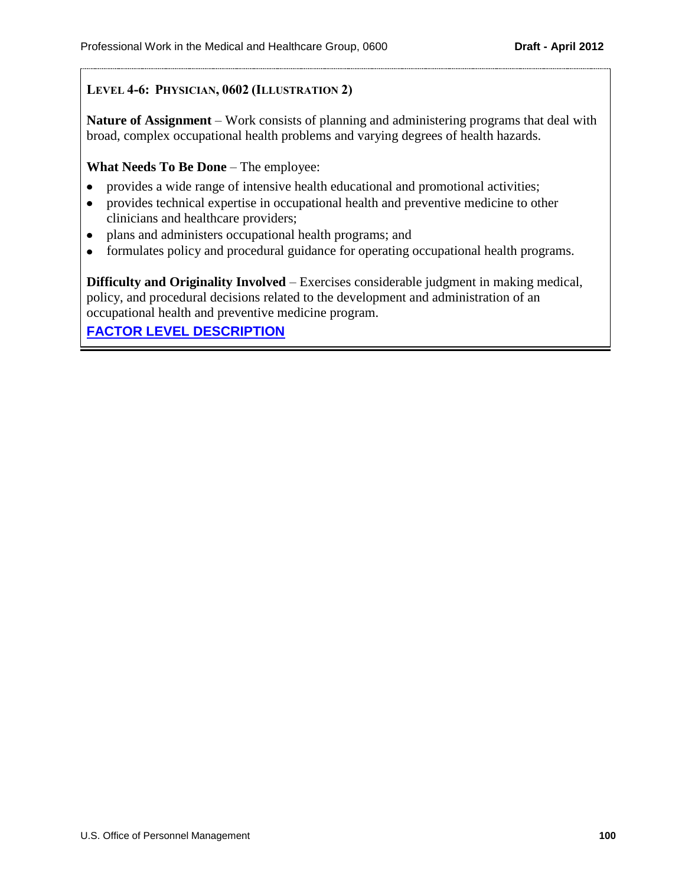## **LEVEL 4-6: PHYSICIAN, 0602 (ILLUSTRATION 2)**

**Nature of Assignment** – Work consists of planning and administering programs that deal with broad, complex occupational health problems and varying degrees of health hazards.

#### **What Needs To Be Done** – The employee:

- provides a wide range of intensive health educational and promotional activities;
- provides technical expertise in occupational health and preventive medicine to other clinicians and healthcare providers;
- plans and administers occupational health programs; and
- formulates policy and procedural guidance for operating occupational health programs.

**Difficulty and Originality Involved** – Exercises considerable judgment in making medical, policy, and procedural decisions related to the development and administration of an occupational health and preventive medicine program.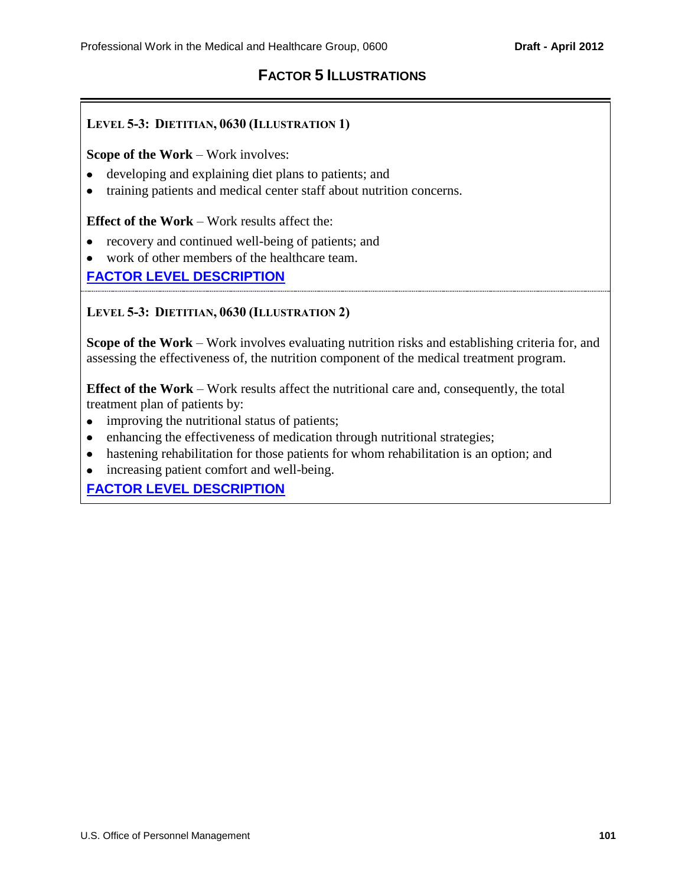# **FACTOR 5 ILLUSTRATIONS**

## **LEVEL 5-3: DIETITIAN, 0630 (ILLUSTRATION 1)**

**Scope of the Work** – Work involves:

- developing and explaining diet plans to patients; and
- training patients and medical center staff about nutrition concerns.

**Effect of the Work** – Work results affect the:

- recovery and continued well-being of patients; and
- work of other members of the healthcare team.

# **[FACTOR LEVEL DESCRIPTION](#page-63-0)**

#### **LEVEL 5-3: DIETITIAN, 0630 (ILLUSTRATION 2)**

**Scope of the Work** – Work involves evaluating nutrition risks and establishing criteria for, and assessing the effectiveness of, the nutrition component of the medical treatment program.

**Effect of the Work** – Work results affect the nutritional care and, consequently, the total treatment plan of patients by:

- improving the nutritional status of patients;
- enhancing the effectiveness of medication through nutritional strategies;
- hastening rehabilitation for those patients for whom rehabilitation is an option; and
- increasing patient comfort and well-being.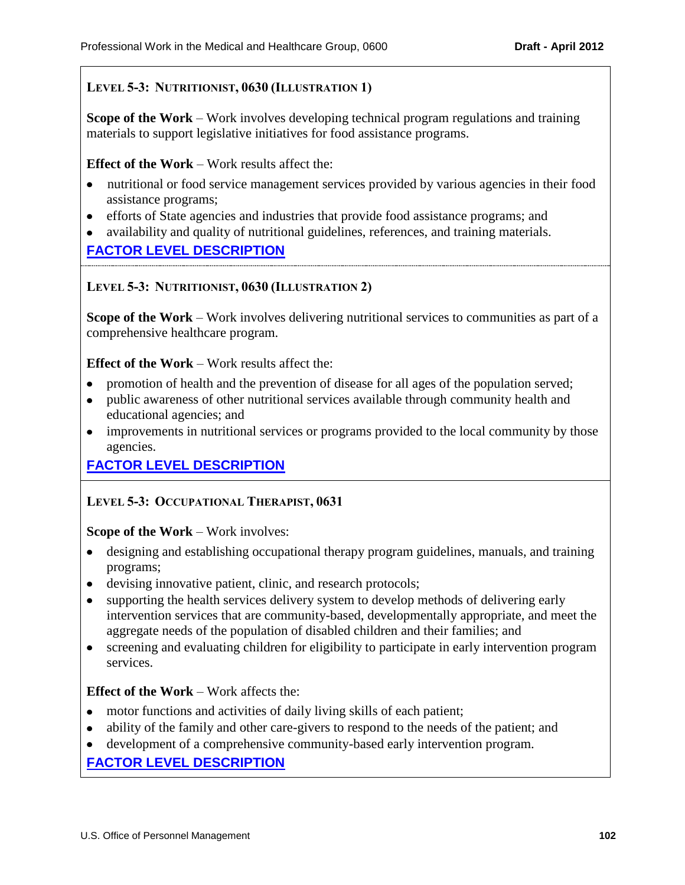## **LEVEL 5-3: NUTRITIONIST, 0630 (ILLUSTRATION 1)**

**Scope of the Work** – Work involves developing technical program regulations and training materials to support legislative initiatives for food assistance programs.

#### **Effect of the Work** – Work results affect the:

- nutritional or food service management services provided by various agencies in their food assistance programs;
- efforts of State agencies and industries that provide food assistance programs; and
- availability and quality of nutritional guidelines, references, and training materials.

## **[FACTOR LEVEL DESCRIPTION](#page-63-0)**

#### **LEVEL 5-3: NUTRITIONIST, 0630 (ILLUSTRATION 2)**

**Scope of the Work** – Work involves delivering nutritional services to communities as part of a comprehensive healthcare program.

**Effect of the Work** – Work results affect the:

- promotion of health and the prevention of disease for all ages of the population served;  $\bullet$
- public awareness of other nutritional services available through community health and educational agencies; and
- improvements in nutritional services or programs provided to the local community by those agencies.

# **[FACTOR LEVEL DESCRIPTION](#page-63-0)**

### **LEVEL 5-3: OCCUPATIONAL THERAPIST, 0631**

#### **Scope of the Work** – Work involves:

- designing and establishing occupational therapy program guidelines, manuals, and training programs;
- devising innovative patient, clinic, and research protocols;
- supporting the health services delivery system to develop methods of delivering early  $\bullet$ intervention services that are community-based, developmentally appropriate, and meet the aggregate needs of the population of disabled children and their families; and
- screening and evaluating children for eligibility to participate in early intervention program services.

### **Effect of the Work** – Work affects the:

- motor functions and activities of daily living skills of each patient;
- ability of the family and other care-givers to respond to the needs of the patient; and
- development of a comprehensive community-based early intervention program.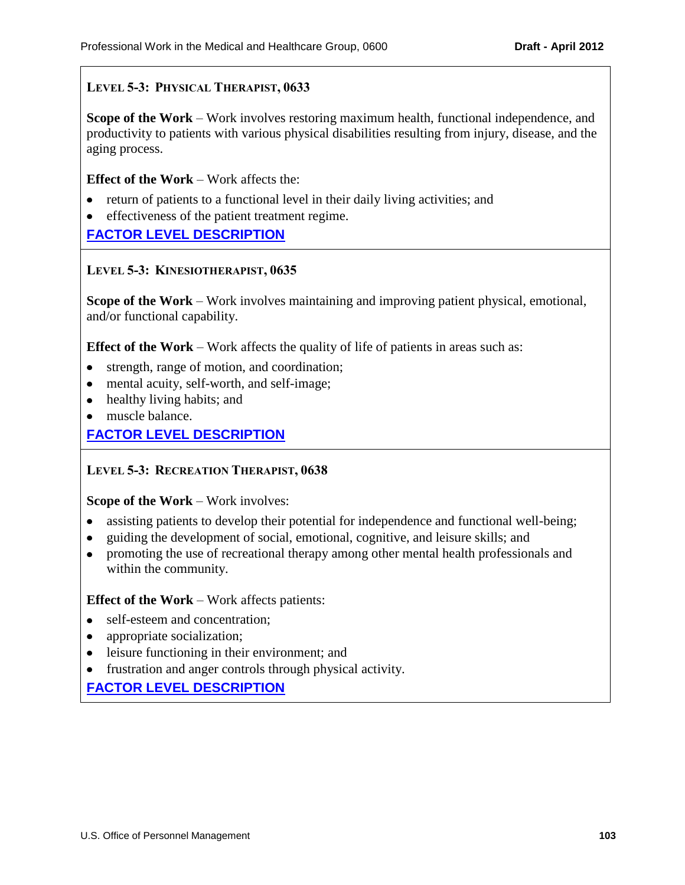## **LEVEL 5-3: PHYSICAL THERAPIST, 0633**

**Scope of the Work** – Work involves restoring maximum health, functional independence, and productivity to patients with various physical disabilities resulting from injury, disease, and the aging process.

**Effect of the Work** – Work affects the:

- return of patients to a functional level in their daily living activities; and
- effectiveness of the patient treatment regime.

**[FACTOR LEVEL DESCRIPTION](#page-63-2)**

### **LEVEL 5-3: KINESIOTHERAPIST, 0635**

**Scope of the Work** – Work involves maintaining and improving patient physical, emotional, and/or functional capability.

**Effect of the Work** – Work affects the quality of life of patients in areas such as:

- strength, range of motion, and coordination;
- mental acuity, self-worth, and self-image;
- healthy living habits; and
- muscle balance.

## **[FACTOR LEVEL DESCRIPTION](#page-63-3)**

### **LEVEL 5-3: RECREATION THERAPIST, 0638**

**Scope of the Work – Work involves:** 

- assisting patients to develop their potential for independence and functional well-being;
- guiding the development of social, emotional, cognitive, and leisure skills; and
- promoting the use of recreational therapy among other mental health professionals and within the community.

#### **Effect of the Work – Work affects patients:**

- self-esteem and concentration;
- appropriate socialization;
- leisure functioning in their environment; and
- frustration and anger controls through physical activity.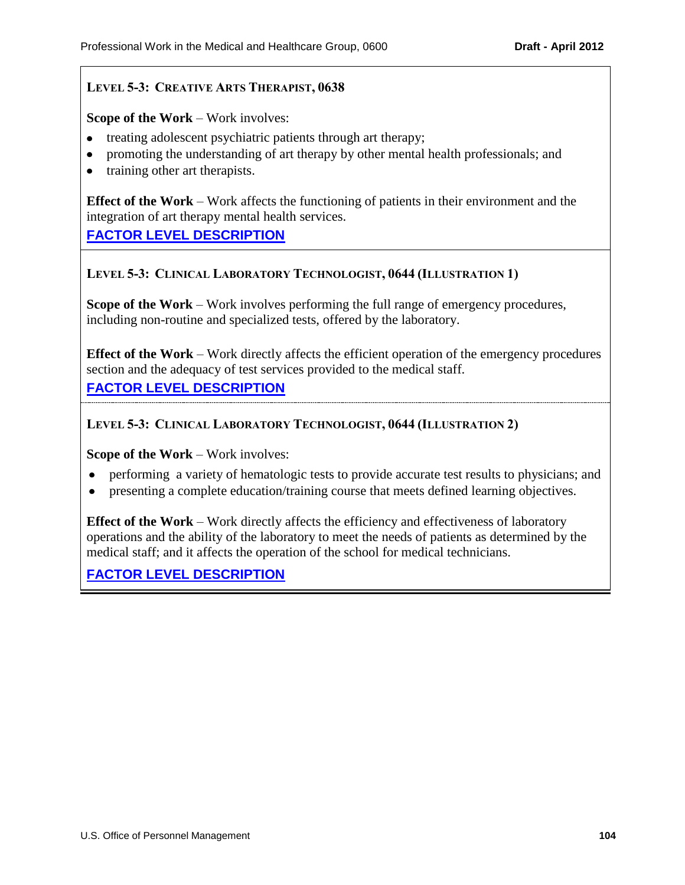## **LEVEL 5-3: CREATIVE ARTS THERAPIST, 0638**

**Scope of the Work – Work involves:** 

- treating adolescent psychiatric patients through art therapy;
- promoting the understanding of art therapy by other mental health professionals; and
- training other art therapists.

**Effect of the Work** – Work affects the functioning of patients in their environment and the integration of art therapy mental health services.

**[FACTOR LEVEL DESCRIPTION](#page-63-4)**

### **LEVEL 5-3: CLINICAL LABORATORY TECHNOLOGIST, 0644 (ILLUSTRATION 1)**

**Scope of the Work** – Work involves performing the full range of emergency procedures, including non-routine and specialized tests, offered by the laboratory.

**Effect of the Work** – Work directly affects the efficient operation of the emergency procedures section and the adequacy of test services provided to the medical staff.

**[FACTOR LEVEL DESCRIPTION](#page-63-5)**

**LEVEL 5-3: CLINICAL LABORATORY TECHNOLOGIST, 0644 (ILLUSTRATION 2)**

**Scope of the Work** – Work involves:

- performing a variety of hematologic tests to provide accurate test results to physicians; and
- presenting a complete education/training course that meets defined learning objectives.

**Effect of the Work** – Work directly affects the efficiency and effectiveness of laboratory operations and the ability of the laboratory to meet the needs of patients as determined by the medical staff; and it affects the operation of the school for medical technicians.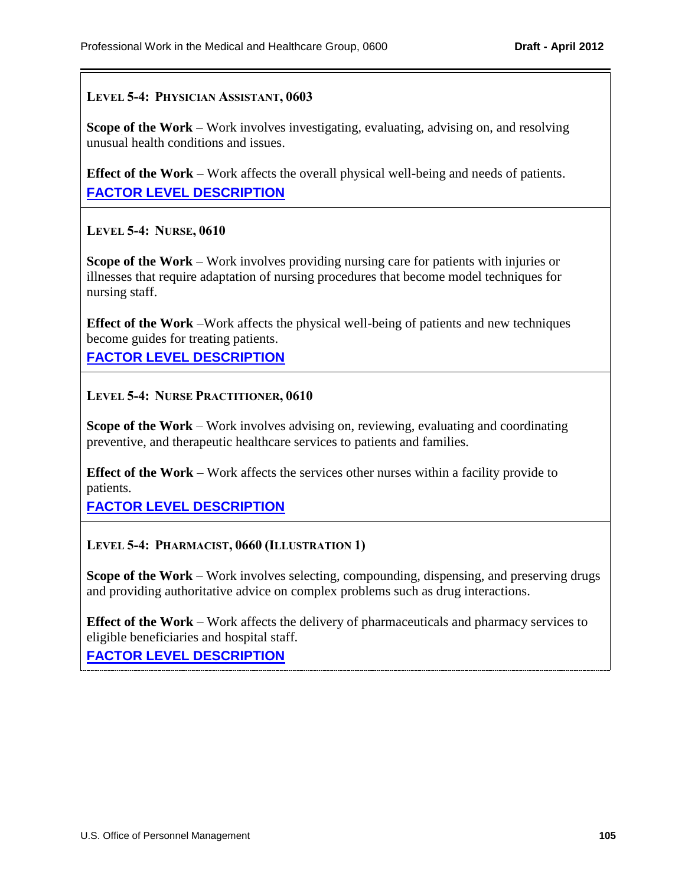#### **LEVEL 5-4: PHYSICIAN ASSISTANT, 0603**

**Scope of the Work** – Work involves investigating, evaluating, advising on, and resolving unusual health conditions and issues.

**Effect of the Work** – Work affects the overall physical well-being and needs of patients. **[FACTOR LEVEL DESCRIPTION](#page-64-0)**

**LEVEL 5-4: NURSE, 0610**

**Scope of the Work** – Work involves providing nursing care for patients with injuries or illnesses that require adaptation of nursing procedures that become model techniques for nursing staff.

**Effect of the Work** –Work affects the physical well-being of patients and new techniques become guides for treating patients.

**[FACTOR LEVEL DESCRIPTION](#page-64-1)**

**LEVEL 5-4: NURSE PRACTITIONER, 0610**

**Scope of the Work** – Work involves advising on, reviewing, evaluating and coordinating preventive, and therapeutic healthcare services to patients and families.

**Effect of the Work** – Work affects the services other nurses within a facility provide to patients.

**[FACTOR LEVEL DESCRIPTION](#page-64-1)**

**LEVEL 5-4: PHARMACIST, 0660 (ILLUSTRATION 1)**

**Scope of the Work** – Work involves selecting, compounding, dispensing, and preserving drugs and providing authoritative advice on complex problems such as drug interactions.

**Effect of the Work** – Work affects the delivery of pharmaceuticals and pharmacy services to eligible beneficiaries and hospital staff.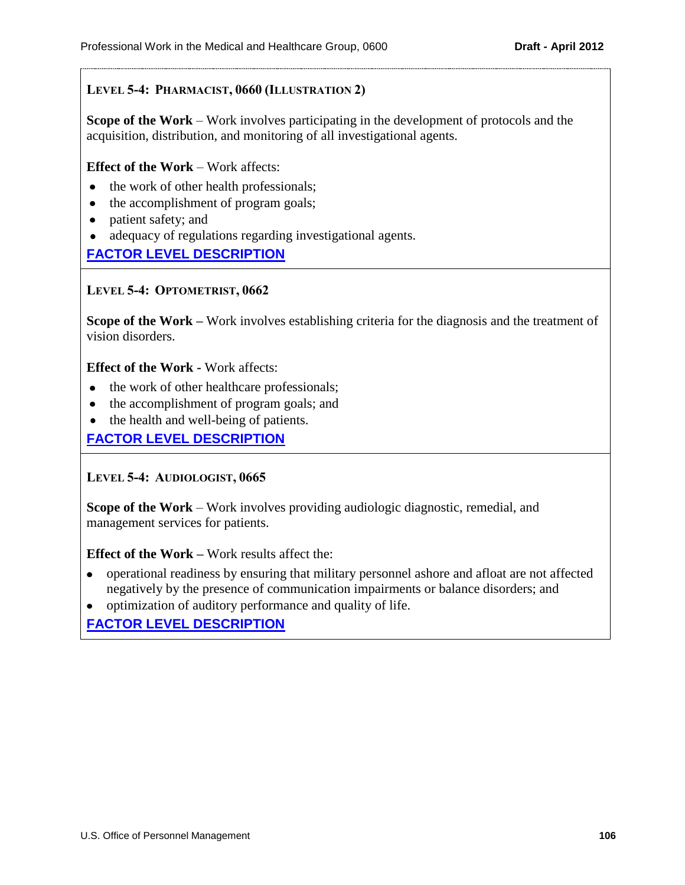## **LEVEL 5-4: PHARMACIST, 0660 (ILLUSTRATION 2)**

**Scope of the Work** – Work involves participating in the development of protocols and the acquisition, distribution, and monitoring of all investigational agents.

#### **Effect of the Work** – Work affects:

- the work of other health professionals;
- the accomplishment of program goals;
- patient safety; and  $\bullet$
- adequacy of regulations regarding investigational agents.

### **[FACTOR LEVEL DESCRIPTION](#page-64-2)**

#### **LEVEL 5-4: OPTOMETRIST, 0662**

**Scope of the Work –** Work involves establishing criteria for the diagnosis and the treatment of vision disorders.

#### **Effect of the Work -** Work affects:

- the work of other healthcare professionals;
- the accomplishment of program goals; and
- the health and well-being of patients.

### **[FACTOR LEVEL DESCRIPTION](#page-64-3)**

### **LEVEL 5-4: AUDIOLOGIST, 0665**

**Scope of the Work** – Work involves providing audiologic diagnostic, remedial, and management services for patients.

**Effect of the Work –** Work results affect the:

- operational readiness by ensuring that military personnel ashore and afloat are not affected negatively by the presence of communication impairments or balance disorders; and
- optimization of auditory performance and quality of life.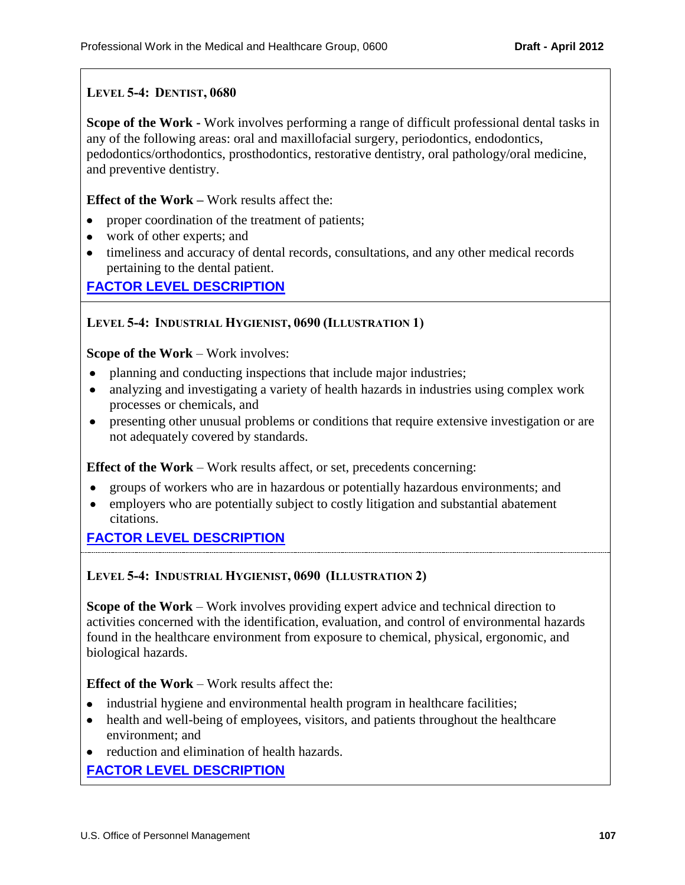## **LEVEL 5-4: DENTIST, 0680**

**Scope of the Work -** Work involves performing a range of difficult professional dental tasks in any of the following areas: oral and maxillofacial surgery, periodontics, endodontics, pedodontics/orthodontics, prosthodontics, restorative dentistry, oral pathology/oral medicine, and preventive dentistry.

**Effect of the Work –** Work results affect the:

- proper coordination of the treatment of patients;
- work of other experts; and
- timeliness and accuracy of dental records, consultations, and any other medical records pertaining to the dental patient.

## **[FACTOR LEVEL DESCRIPTION](#page-64-5)**

### **LEVEL 5-4: INDUSTRIAL HYGIENIST, 0690 (ILLUSTRATION 1)**

#### **Scope of the Work** – Work involves:

- planning and conducting inspections that include major industries;  $\bullet$
- analyzing and investigating a variety of health hazards in industries using complex work processes or chemicals, and
- presenting other unusual problems or conditions that require extensive investigation or are not adequately covered by standards.

**Effect of the Work** – Work results affect, or set, precedents concerning:

- groups of workers who are in hazardous or potentially hazardous environments; and
- employers who are potentially subject to costly litigation and substantial abatement citations.

## **[FACTOR LEVEL DESCRIPTION](#page-64-6)**

### **LEVEL 5-4: INDUSTRIAL HYGIENIST, 0690 (ILLUSTRATION 2)**

**Scope of the Work** – Work involves providing expert advice and technical direction to activities concerned with the identification, evaluation, and control of environmental hazards found in the healthcare environment from exposure to chemical, physical, ergonomic, and biological hazards.

**Effect of the Work** – Work results affect the:

- industrial hygiene and environmental health program in healthcare facilities;
- health and well-being of employees, visitors, and patients throughout the healthcare environment; and
- reduction and elimination of health hazards.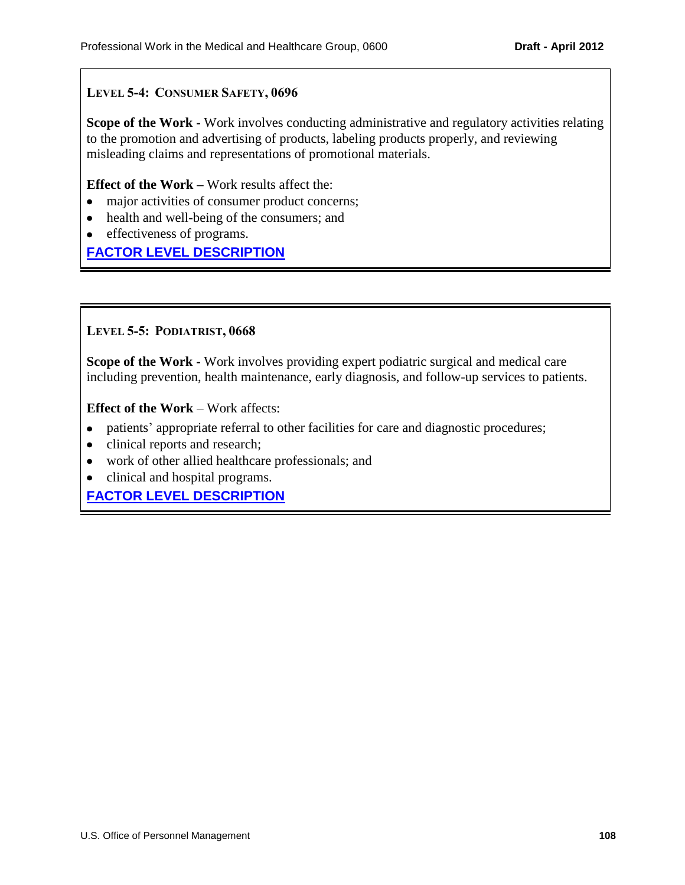## **LEVEL 5-4: CONSUMER SAFETY, 0696**

**Scope of the Work -** Work involves conducting administrative and regulatory activities relating to the promotion and advertising of products, labeling products properly, and reviewing misleading claims and representations of promotional materials.

#### **Effect of the Work –** Work results affect the:

- major activities of consumer product concerns;
- health and well-being of the consumers; and
- effectiveness of programs.

## **[FACTOR LEVEL DESCRIPTION](#page-64-7)**

#### **LEVEL 5-5: PODIATRIST, 0668**

**Scope of the Work -** Work involves providing expert podiatric surgical and medical care including prevention, health maintenance, early diagnosis, and follow-up services to patients.

**Effect of the Work** – Work affects:

- patients' appropriate referral to other facilities for care and diagnostic procedures;
- clinical reports and research;
- work of other allied healthcare professionals; and
- clinical and hospital programs.